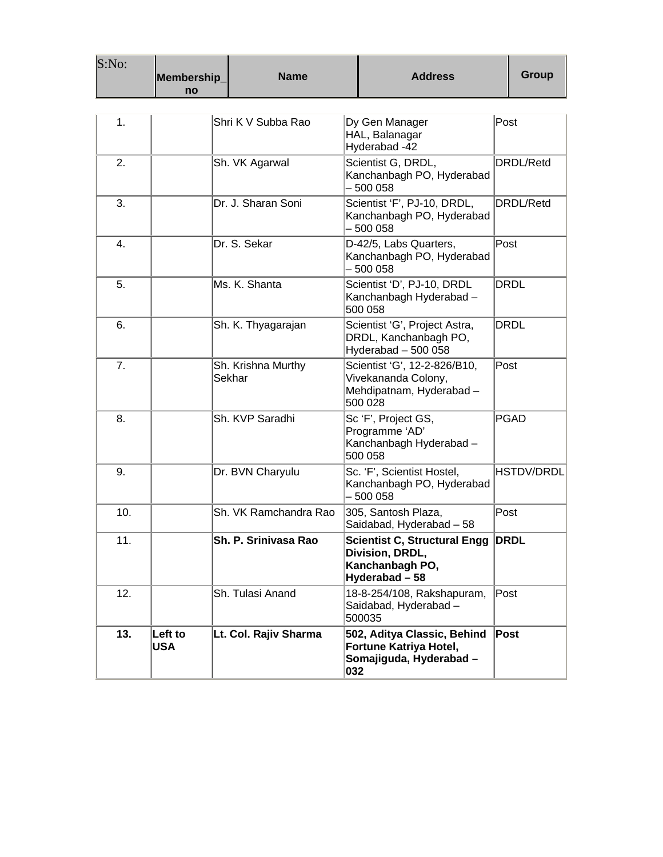| S:No: | Membership_<br>no     | <b>Name</b>                  | <b>Address</b>                                                                             | <b>Group</b>      |
|-------|-----------------------|------------------------------|--------------------------------------------------------------------------------------------|-------------------|
|       |                       |                              |                                                                                            |                   |
| 1.    |                       | Shri K V Subba Rao           | Dy Gen Manager<br>HAL, Balanagar<br>Hyderabad -42                                          | Post              |
| 2.    |                       | Sh. VK Agarwal               | Scientist G, DRDL,<br>Kanchanbagh PO, Hyderabad<br>$-500058$                               | DRDL/Retd         |
| 3.    |                       | Dr. J. Sharan Soni           | Scientist 'F', PJ-10, DRDL,<br>Kanchanbagh PO, Hyderabad<br>- 500 058                      | DRDL/Retd         |
| 4.    |                       | Dr. S. Sekar                 | D-42/5, Labs Quarters,<br>Kanchanbagh PO, Hyderabad<br>$-500058$                           | Post              |
| 5.    |                       | Ms. K. Shanta                | Scientist 'D', PJ-10, DRDL<br>Kanchanbagh Hyderabad -<br>500 058                           | DRDL              |
| 6.    |                       | Sh. K. Thyagarajan           | Scientist 'G', Project Astra,<br>DRDL, Kanchanbagh PO,<br>Hyderabad $-500058$              | DRDL              |
| 7.    |                       | Sh. Krishna Murthy<br>Sekhar | Scientist 'G', 12-2-826/B10,<br>Vivekananda Colony,<br>Mehdipatnam, Hyderabad -<br>500 028 | Post              |
| 8.    |                       | Sh. KVP Saradhi              | Sc 'F', Project GS,<br>Programme 'AD'<br>Kanchanbagh Hyderabad -<br>500 058                | <b>PGAD</b>       |
| 9.    |                       | Dr. BVN Charyulu             | Sc. 'F', Scientist Hostel,<br>Kanchanbagh PO, Hyderabad<br>$-500058$                       | <b>HSTDV/DRDL</b> |
| 10.   |                       | Sh. VK Ramchandra Rao        | 305, Santosh Plaza,<br>Saidabad, Hyderabad - 58                                            | Post              |
| 11.   |                       | Sh. P. Srinivasa Rao         | Scientist C, Structural Engg DRDL<br>Division, DRDL,<br>Kanchanbagh PO,<br>Hyderabad - 58  |                   |
| 12.   |                       | Sh. Tulasi Anand             | 18-8-254/108, Rakshapuram,<br>Saidabad, Hyderabad -<br>500035                              | Post              |
| 13.   | Left to<br><b>USA</b> | Lt. Col. Rajiv Sharma        | 502, Aditya Classic, Behind<br>Fortune Katriya Hotel,<br>Somajiguda, Hyderabad -<br>032    | Post              |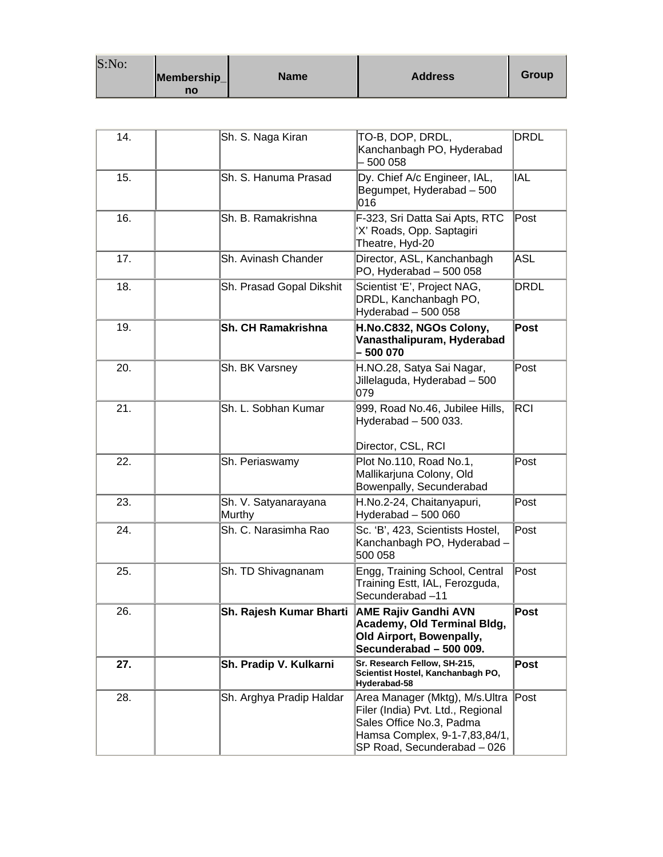| S:No: |             |             |                |       |
|-------|-------------|-------------|----------------|-------|
|       | Membership_ | <b>Name</b> | <b>Address</b> | Group |
|       | no          |             |                |       |

| 14. | Sh. S. Naga Kiran              | TO-B, DOP, DRDL,<br>Kanchanbagh PO, Hyderabad<br>500 058                                                                                                        | <b>DRDL</b> |
|-----|--------------------------------|-----------------------------------------------------------------------------------------------------------------------------------------------------------------|-------------|
| 15. | Sh. S. Hanuma Prasad           | Dy. Chief A/c Engineer, IAL,<br>Begumpet, Hyderabad - 500<br>016                                                                                                | <b>IAL</b>  |
| 16. | Sh. B. Ramakrishna             | F-323, Sri Datta Sai Apts, RTC<br>'X' Roads, Opp. Saptagiri<br>Theatre, Hyd-20                                                                                  | Post        |
| 17. | Sh. Avinash Chander            | Director, ASL, Kanchanbagh<br>PO, Hyderabad - 500 058                                                                                                           | ASL         |
| 18. | Sh. Prasad Gopal Dikshit       | Scientist 'E', Project NAG,<br>DRDL, Kanchanbagh PO,<br>Hyderabad - 500 058                                                                                     | <b>DRDL</b> |
| 19. | <b>Sh. CH Ramakrishna</b>      | H.No.C832, NGOs Colony,<br>Vanasthalipuram, Hyderabad<br>500 070                                                                                                | Post        |
| 20. | Sh. BK Varsney                 | H.NO.28, Satya Sai Nagar,<br>Jillelaguda, Hyderabad - 500<br>079                                                                                                | Post        |
| 21. | Sh. L. Sobhan Kumar            | 999, Road No.46, Jubilee Hills,<br>Hyderabad - 500 033.<br>Director, CSL, RCI                                                                                   | lRCI        |
| 22. | Sh. Periaswamy                 | Plot No.110, Road No.1,<br>Mallikarjuna Colony, Old<br>Bowenpally, Secunderabad                                                                                 | Post        |
| 23. | Sh. V. Satyanarayana<br>Murthy | H.No.2-24, Chaitanyapuri,<br>Hyderabad - 500 060                                                                                                                | Post        |
| 24. | Sh. C. Narasimha Rao           | Sc. 'B', 423, Scientists Hostel,<br>Kanchanbagh PO, Hyderabad -<br>500 058                                                                                      | Post        |
| 25. | Sh. TD Shivagnanam             | Engg, Training School, Central<br>Training Estt, IAL, Ferozguda,<br>Secunderabad-11                                                                             | Post        |
| 26. | <b>Sh. Raiesh Kumar Bharti</b> | <b>AME Rajiv Gandhi AVN</b><br>Academy, Old Terminal Bldg,<br>Old Airport, Bowenpally,<br>Secunderabad - 500 009.                                               | Post        |
| 27. | Sh. Pradip V. Kulkarni         | Sr. Research Fellow, SH-215,<br>Scientist Hostel, Kanchanbagh PO,<br>Hyderabad-58                                                                               | Post        |
| 28. | Sh. Arghya Pradip Haldar       | Area Manager (Mktg), M/s.Ultra<br>Filer (India) Pvt. Ltd., Regional<br>Sales Office No.3, Padma<br>Hamsa Complex, 9-1-7,83,84/1,<br>SP Road, Secunderabad - 026 | Post        |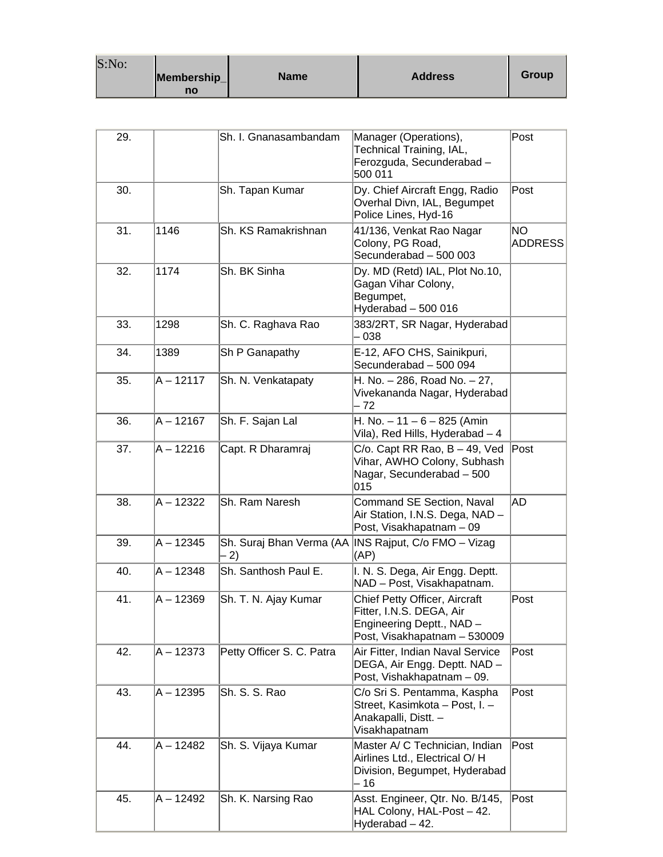| S:No: |                   |             |                |       |
|-------|-------------------|-------------|----------------|-------|
|       | Membership_<br>no | <b>Name</b> | <b>Address</b> | Group |

| 29. |             | Sh. I. Gnanasambandam     | Manager (Operations),<br>Technical Training, IAL,<br>Ferozguda, Secunderabad -<br>500 011                              | Post                  |
|-----|-------------|---------------------------|------------------------------------------------------------------------------------------------------------------------|-----------------------|
| 30. |             | Sh. Tapan Kumar           | Dy. Chief Aircraft Engg, Radio<br>Overhal Divn, IAL, Begumpet<br>Police Lines, Hyd-16                                  | Post                  |
| 31. | 1146        | Sh. KS Ramakrishnan       | 41/136, Venkat Rao Nagar<br>Colony, PG Road,<br>Secunderabad - 500 003                                                 | NO.<br><b>ADDRESS</b> |
| 32. | 1174        | Sh. BK Sinha              | Dy. MD (Retd) IAL, Plot No.10,<br>Gagan Vihar Colony,<br>Begumpet,<br>Hyderabad - 500 016                              |                       |
| 33. | 1298        | Sh. C. Raghava Rao        | 383/2RT, SR Nagar, Hyderabad<br>038                                                                                    |                       |
| 34. | 1389        | Sh P Ganapathy            | E-12, AFO CHS, Sainikpuri,<br>Secunderabad - 500 094                                                                   |                       |
| 35. | $A - 12117$ | Sh. N. Venkatapaty        | H. No. - 286, Road No. - 27,<br>Vivekananda Nagar, Hyderabad<br>- 72                                                   |                       |
| 36. | $A - 12167$ | Sh. F. Sajan Lal          | H. No. $-11 - 6 - 825$ (Amin<br>Vila), Red Hills, Hyderabad - 4                                                        |                       |
| 37. | $A - 12216$ | Capt. R Dharamraj         | $C$ /o. Capt RR Rao, B $-$ 49, Ved<br>Vihar, AWHO Colony, Subhash<br>Nagar, Secunderabad - 500<br>015                  | Post                  |
| 38. | A – 12322   | Sh. Ram Naresh            | Command SE Section, Naval<br>Air Station, I.N.S. Dega, NAD -<br>Post, Visakhapatnam - 09                               | AD                    |
| 39. | A - 12345   | 2)                        | Sh. Suraj Bhan Verma (AA  INS Rajput, C/o FMO - Vizag<br>(AP)                                                          |                       |
| 40. | $A - 12348$ | Sh. Santhosh Paul E.      | I. N. S. Dega, Air Engg. Deptt.<br>NAD - Post, Visakhapatnam.                                                          |                       |
| 41. | $A - 12369$ | Sh. T. N. Ajay Kumar      | Chief Petty Officer, Aircraft<br>Fitter, I.N.S. DEGA, Air<br>Engineering Deptt., NAD -<br>Post, Visakhapatnam - 530009 | Post                  |
| 42. | $A - 12373$ | Petty Officer S. C. Patra | Air Fitter, Indian Naval Service<br>DEGA, Air Engg. Deptt. NAD -<br>Post, Vishakhapatnam - 09.                         | Post                  |
| 43. | $A - 12395$ | Sh. S. S. Rao             | C/o Sri S. Pentamma, Kaspha<br>Street, Kasimkota - Post, I. -<br>Anakapalli, Distt. -<br>Visakhapatnam                 | Post                  |
| 44. | A - 12482   | Sh. S. Vijaya Kumar       | Master A/ C Technician, Indian<br>Airlines Ltd., Electrical O/H<br>Division, Begumpet, Hyderabad<br>- 16               | Post                  |
| 45. | $A - 12492$ | Sh. K. Narsing Rao        | Asst. Engineer, Qtr. No. B/145,<br>HAL Colony, HAL-Post - 42.<br>Hyderabad - 42.                                       | Post                  |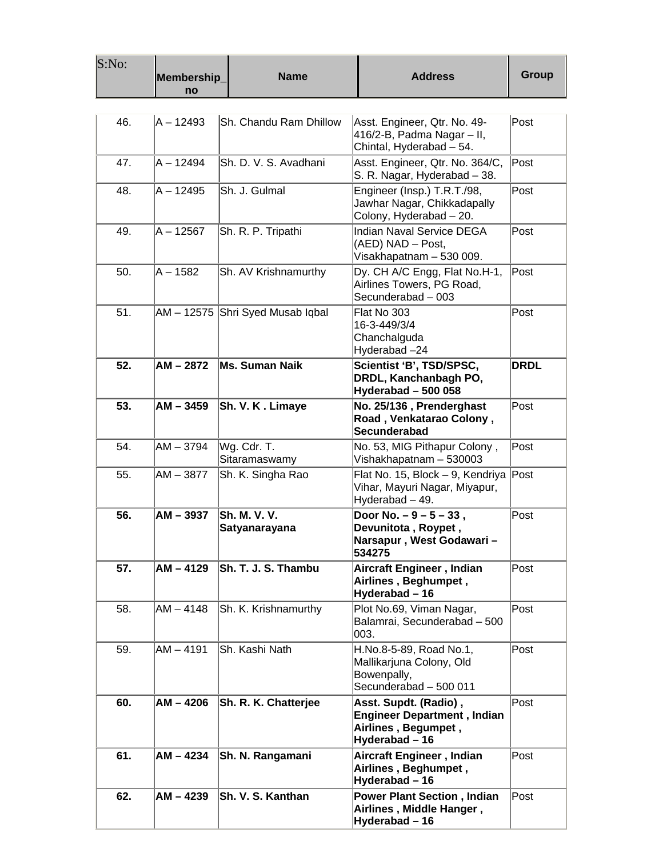| S:No: | Membership_<br>no | <b>Name</b>                          | <b>Address</b>                                                                                       | <b>Group</b> |
|-------|-------------------|--------------------------------------|------------------------------------------------------------------------------------------------------|--------------|
|       |                   |                                      |                                                                                                      |              |
| 46.   | $A - 12493$       | Sh. Chandu Ram Dhillow               | Asst. Engineer, Qtr. No. 49-<br>416/2-B, Padma Nagar – II,<br>Chintal, Hyderabad - 54.               | Post         |
| 47.   | $A - 12494$       | Sh. D. V. S. Avadhani                | Asst. Engineer, Qtr. No. 364/C,<br>S. R. Nagar, Hyderabad - 38.                                      | Post         |
| 48.   | A - 12495         | Sh. J. Gulmal                        | Engineer (Insp.) T.R.T./98,<br>Jawhar Nagar, Chikkadapally<br>Colony, Hyderabad - 20.                | Post         |
| 49.   | $A - 12567$       | Sh. R. P. Tripathi                   | Indian Naval Service DEGA<br>(AED) NAD - Post,<br>Visakhapatnam - 530 009.                           | Post         |
| 50.   | $A - 1582$        | Sh. AV Krishnamurthy                 | Dy. CH A/C Engg, Flat No.H-1,<br>Airlines Towers, PG Road,<br>Secunderabad - 003                     | Post         |
| 51.   |                   | AM - 12575 Shri Syed Musab Iqbal     | Flat No 303<br>16-3-449/3/4<br>Chanchalguda<br>Hyderabad-24                                          | Post         |
| 52.   | $AM - 2872$       | Ms. Suman Naik                       | Scientist 'B', TSD/SPSC,<br>DRDL, Kanchanbagh PO,<br>Hyderabad - 500 058                             | <b>DRDL</b>  |
| 53.   | $AM - 3459$       | Sh. V. K. Limaye                     | No. 25/136, Prenderghast<br>Road, Venkatarao Colony,<br>Secunderabad                                 | Post         |
| 54.   | AM - 3794         | Wg. Cdr. T.<br>Sitaramaswamy         | No. 53, MIG Pithapur Colony,<br>Vishakhapatnam - 530003                                              | Post         |
| 55.   | AM – 3877         | Sh. K. Singha Rao                    | Flat No. 15, Block - 9, Kendriya<br>Vihar, Mayuri Nagar, Miyapur,<br>Hyderabad - 49.                 | Post         |
| 56.   | $AM - 3937$       | <b>Sh. M. V. V.</b><br>Satyanarayana | Door No. $-9 - 5 - 33$ ,<br>Devunitota, Roypet,<br>Narsapur , West Godawari –<br>534275              | Post         |
| 57.   | $AM - 4129$       | Sh. T. J. S. Thambu                  | Aircraft Engineer, Indian<br>Airlines, Beghumpet,<br>Hyderabad - 16                                  | Post         |
| 58.   | $AM - 4148$       | Sh. K. Krishnamurthy                 | Plot No.69, Viman Nagar,<br>Balamrai, Secunderabad - 500<br>003.                                     | Post         |
| 59.   | $AM - 4191$       | Sh. Kashi Nath                       | H.No.8-5-89, Road No.1,<br>Mallikarjuna Colony, Old<br>Bowenpally,<br>Secunderabad - 500 011         | Post         |
| 60.   | AM - 4206         | Sh. R. K. Chatterjee                 | Asst. Supdt. (Radio),<br><b>Engineer Department, Indian</b><br>Airlines, Begumpet,<br>Hyderabad - 16 | Post         |
| 61.   | AM - 4234         | Sh. N. Rangamani                     | Aircraft Engineer, Indian<br>Airlines, Beghumpet,<br>Hyderabad - 16                                  | Post         |
| 62.   | AM - 4239         | <b>Sh. V. S. Kanthan</b>             | <b>Power Plant Section, Indian</b><br>Airlines, Middle Hanger,<br>Hyderabad - 16                     | Post         |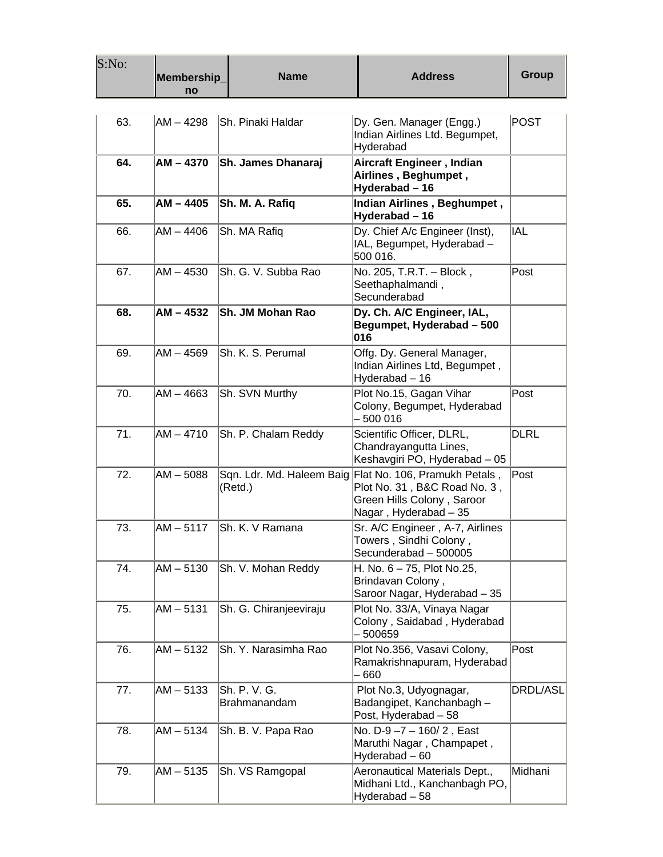| S:No: | Membership_<br>no | <b>Name</b>                          | <b>Address</b>                                                                                                       | <b>Group</b> |
|-------|-------------------|--------------------------------------|----------------------------------------------------------------------------------------------------------------------|--------------|
| 63.   | AM - 4298         | Sh. Pinaki Haldar                    | Dy. Gen. Manager (Engg.)<br>Indian Airlines Ltd. Begumpet,<br>Hyderabad                                              | <b>POST</b>  |
| 64.   | $AM - 4370$       | <b>Sh. James Dhanaraj</b>            | Aircraft Engineer, Indian<br>Airlines, Beghumpet,<br>Hyderabad - 16                                                  |              |
| 65.   | $AM - 4405$       | Sh. M. A. Rafiq                      | Indian Airlines, Beghumpet,<br>Hyderabad - 16                                                                        |              |
| 66.   | AM – 4406         | Sh. MA Rafiq                         | Dy. Chief A/c Engineer (Inst),<br>IAL, Begumpet, Hyderabad -<br>500 016.                                             | IAL          |
| 67.   | AM - 4530         | lSh. G. V. Subba Rao                 | No. 205, T.R.T. - Block,<br>Seethaphalmandi,<br>Secunderabad                                                         | Post         |
| 68.   | AM - 4532         | <b>ISh. JM Mohan Rao</b>             | Dy. Ch. A/C Engineer, IAL,<br>Begumpet, Hyderabad - 500<br>016                                                       |              |
| 69.   | $AM - 4569$       | Sh. K. S. Perumal                    | Offg. Dy. General Manager,<br>Indian Airlines Ltd, Begumpet,<br>Hyderabad - 16                                       |              |
| 70.   | $AM - 4663$       | Sh. SVN Murthy                       | Plot No.15, Gagan Vihar<br>Colony, Begumpet, Hyderabad<br>500 016                                                    | Post         |
| 71.   | $AM - 4710$       | Sh. P. Chalam Reddy                  | Scientific Officer, DLRL,<br>Chandrayangutta Lines,<br>Keshavgiri PO, Hyderabad - 05                                 | <b>DLRL</b>  |
| 72.   | $AM - 5088$       | Sqn. Ldr. Md. Haleem Baig<br>(Retd.) | Flat No. 106, Pramukh Petals,<br>Plot No. 31, B&C Road No. 3,<br>Green Hills Colony, Saroor<br>Nagar, Hyderabad - 35 | Post         |
| 73.   | $AM - 5117$       | Sh. K. V Ramana                      | Sr. A/C Engineer, A-7, Airlines<br>Towers, Sindhi Colony,<br>Secunderabad - 500005                                   |              |
| 74.   | AM - 5130         | Sh. V. Mohan Reddy                   | H. No. $6 - 75$ , Plot No.25,<br>Brindavan Colony,<br>Saroor Nagar, Hyderabad - 35                                   |              |
| 75.   | $AM - 5131$       | Sh. G. Chiranjeeviraju               | Plot No. 33/A, Vinaya Nagar<br>Colony, Saidabad, Hyderabad<br>500659                                                 |              |
| 76.   | $AM - 5132$       | Sh. Y. Narasimha Rao                 | Plot No.356, Vasavi Colony,<br>Ramakrishnapuram, Hyderabad<br>660                                                    | Post         |
| 77.   | $AM - 5133$       | Sh. P. V. G.<br>Brahmanandam         | Plot No.3, Udyognagar,<br>Badangipet, Kanchanbagh -<br>Post, Hyderabad - 58                                          | DRDL/ASL     |
| 78.   | $AM - 5134$       | Sh. B. V. Papa Rao                   | No. D-9-7-160/2, East<br>Maruthi Nagar, Champapet,<br>Hyderabad-60                                                   |              |
| 79.   | $AM - 5135$       | Sh. VS Ramgopal                      | Aeronautical Materials Dept.,<br>Midhani Ltd., Kanchanbagh PO,<br>Hyderabad - 58                                     | Midhani      |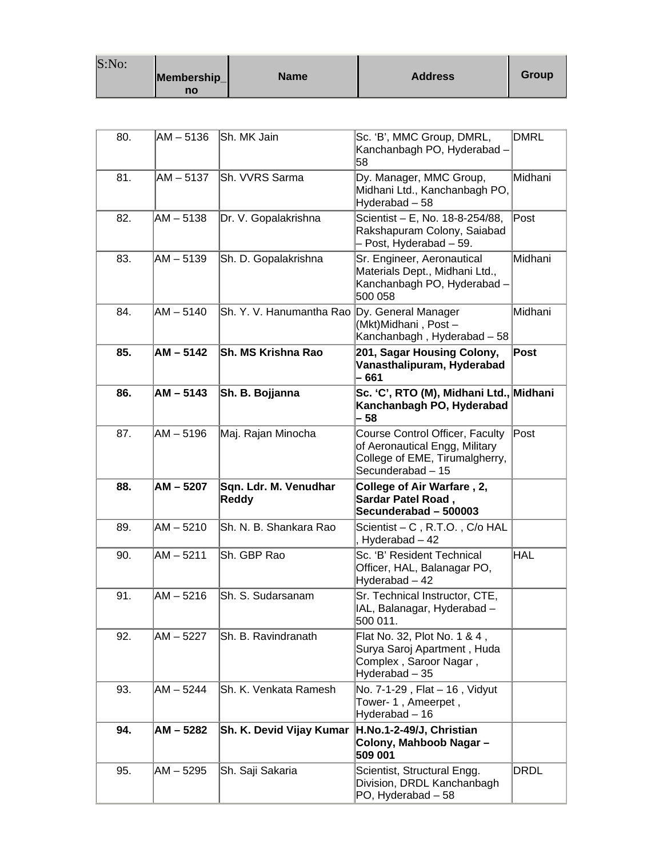| S:No: |                   |             |                |       |
|-------|-------------------|-------------|----------------|-------|
|       | Membership_<br>no | <b>Name</b> | <b>Address</b> | Group |

| 80. | AM – 5136   | lSh. MK Jain                                 | Sc. 'B', MMC Group, DMRL,<br>Kanchanbagh PO, Hyderabad -<br>58                                                           | <b>DMRL</b> |
|-----|-------------|----------------------------------------------|--------------------------------------------------------------------------------------------------------------------------|-------------|
| 81. | $AM - 5137$ | Sh. VVRS Sarma                               | Dy. Manager, MMC Group,<br>Midhani Ltd., Kanchanbagh PO,<br>Hyderabad - 58                                               | Midhani     |
| 82. | AM - 5138   | Dr. V. Gopalakrishna                         | Scientist - E, No. 18-8-254/88,<br>Rakshapuram Colony, Saiabad<br>- Post, Hyderabad - 59.                                | Post        |
| 83. | $AM - 5139$ | Sh. D. Gopalakrishna                         | Sr. Engineer, Aeronautical<br>Materials Dept., Midhani Ltd.,<br>Kanchanbagh PO, Hyderabad -<br>500 058                   | Midhani     |
| 84. | $AM - 5140$ | Sh. Y. V. Hanumantha Rao Dy. General Manager | (Mkt)Midhani, Post-<br>Kanchanbagh, Hyderabad - 58                                                                       | Midhani     |
| 85. | $AM - 5142$ | Sh. MS Krishna Rao                           | 201, Sagar Housing Colony,<br>Vanasthalipuram, Hyderabad<br>- 661                                                        | Post        |
| 86. | $AM - 5143$ | Sh. B. Bojjanna                              | Sc. 'C', RTO (M), Midhani Ltd., Midhani<br>Kanchanbagh PO, Hyderabad<br>- 58                                             |             |
| 87. | $AM - 5196$ | Maj. Rajan Minocha                           | Course Control Officer, Faculty<br>of Aeronautical Engg, Military<br>College of EME, Tirumalgherry,<br>Secunderabad - 15 | Post        |
| 88. | $AM - 5207$ | Sqn. Ldr. M. Venudhar<br><b>Reddy</b>        | College of Air Warfare, 2,<br>Sardar Patel Road,<br>Secunderabad - 500003                                                |             |
| 89. | $AM - 5210$ | Sh. N. B. Shankara Rao                       | Scientist - C, R.T.O., C/o HAL<br>, Hyderabad - 42                                                                       |             |
| 90. | $AM - 5211$ | Sh. GBP Rao                                  | Sc. 'B' Resident Technical<br>Officer, HAL, Balanagar PO,<br>Hyderabad - 42                                              | <b>HAL</b>  |
| 91. | $AM - 5216$ | Sh. S. Sudarsanam                            | Sr. Technical Instructor, CTE,<br>IAL, Balanagar, Hyderabad -<br>500 011.                                                |             |
| 92. | $AM - 5227$ | Sh. B. Ravindranath                          | Flat No. 32, Plot No. 1 & 4,<br>Surya Saroj Apartment, Huda<br>Complex, Saroor Nagar,<br>Hyderabad - 35                  |             |
| 93. | $AM - 5244$ | Sh. K. Venkata Ramesh                        | No. 7-1-29 , Flat – 16 , Vidyut<br>Tower- 1, Ameerpet,<br>Hyderabad - 16                                                 |             |
| 94. | $AM - 5282$ | Sh. K. Devid Vijay Kumar                     | H.No.1-2-49/J, Christian<br>Colony, Mahboob Nagar-<br>509 001                                                            |             |
| 95. | AM - 5295   | Sh. Saji Sakaria                             | Scientist, Structural Engg.<br>Division, DRDL Kanchanbagh<br>PO, Hyderabad - 58                                          | <b>DRDL</b> |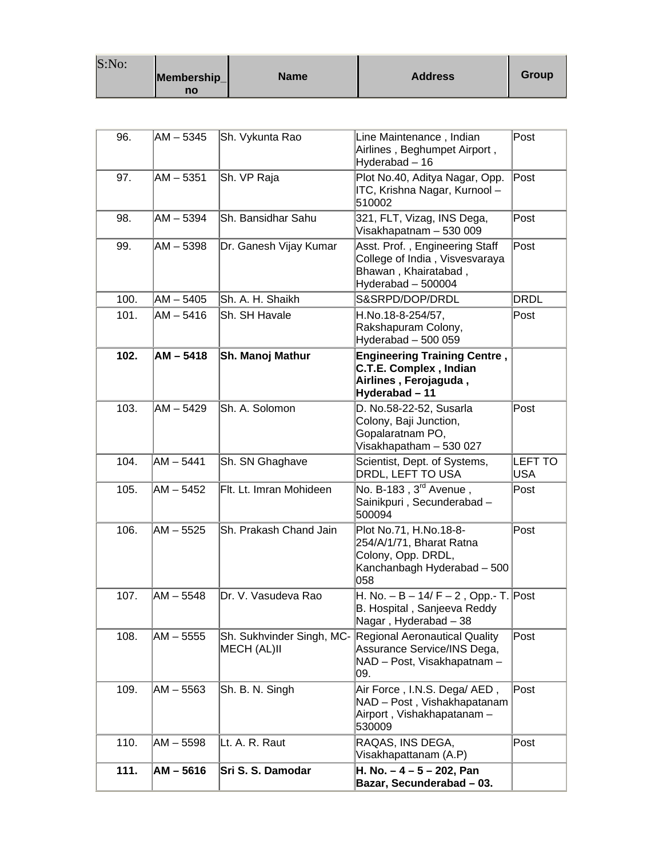| S:No: |             |             |                |       |
|-------|-------------|-------------|----------------|-------|
|       | Membership_ | <b>Name</b> | <b>Address</b> | Group |
|       | no          |             |                |       |

and a

| 111. | $AM - 5616$ | Sri S. S. Damodar                        | H. No. $-4 - 5 - 202$ , Pan<br>Bazar, Secunderabad - 03.                                                       |                              |
|------|-------------|------------------------------------------|----------------------------------------------------------------------------------------------------------------|------------------------------|
| 110. | AM - 5598   | Lt. A. R. Raut                           | RAQAS, INS DEGA,<br>Visakhapattanam (A.P)                                                                      | Post                         |
| 109. | AM - 5563   | Sh. B. N. Singh                          | Air Force, I.N.S. Dega/ AED,<br>NAD - Post, Vishakhapatanam<br>Airport, Vishakhapatanam-<br>530009             | Post                         |
| 108. | $AM - 5555$ | Sh. Sukhvinder Singh, MC-<br>MECH (AL)II | <b>Regional Aeronautical Quality</b><br>Assurance Service/INS Dega,<br>NAD - Post, Visakhapatnam -<br>09.      | Post                         |
| 107. | $AM - 5548$ | Dr. V. Vasudeva Rao                      | H. No. $- B - 14/F - 2$ , Opp.- T. Post<br>B. Hospital, Sanjeeva Reddy<br>Nagar, Hyderabad - 38                |                              |
| 106. | AM – 5525   | Sh. Prakash Chand Jain                   | Plot No.71, H.No.18-8-<br>254/A/1/71, Bharat Ratna<br>Colony, Opp. DRDL,<br>Kanchanbagh Hyderabad - 500<br>058 | Post                         |
| 105. | $AM - 5452$ | Flt. Lt. Imran Mohideen                  | No. B-183, 3 <sup>rd</sup> Avenue,<br>Sainikpuri, Secunderabad-<br>500094                                      | Post                         |
| 104. | $AM - 5441$ | Sh. SN Ghaghave                          | Scientist, Dept. of Systems,<br>DRDL, LEFT TO USA                                                              | <b>LEFT TO</b><br><b>USA</b> |
| 103. | AM - 5429   | Sh. A. Solomon                           | D. No.58-22-52, Susarla<br>Colony, Baji Junction,<br>Gopalaratnam PO,<br>Visakhapatham - 530 027               | Post                         |
| 102. | $AM - 5418$ | Sh. Manoj Mathur                         | <b>Engineering Training Centre,</b><br>C.T.E. Complex, Indian<br>Airlines, Ferojaguda,<br>Hyderabad-11         |                              |
| 101. | $AM - 5416$ | Sh. SH Havale                            | H.No.18-8-254/57,<br>Rakshapuram Colony,<br>Hyderabad - 500 059                                                | Post                         |
| 100. | $AM - 5405$ | Sh. A. H. Shaikh                         | S&SRPD/DOP/DRDL                                                                                                | <b>DRDL</b>                  |
| 99.  | AM – 5398   | Dr. Ganesh Vijay Kumar                   | Asst. Prof., Engineering Staff<br>College of India, Visvesvaraya<br>Bhawan, Khairatabad,<br>Hyderabad - 500004 | Post                         |
| 98.  | AM-5394     | Sh. Bansidhar Sahu                       | 321, FLT, Vizag, INS Dega,<br>Visakhapatnam - 530 009                                                          | Post                         |
| 97.  | $AM - 5351$ | Sh. VP Raja                              | Plot No.40, Aditya Nagar, Opp.<br>ITC, Krishna Nagar, Kurnool -<br>510002                                      | $\sf{Post}$                  |
| 96.  | AM – 5345   | Sh. Vykunta Rao                          | Line Maintenance, Indian<br>Airlines, Beghumpet Airport,<br>Hyderabad - 16                                     | Post                         |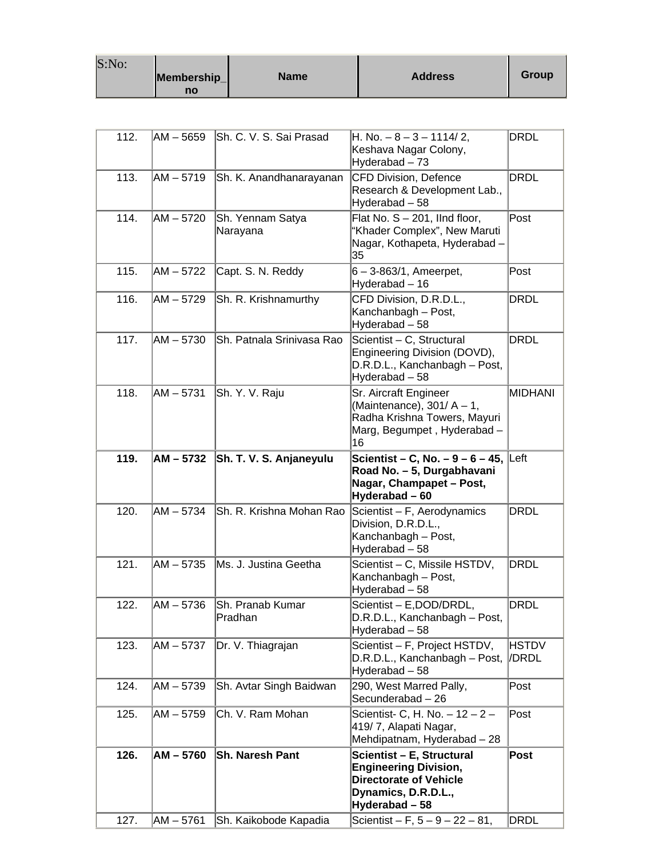| S:No: | Membership_<br>no | <b>Name</b> | <b>Address</b> | Group |
|-------|-------------------|-------------|----------------|-------|
|-------|-------------------|-------------|----------------|-------|

| 112.         | AM - 5659                  | Sh. C. V. S. Sai Prasad                         | $H. No. -8 - 3 - 1114/2,$<br>Keshava Nagar Colony,<br>Hyderabad - 73                                                                                                      | DRDL                       |
|--------------|----------------------------|-------------------------------------------------|---------------------------------------------------------------------------------------------------------------------------------------------------------------------------|----------------------------|
| 113.         | $AM - 5719$                | Sh. K. Anandhanarayanan                         | <b>CFD Division, Defence</b><br>Research & Development Lab.,<br>Hyderabad - 58                                                                                            | <b>DRDL</b>                |
| 114.         | $AM - 5720$                | Sh. Yennam Satya<br>Narayana                    | Flat No. S - 201, IInd floor,<br>"Khader Complex", New Maruti<br>Nagar, Kothapeta, Hyderabad -<br>35                                                                      | Post                       |
| 115.         | $AM - 5722$                | Capt. S. N. Reddy                               | $6 - 3 - 863/1$ , Ameerpet,<br>Hyderabad - 16                                                                                                                             | Post                       |
| 116.         | AM - 5729                  | Sh. R. Krishnamurthy                            | CFD Division, D.R.D.L.,<br>Kanchanbagh - Post,<br>Hyderabad - 58                                                                                                          | <b>DRDL</b>                |
| 117.         | $AM - 5730$                | Sh. Patnala Srinivasa Rao                       | Scientist - C, Structural<br>Engineering Division (DOVD),<br>D.R.D.L., Kanchanbagh - Post,<br>Hyderabad-58                                                                | <b>DRDL</b>                |
| 118.         | $AM - 5731$                | Sh. Y. V. Raju                                  | Sr. Aircraft Engineer<br>(Maintenance), $301/A - 1$ ,<br>Radha Krishna Towers, Mayuri<br>Marg, Begumpet, Hyderabad-<br>16                                                 | <b>MIDHANI</b>             |
| 119.         | AM - 5732                  | Sh. T. V. S. Anjaneyulu                         | <b>Scientist – C, No. – 9 – 6 – 45, Left</b><br>Road No. - 5, Durgabhavani<br>Nagar, Champapet - Post,                                                                    |                            |
|              |                            |                                                 | Hyderabad-60                                                                                                                                                              |                            |
| 120.         | $AM - 5734$                | Sh. R. Krishna Mohan Rao                        | Scientist - F, Aerodynamics<br>Division, D.R.D.L.,<br>Kanchanbagh - Post,<br>Hyderabad - 58                                                                               | <b>DRDL</b>                |
| 121.         | $AM - 5735$                | Ms. J. Justina Geetha                           | Scientist - C, Missile HSTDV,<br>Kanchanbagh - Post,<br>Hyderabad - 58                                                                                                    | DRDL                       |
| 122.         | $AM - 5736$                | Sh. Pranab Kumar<br>Pradhan                     | Scientist - E, DOD/DRDL,<br>D.R.D.L., Kanchanbagh - Post,<br>Hyderabad - 58                                                                                               | <b>DRDL</b>                |
| 123.         | $AM - 5737$                | Dr. V. Thiagrajan                               | Scientist - F, Project HSTDV,<br>D.R.D.L., Kanchanbagh - Post,<br>Hyderabad - 58                                                                                          | HSTDV<br>/DRDL             |
| 124.         | $AM - 5739$                | Sh. Avtar Singh Baidwan                         | 290, West Marred Pally,<br>Secunderabad - 26                                                                                                                              | Post                       |
| 125.         | AM - 5759                  | Ch. V. Ram Mohan                                | Scientist- C, H. No. $-12 - 2 -$<br>419/7, Alapati Nagar,<br>Mehdipatnam, Hyderabad - 28                                                                                  | Post                       |
| 126.<br>127. | $AM - 5760$<br>$AM - 5761$ | <b>Sh. Naresh Pant</b><br>Sh. Kaikobode Kapadia | Scientist - E, Structural<br><b>Engineering Division,</b><br><b>Directorate of Vehicle</b><br>Dynamics, D.R.D.L.,<br>Hyderabad - 58<br>Scientist – F, $5 - 9 - 22 - 81$ , | <b>Post</b><br><b>DRDL</b> |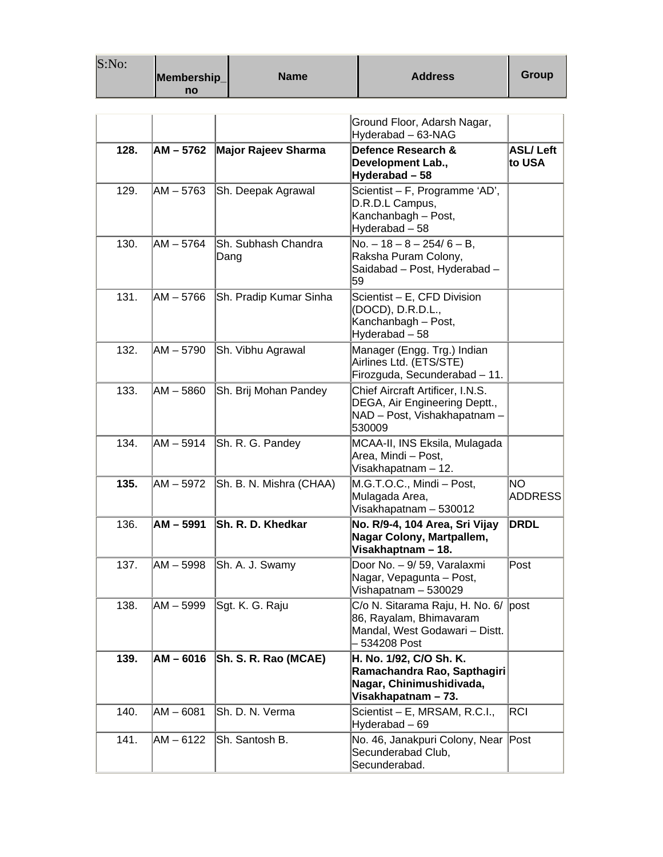| S:No: |             |             |                |              |
|-------|-------------|-------------|----------------|--------------|
|       | Membership_ | <b>Name</b> | <b>Address</b> | <b>Group</b> |
|       | no          |             |                |              |

|      |             |                             | Ground Floor, Adarsh Nagar,<br>Hyderabad - 63-NAG                                                                |                             |
|------|-------------|-----------------------------|------------------------------------------------------------------------------------------------------------------|-----------------------------|
| 128. | $AM - 5762$ | Major Rajeev Sharma         | Defence Research &<br>Development Lab.,<br>Hyderabad - 58                                                        | <b>ASL/Left</b><br>to USA   |
| 129. | $AM - 5763$ | Sh. Deepak Agrawal          | Scientist - F, Programme 'AD',<br>D.R.D.L Campus,<br>Kanchanbagh - Post,<br>Hyderabad - 58                       |                             |
| 130. | $AM - 5764$ | Sh. Subhash Chandra<br>Dang | $No. - 18 - 8 - 254/6 - B$ ,<br>Raksha Puram Colony,<br>Saidabad - Post, Hyderabad -<br>59                       |                             |
| 131. | $AM - 5766$ | Sh. Pradip Kumar Sinha      | Scientist - E, CFD Division<br>(DOCD), D.R.D.L.,<br>Kanchanbagh - Post,<br>Hyderabad-58                          |                             |
| 132. | $AM - 5790$ | Sh. Vibhu Agrawal           | Manager (Engg. Trg.) Indian<br>Airlines Ltd. (ETS/STE)<br>Firozguda, Secunderabad - 11.                          |                             |
| 133. | $AM - 5860$ | Sh. Brij Mohan Pandey       | Chief Aircraft Artificer, I.N.S.<br>DEGA, Air Engineering Deptt.,<br>NAD - Post, Vishakhapatnam -<br>530009      |                             |
| 134. | $AM - 5914$ | Sh. R. G. Pandey            | MCAA-II, INS Eksila, Mulagada<br>Area, Mindi - Post,<br>Visakhapatnam - 12.                                      |                             |
| 135. | $AM - 5972$ | Sh. B. N. Mishra (CHAA)     | M.G.T.O.C., Mindi - Post,<br>Mulagada Area,<br>Visakhapatnam - 530012                                            | <b>NO</b><br><b>ADDRESS</b> |
| 136. | $AM - 5991$ | Sh. R. D. Khedkar           | No. R/9-4, 104 Area, Sri Vijay<br>Nagar Colony, Martpallem,<br>Visakhaptnam - 18.                                | <b>DRDL</b>                 |
| 137. | $AM - 5998$ | Sh. A. J. Swamy             | Door No. - 9/ 59, Varalaxmi<br>Nagar, Vepagunta - Post,<br>Vishapatnam - 530029                                  | Post                        |
| 138. | AM-5999     | Sgt. K. G. Raju             | C/o N. Sitarama Raju, H. No. 6/ post<br>86, Rayalam, Bhimavaram<br>Mandal, West Godawari - Distt.<br>534208 Post |                             |
| 139. | $AM - 6016$ | Sh. S. R. Rao (MCAE)        | H. No. 1/92, C/O Sh. K.<br>Ramachandra Rao, Sapthagiri<br>Nagar, Chinimushidivada,<br>Visakhapatnam - 73.        |                             |
| 140. | $AM - 6081$ | Sh. D. N. Verma             | Scientist - E, MRSAM, R.C.I.,<br>Hyderabad - 69                                                                  | RCI                         |
| 141. | $AM - 6122$ | Sh. Santosh B.              | No. 46, Janakpuri Colony, Near Post<br>Secunderabad Club,<br>Secunderabad.                                       |                             |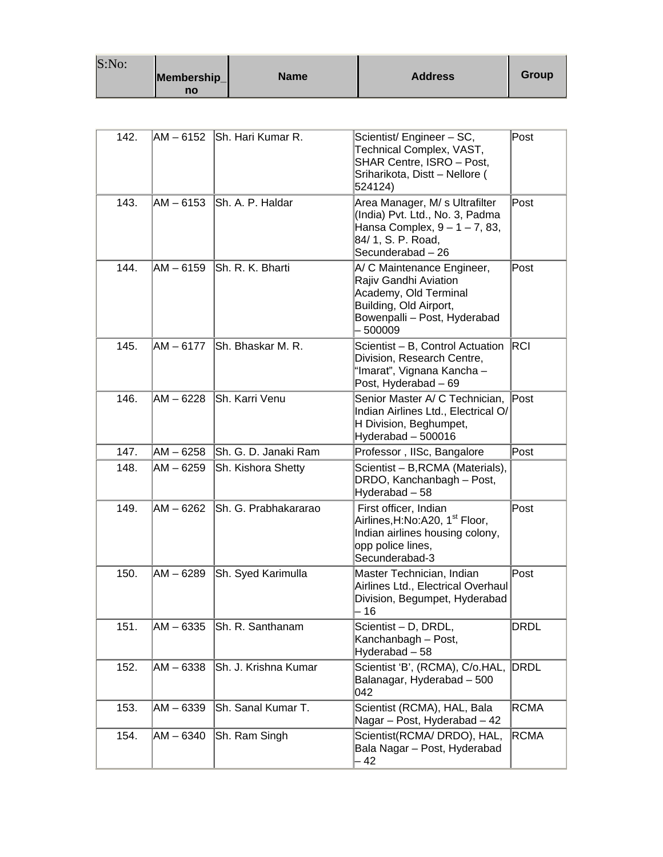| S:No: |             |             |                |       |
|-------|-------------|-------------|----------------|-------|
|       | Membership_ | <b>Name</b> | <b>Address</b> | Group |
|       | no          |             |                |       |

| 142. | AM - 6152   | Sh. Hari Kumar R.    | Scientist/ Engineer - SC,<br>Technical Complex, VAST,<br>SHAR Centre, ISRO - Post,<br>Sriharikota, Distt - Nellore (<br>524124)                     | Post        |
|------|-------------|----------------------|-----------------------------------------------------------------------------------------------------------------------------------------------------|-------------|
| 143. | $AM - 6153$ | Sh. A. P. Haldar     | Area Manager, M/ s Ultrafilter<br>(India) Pvt. Ltd., No. 3, Padma<br>Hansa Complex, $9 - 1 - 7$ , 83,<br>84/ 1, S. P. Road,<br>Secunderabad - 26    | Post        |
| 144. | $AM - 6159$ | Sh. R. K. Bharti     | A/ C Maintenance Engineer,<br>Rajiv Gandhi Aviation<br>Academy, Old Terminal<br>Building, Old Airport,<br>Bowenpalli - Post, Hyderabad<br>$-500009$ | Post        |
| 145. | $AM - 6177$ | Sh. Bhaskar M. R.    | Scientist - B, Control Actuation<br>Division, Research Centre,<br>"Imarat", Vignana Kancha -<br>Post, Hyderabad - 69                                | RCI         |
| 146. | $AM - 6228$ | Sh. Karri Venu       | Senior Master A/ C Technician,<br>Indian Airlines Ltd., Electrical O/<br>H Division, Beghumpet,<br>Hyderabad - 500016                               | Post        |
| 147. | $AM - 6258$ | Sh. G. D. Janaki Ram | Professor, IISc, Bangalore                                                                                                                          | Post        |
| 148. | $AM - 6259$ | Sh. Kishora Shetty   | Scientist - B, RCMA (Materials),<br>DRDO, Kanchanbagh - Post,<br>Hyderabad-58                                                                       |             |
| 149. | $AM - 6262$ | Sh. G. Prabhakararao | First officer, Indian<br>Airlines, H:No:A20, 1 <sup>st</sup> Floor,<br>Indian airlines housing colony,<br>opp police lines,<br>Secunderabad-3       | Post        |
| 150. | $AM - 6289$ | Sh. Syed Karimulla   | Master Technician, Indian<br>Airlines Ltd., Electrical Overhaul<br>Division, Begumpet, Hyderabad<br>- 16                                            | Post        |
| 151. | $AM - 6335$ | Sh. R. Santhanam     | Scientist - D, DRDL,<br>Kanchanbagh - Post,<br>Hyderabad - 58                                                                                       | DRDL        |
| 152. | $AM - 6338$ | Sh. J. Krishna Kumar | Scientist 'B', (RCMA), C/o.HAL,<br>Balanagar, Hyderabad - 500<br>042                                                                                | DRDL        |
| 153. | $AM - 6339$ | Sh. Sanal Kumar T.   | Scientist (RCMA), HAL, Bala<br>Nagar - Post, Hyderabad - 42                                                                                         | <b>RCMA</b> |
| 154. | $AM - 6340$ | Sh. Ram Singh        | Scientist(RCMA/ DRDO), HAL,<br>Bala Nagar - Post, Hyderabad<br>42                                                                                   | <b>RCMA</b> |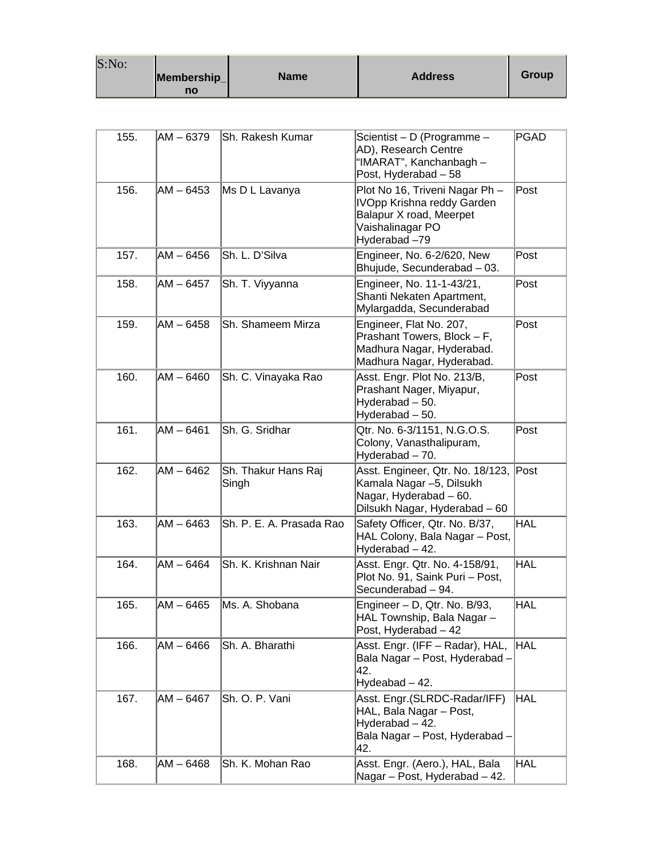| S:No: |                   |             |                |       |
|-------|-------------------|-------------|----------------|-------|
|       | Membership_<br>no | <b>Name</b> | <b>Address</b> | Group |

| 155. | $AM - 6379$ | Sh. Rakesh Kumar             | Scientist - D (Programme -<br>AD), Research Centre<br>"IMARAT", Kanchanbagh -<br>Post, Hyderabad - 58                       | <b>PGAD</b> |
|------|-------------|------------------------------|-----------------------------------------------------------------------------------------------------------------------------|-------------|
| 156. | $AM - 6453$ | Ms D L Lavanya               | Plot No 16, Triveni Nagar Ph -<br>IVOpp Krishna reddy Garden<br>Balapur X road, Meerpet<br>Vaishalinagar PO<br>Hyderabad-79 | Post        |
| 157. | AM-6456     | Sh. L. D'Silva               | Engineer, No. 6-2/620, New<br>Bhujude, Secunderabad - 03.                                                                   | Post        |
| 158. | AM - 6457   | Sh. T. Viyyanna              | Engineer, No. 11-1-43/21,<br>Shanti Nekaten Apartment,<br>Mylargadda, Secunderabad                                          | Post        |
| 159. | AM-6458     | Sh. Shameem Mirza            | Engineer, Flat No. 207,<br>Prashant Towers, Block - F,<br>Madhura Nagar, Hyderabad.<br>Madhura Nagar, Hyderabad.            | Post        |
| 160. | $AM - 6460$ | Sh. C. Vinayaka Rao          | Asst. Engr. Plot No. 213/B,<br>Prashant Nager, Miyapur,<br>Hyderabad - 50.<br>Hyderabad - 50.                               | Post        |
| 161. | $AM - 6461$ | Sh. G. Sridhar               | Qtr. No. 6-3/1151, N.G.O.S.<br>Colony, Vanasthalipuram,<br>Hyderabad - 70.                                                  | Post        |
| 162. | AM - 6462   | Sh. Thakur Hans Raj<br>Singh | Asst. Engineer, Qtr. No. 18/123,<br>Kamala Nagar –5, Dilsukh<br>Nagar, Hyderabad - 60.<br>Dilsukh Nagar, Hyderabad - 60     | Post        |
| 163. | $AM - 6463$ | Sh. P. E. A. Prasada Rao     | Safety Officer, Qtr. No. B/37,<br>HAL Colony, Bala Nagar - Post,<br>Hyderabad - 42.                                         | <b>HAL</b>  |
| 164. | AM - 6464   | Sh. K. Krishnan Nair         | Asst. Engr. Qtr. No. 4-158/91,<br>Plot No. 91, Saink Puri - Post,<br>Secunderabad - 94.                                     | <b>HAL</b>  |
| 165. | $AM - 6465$ | Ms. A. Shobana               | Engineer - D, Qtr. No. B/93,<br>HAL Township, Bala Nagar-<br>Post, Hyderabad - 42                                           | HAL         |
| 166. | AM - 6466   | Sh. A. Bharathi              | Asst. Engr. (IFF - Radar), HAL,<br>Bala Nagar - Post, Hyderabad -<br>42.<br>Hydeabad - 42.                                  | <b>HAL</b>  |
| 167. | $AM - 6467$ | Sh. O. P. Vani               | Asst. Engr. (SLRDC-Radar/IFF)<br>HAL, Bala Nagar - Post,<br>Hyderabad - 42.<br>Bala Nagar - Post, Hyderabad -<br>42.        | <b>HAL</b>  |
| 168. | AM – 6468   | Sh. K. Mohan Rao             | Asst. Engr. (Aero.), HAL, Bala<br>Nagar - Post, Hyderabad - 42.                                                             | <b>HAL</b>  |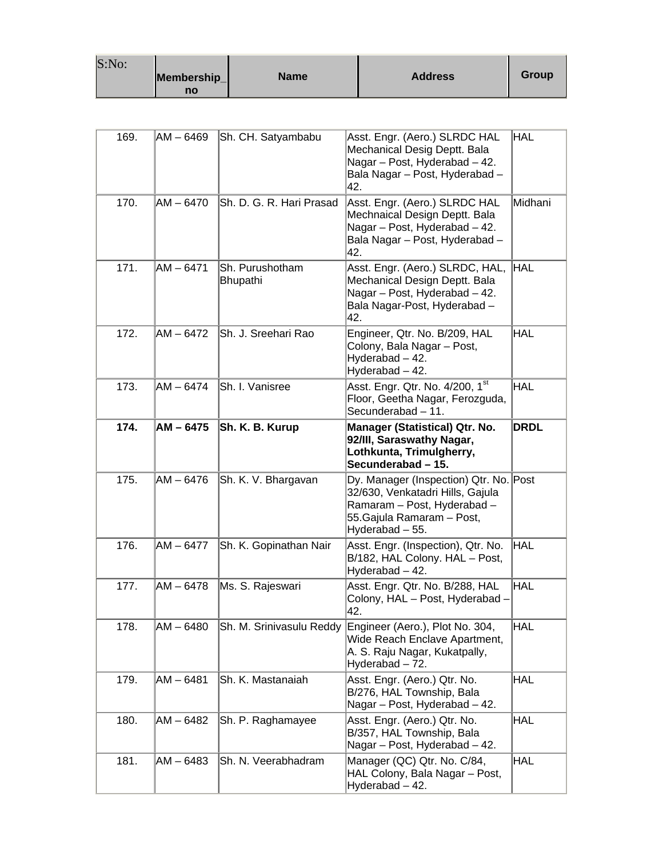| S:No: | Membership_<br>no | <b>Name</b> | <b>Address</b> | Group |
|-------|-------------------|-------------|----------------|-------|
|-------|-------------------|-------------|----------------|-------|

| 169. | AM - 6469   | Sh. CH. Satyambabu          | Asst. Engr. (Aero.) SLRDC HAL<br>Mechanical Desig Deptt. Bala<br>Nagar - Post, Hyderabad - 42.<br>Bala Nagar - Post, Hyderabad -<br>42.                    | <b>HAL</b>  |
|------|-------------|-----------------------------|------------------------------------------------------------------------------------------------------------------------------------------------------------|-------------|
| 170. | $AM - 6470$ | Sh. D. G. R. Hari Prasad    | Asst. Engr. (Aero.) SLRDC HAL<br>Mechnaical Design Deptt. Bala<br>Nagar - Post, Hyderabad - 42.<br>Bala Nagar - Post, Hyderabad -<br>42.                   | Midhani     |
| 171. | $AM - 6471$ | Sh. Purushotham<br>Bhupathi | Asst. Engr. (Aero.) SLRDC, HAL,<br>Mechanical Design Deptt. Bala<br>Nagar - Post, Hyderabad - 42.<br>Bala Nagar-Post, Hyderabad -<br>42.                   | <b>HAL</b>  |
| 172. | AM – 6472   | Sh. J. Sreehari Rao         | Engineer, Qtr. No. B/209, HAL<br>Colony, Bala Nagar - Post,<br>Hyderabad - 42.<br>Hyderabad - 42.                                                          | <b>HAL</b>  |
| 173. | AM - 6474   | Sh. I. Vanisree             | Asst. Engr. Qtr. No. 4/200, 1st<br>Floor, Geetha Nagar, Ferozguda,<br>Secunderabad - 11.                                                                   | <b>HAL</b>  |
| 174. | AM - 6475   | Sh. K. B. Kurup             | Manager (Statistical) Qtr. No.<br>92/III, Saraswathy Nagar,<br>Lothkunta, Trimulgherry,<br>Secunderabad - 15.                                              | <b>DRDL</b> |
| 175. | AM - 6476   | Sh. K. V. Bhargavan         | Dy. Manager (Inspection) Qtr. No. Post<br>32/630, Venkatadri Hills, Gajula<br>Ramaram - Post, Hyderabad -<br>55. Gajula Ramaram - Post,<br>Hyderabad - 55. |             |
| 176. | $AM - 6477$ | Sh. K. Gopinathan Nair      | Asst. Engr. (Inspection), Qtr. No.<br>B/182, HAL Colony. HAL - Post,<br>Hyderabad - 42.                                                                    | <b>HAL</b>  |
| 177. | $AM - 6478$ | Ms. S. Rajeswari            | Asst. Engr. Qtr. No. B/288, HAL<br>Colony, HAL - Post, Hyderabad -<br>42.                                                                                  | <b>HAL</b>  |
| 178. | AM-6480     | Sh. M. Srinivasulu Reddy    | Engineer (Aero.), Plot No. 304,<br>Wide Reach Enclave Apartment,<br>A. S. Raju Nagar, Kukatpally,<br>Hyderabad - 72.                                       | <b>HAL</b>  |
| 179. | $AM - 6481$ | Sh. K. Mastanaiah           | Asst. Engr. (Aero.) Qtr. No.<br>B/276, HAL Township, Bala<br>Nagar - Post, Hyderabad - 42.                                                                 | <b>HAL</b>  |
| 180. | $AM - 6482$ | Sh. P. Raghamayee           | Asst. Engr. (Aero.) Qtr. No.<br>B/357, HAL Township, Bala<br>Nagar - Post, Hyderabad - 42.                                                                 | <b>HAL</b>  |
| 181. | $AM - 6483$ | Sh. N. Veerabhadram         | Manager (QC) Qtr. No. C/84,<br>HAL Colony, Bala Nagar - Post,<br>Hyderabad - 42.                                                                           | <b>HAL</b>  |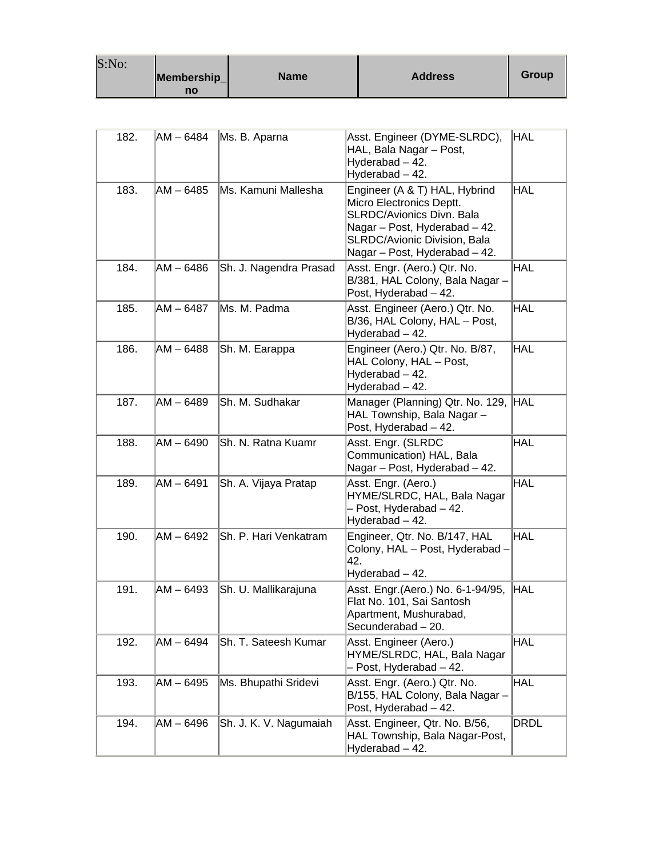| S:No: |             |             |                |       |
|-------|-------------|-------------|----------------|-------|
|       | Membership_ | <b>Name</b> | <b>Address</b> | Group |
|       | no          |             |                |       |

| 182. | AM – 6484   | Ms. B. Aparna          | Asst. Engineer (DYME-SLRDC),<br>HAL, Bala Nagar - Post,<br>Hyderabad - 42.<br>Hyderabad - 42.                                                                                                          | HAL         |
|------|-------------|------------------------|--------------------------------------------------------------------------------------------------------------------------------------------------------------------------------------------------------|-------------|
| 183. | AM-6485     | Ms. Kamuni Mallesha    | Engineer (A & T) HAL, Hybrind<br>Micro Electronics Deptt.<br><b>SLRDC/Avionics Divn. Bala</b><br>Nagar - Post, Hyderabad - 42.<br><b>SLRDC/Avionic Division, Bala</b><br>Nagar - Post, Hyderabad - 42. | HAL         |
| 184. | $AM - 6486$ | Sh. J. Nagendra Prasad | Asst. Engr. (Aero.) Qtr. No.<br>B/381, HAL Colony, Bala Nagar -<br>Post, Hyderabad - 42.                                                                                                               | HAL         |
| 185. | AM – 6487   | Ms. M. Padma           | Asst. Engineer (Aero.) Qtr. No.<br>B/36, HAL Colony, HAL - Post,<br>Hyderabad - 42.                                                                                                                    | HAL         |
| 186. | AM - 6488   | Sh. M. Earappa         | Engineer (Aero.) Qtr. No. B/87,<br>HAL Colony, HAL - Post,<br>Hyderabad - 42.<br>Hyderabad - 42.                                                                                                       | HAL         |
| 187. | $AM - 6489$ | Sh. M. Sudhakar        | Manager (Planning) Qtr. No. 129, HAL<br>HAL Township, Bala Nagar -<br>Post, Hyderabad - 42.                                                                                                            |             |
| 188. | AM – 6490   | Sh. N. Ratna Kuamr     | Asst. Engr. (SLRDC<br>Communication) HAL, Bala<br>Nagar - Post, Hyderabad - 42.                                                                                                                        | HAL         |
| 189. | AM-6491     | Sh. A. Vijaya Pratap   | Asst. Engr. (Aero.)<br>HYME/SLRDC, HAL, Bala Nagar<br>- Post, Hyderabad - 42.<br>Hyderabad - 42.                                                                                                       | HAL         |
| 190. | AM - 6492   | Sh. P. Hari Venkatram  | Engineer, Qtr. No. B/147, HAL<br>Colony, HAL - Post, Hyderabad -<br>42.<br>Hyderabad - 42.                                                                                                             | HAL         |
| 191. | $AM - 6493$ | Sh. U. Mallikarajuna   | Asst. Engr. (Aero.) No. 6-1-94/95,<br>Flat No. 101, Sai Santosh<br>Apartment, Mushurabad,<br>Secunderabad - 20.                                                                                        | <b>HAL</b>  |
| 192. | AM - 6494   | Sh. T. Sateesh Kumar   | Asst. Engineer (Aero.)<br>HYME/SLRDC, HAL, Bala Nagar<br>- Post, Hyderabad - 42.                                                                                                                       | HAL         |
| 193. | $AM - 6495$ | Ms. Bhupathi Sridevi   | Asst. Engr. (Aero.) Qtr. No.<br>B/155, HAL Colony, Bala Nagar -<br>Post, Hyderabad - 42.                                                                                                               | HAL         |
| 194. | $AM - 6496$ | Sh. J. K. V. Nagumaiah | Asst. Engineer, Qtr. No. B/56,<br>HAL Township, Bala Nagar-Post,<br>Hyderabad - 42.                                                                                                                    | <b>DRDL</b> |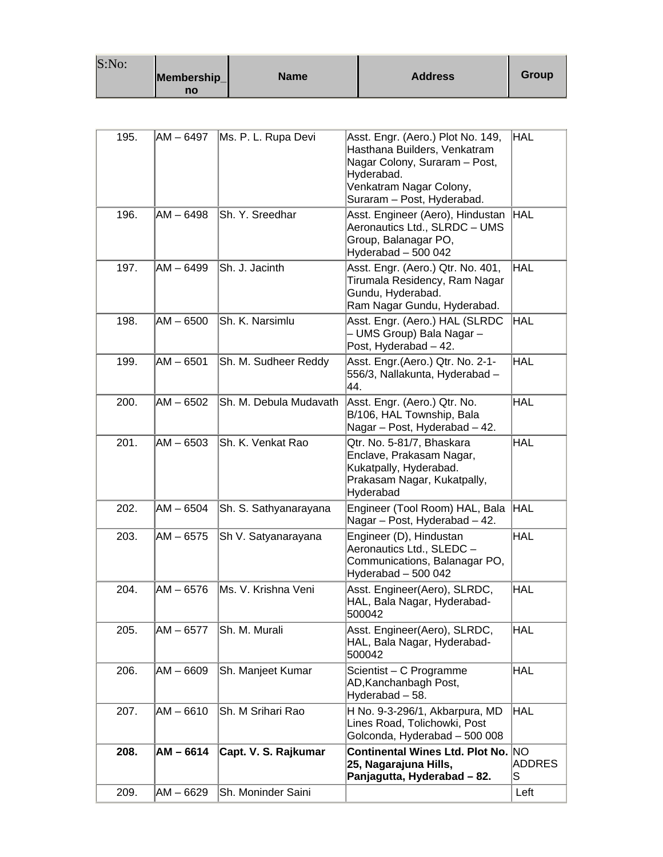| S:No: | Membership_<br>no | <b>Name</b> | <b>Address</b> | Group |
|-------|-------------------|-------------|----------------|-------|
|-------|-------------------|-------------|----------------|-------|

| 195. | AM – 6497   | Ms. P. L. Rupa Devi    | Asst. Engr. (Aero.) Plot No. 149,<br>Hasthana Builders, Venkatram<br>Nagar Colony, Suraram - Post,<br>Hyderabad.<br>Venkatram Nagar Colony,<br>Suraram - Post, Hyderabad. | HAL                |
|------|-------------|------------------------|---------------------------------------------------------------------------------------------------------------------------------------------------------------------------|--------------------|
| 196. | AM – 6498   | Sh. Y. Sreedhar        | Asst. Engineer (Aero), Hindustan<br>Aeronautics Ltd., SLRDC - UMS<br>Group, Balanagar PO,<br>Hyderabad - 500 042                                                          | <b>HAL</b>         |
| 197. | AM – 6499   | Sh. J. Jacinth         | Asst. Engr. (Aero.) Qtr. No. 401,<br>Tirumala Residency, Ram Nagar<br>Gundu, Hyderabad.<br>Ram Nagar Gundu, Hyderabad.                                                    | HAL                |
| 198. | AM – 6500   | Sh. K. Narsimlu        | Asst. Engr. (Aero.) HAL (SLRDC<br>- UMS Group) Bala Nagar –<br>Post, Hyderabad - 42.                                                                                      | <b>HAL</b>         |
| 199. | AM - 6501   | Sh. M. Sudheer Reddy   | Asst. Engr. (Aero.) Qtr. No. 2-1-<br>556/3, Nallakunta, Hyderabad -<br>44.                                                                                                | <b>HAL</b>         |
| 200. | AM - 6502   | Sh. M. Debula Mudavath | Asst. Engr. (Aero.) Qtr. No.<br>B/106, HAL Township, Bala<br>Nagar - Post, Hyderabad - 42.                                                                                | <b>HAL</b>         |
| 201. | $AM - 6503$ | Sh. K. Venkat Rao      | Qtr. No. 5-81/7, Bhaskara<br>Enclave, Prakasam Nagar,<br>Kukatpally, Hyderabad.<br>Prakasam Nagar, Kukatpally,<br>Hyderabad                                               | <b>HAL</b>         |
| 202. | $AM - 6504$ | Sh. S. Sathyanarayana  | Engineer (Tool Room) HAL, Bala<br>Nagar - Post, Hyderabad - 42.                                                                                                           | <b>HAL</b>         |
| 203. | AM - 6575   | Sh V. Satyanarayana    | Engineer (D), Hindustan<br>Aeronautics Ltd., SLEDC -<br>Communications, Balanagar PO,<br>Hyderabad - 500 042                                                              | <b>HAL</b>         |
| 204. | AM – 6576   | Ms. V. Krishna Veni    | Asst. Engineer(Aero), SLRDC,<br>HAL, Bala Nagar, Hyderabad-<br>500042                                                                                                     | <b>HAL</b>         |
| 205. | AM - 6577   | Sh. M. Murali          | Asst. Engineer(Aero), SLRDC,<br>HAL, Bala Nagar, Hyderabad-<br>500042                                                                                                     | <b>HAL</b>         |
| 206. | AM - 6609   | Sh. Manjeet Kumar      | Scientist - C Programme<br>AD, Kanchanbagh Post,<br>Hyderabad - 58.                                                                                                       | <b>HAL</b>         |
| 207. | AM - 6610   | Sh. M Srihari Rao      | H No. 9-3-296/1, Akbarpura, MD<br>Lines Road, Tolichowki, Post<br>Golconda, Hyderabad - 500 008                                                                           | <b>HAL</b>         |
| 208. | $AM - 6614$ | Capt. V. S. Rajkumar   | Continental Wines Ltd. Plot No. NO<br>25, Nagarajuna Hills,<br>Panjagutta, Hyderabad - 82.                                                                                | <b>ADDRES</b><br>S |
| 209. | AM - 6629   | Sh. Moninder Saini     |                                                                                                                                                                           | Left               |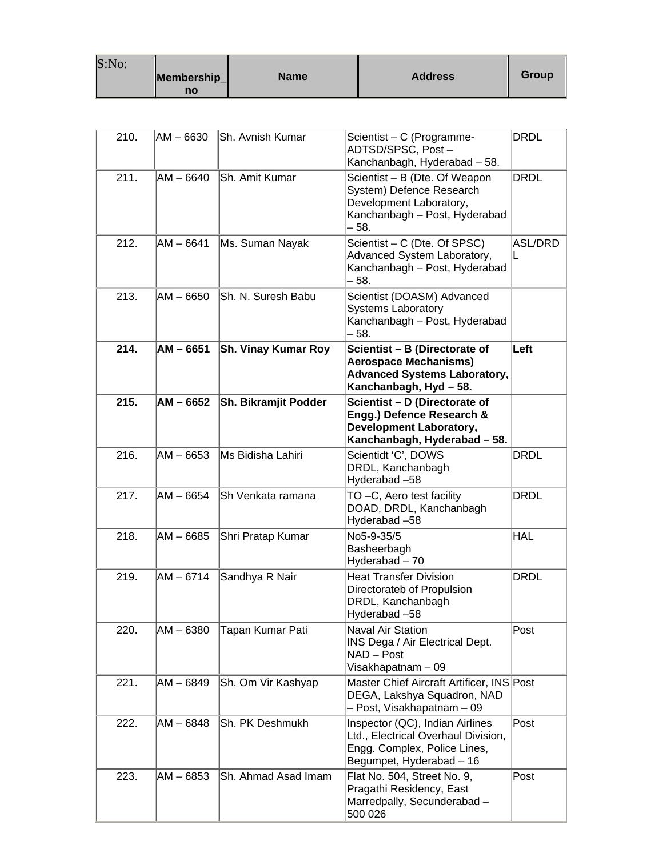| S:No: |             |      |                |       |
|-------|-------------|------|----------------|-------|
|       | Membership_ | Name | <b>Address</b> | Group |
|       | no          |      |                |       |

| 210. | AM – 6630   | Sh. Avnish Kumar            | Scientist - C (Programme-<br>ADTSD/SPSC, Post-<br>Kanchanbagh, Hyderabad - 58.                                                     | <b>DRDL</b>         |
|------|-------------|-----------------------------|------------------------------------------------------------------------------------------------------------------------------------|---------------------|
| 211. | AM - 6640   | Sh. Amit Kumar              | Scientist - B (Dte. Of Weapon<br>System) Defence Research<br>Development Laboratory,<br>Kanchanbagh - Post, Hyderabad<br>58.       | <b>DRDL</b>         |
| 212. | AM - 6641   | Ms. Suman Nayak             | Scientist - C (Dte. Of SPSC)<br>Advanced System Laboratory,<br>Kanchanbagh - Post, Hyderabad<br>- 58.                              | <b>ASL/DRD</b><br>L |
| 213. | AM - 6650   | Sh. N. Suresh Babu          | Scientist (DOASM) Advanced<br><b>Systems Laboratory</b><br>Kanchanbagh - Post, Hyderabad<br>58.                                    |                     |
| 214. | $AM - 6651$ | <b>Sh. Vinay Kumar Roy</b>  | Scientist - B (Directorate of<br><b>Aerospace Mechanisms)</b><br><b>Advanced Systems Laboratory,</b><br>Kanchanbagh, Hyd - 58.     | Left                |
| 215. | $AM - 6652$ | <b>Sh. Bikramjit Podder</b> | Scientist - D (Directorate of<br>Engg.) Defence Research &<br><b>Development Laboratory,</b><br>Kanchanbagh, Hyderabad - 58.       |                     |
| 216. | AM - 6653   | Ms Bidisha Lahiri           | Scientidt 'C', DOWS<br>DRDL, Kanchanbagh<br>Hyderabad-58                                                                           | <b>DRDL</b>         |
| 217. | AM – 6654   | Sh Venkata ramana           | TO-C, Aero test facility<br>DOAD, DRDL, Kanchanbagh<br>Hyderabad-58                                                                | <b>DRDL</b>         |
| 218. | AM – 6685   | Shri Pratap Kumar           | No5-9-35/5<br>Basheerbagh<br>Hyderabad - 70                                                                                        | <b>HAL</b>          |
| 219. | $AM - 6714$ | Sandhya R Nair              | <b>Heat Transfer Division</b><br>Directorateb of Propulsion<br>DRDL, Kanchanbagh<br>Hyderabad-58                                   | <b>DRDL</b>         |
| 220. | AM - 6380   | Tapan Kumar Pati            | Naval Air Station<br>INS Dega / Air Electrical Dept.<br>NAD - Post<br>Visakhapatnam - 09                                           | Post                |
| 221. | AM - 6849   | Sh. Om Vir Kashyap          | Master Chief Aircraft Artificer, INS Post<br>DEGA, Lakshya Squadron, NAD<br>- Post, Visakhapatnam - 09                             |                     |
| 222. | $AM - 6848$ | Sh. PK Deshmukh             | Inspector (QC), Indian Airlines<br>Ltd., Electrical Overhaul Division,<br>Engg. Complex, Police Lines,<br>Begumpet, Hyderabad - 16 | Post                |
| 223. | AM - 6853   | Sh. Ahmad Asad Imam         | Flat No. 504, Street No. 9,<br>Pragathi Residency, East<br>Marredpally, Secunderabad -<br>500 026                                  | Post                |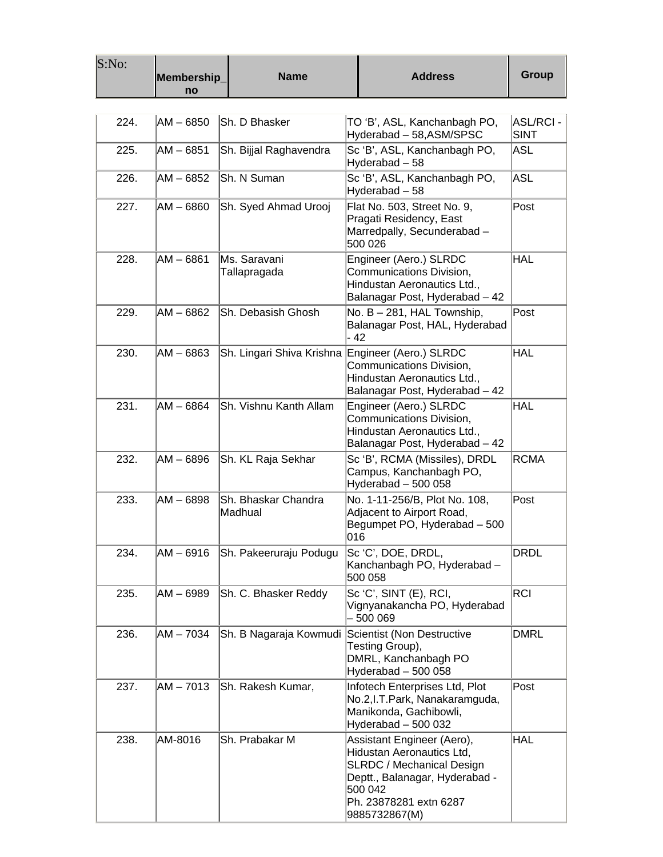| S:No: | Membership_<br>no | <b>Name</b>                    | <b>Address</b>                                                                                                                                                                      | <b>Group</b>                   |
|-------|-------------------|--------------------------------|-------------------------------------------------------------------------------------------------------------------------------------------------------------------------------------|--------------------------------|
|       |                   |                                |                                                                                                                                                                                     |                                |
| 224.  | AM - 6850         | Sh. D Bhasker                  | TO 'B', ASL, Kanchanbagh PO,<br>Hyderabad - 58, ASM/SPSC                                                                                                                            | <b>ASL/RCI-</b><br><b>SINT</b> |
| 225.  | AM - 6851         | Sh. Bijjal Raghavendra         | Sc 'B', ASL, Kanchanbagh PO,<br>Hyderabad - 58                                                                                                                                      | <b>ASL</b>                     |
| 226.  | AM - 6852         | Sh. N Suman                    | Sc 'B', ASL, Kanchanbagh PO,<br>Hyderabad - 58                                                                                                                                      | <b>ASL</b>                     |
| 227.  | AM - 6860         | Sh. Syed Ahmad Urooj           | Flat No. 503, Street No. 9,<br>Pragati Residency, East<br>Marredpally, Secunderabad-<br>500 026                                                                                     | Post                           |
| 228.  | AM - 6861         | Ms. Saravani<br>Tallapragada   | Engineer (Aero.) SLRDC<br>Communications Division,<br>Hindustan Aeronautics Ltd.,<br>Balanagar Post, Hyderabad - 42                                                                 | <b>HAL</b>                     |
| 229.  | AM – 6862         | Sh. Debasish Ghosh             | No. B - 281, HAL Township,<br>Balanagar Post, HAL, Hyderabad<br>$-42$                                                                                                               | Post                           |
| 230.  | $AM - 6863$       | Sh. Lingari Shiva Krishna      | Engineer (Aero.) SLRDC<br>Communications Division,<br>Hindustan Aeronautics Ltd.,<br>Balanagar Post, Hyderabad - 42                                                                 | <b>HAL</b>                     |
| 231.  | $AM - 6864$       | Sh. Vishnu Kanth Allam         | Engineer (Aero.) SLRDC<br>Communications Division,<br>Hindustan Aeronautics Ltd.,<br>Balanagar Post, Hyderabad - 42                                                                 | <b>HAL</b>                     |
| 232.  | AM – 6896         | Sh. KL Raja Sekhar             | Sc 'B', RCMA (Missiles), DRDL<br>Campus, Kanchanbagh PO,<br>Hyderabad - 500 058                                                                                                     | <b>RCMA</b>                    |
| 233.  | $AM - 6898$       | Sh. Bhaskar Chandra<br>Madhual | No. 1-11-256/B, Plot No. 108,<br>Adjacent to Airport Road,<br>Begumpet PO, Hyderabad - 500<br> 016                                                                                  | Post                           |
| 234.  | AM – 6916         | Sh. Pakeeruraju Podugu         | Sc 'C', DOE, DRDL,<br>Kanchanbagh PO, Hyderabad -<br>500 058                                                                                                                        | <b>DRDL</b>                    |
| 235.  | AM – 6989         | Sh. C. Bhasker Reddy           | Sc 'C', SINT (E), RCI,<br>Vignyanakancha PO, Hyderabad<br>- 500 069                                                                                                                 | <b>RCI</b>                     |
| 236.  | AM – 7034         | Sh. B Nagaraja Kowmudi         | Scientist (Non Destructive<br>Testing Group),<br>DMRL, Kanchanbagh PO<br>Hyderabad - 500 058                                                                                        | <b>DMRL</b>                    |
| 237.  | AM-7013           | Sh. Rakesh Kumar,              | Infotech Enterprises Ltd, Plot<br>No.2, I.T. Park, Nanakaramguda,<br>Manikonda, Gachibowli,<br>Hyderabad - 500 032                                                                  | Post                           |
| 238.  | AM-8016           | Sh. Prabakar M                 | Assistant Engineer (Aero),<br>Hidustan Aeronautics Ltd,<br><b>SLRDC / Mechanical Design</b><br>Deptt., Balanagar, Hyderabad -<br>500 042<br>Ph. 23878281 extn 6287<br>9885732867(M) | <b>HAL</b>                     |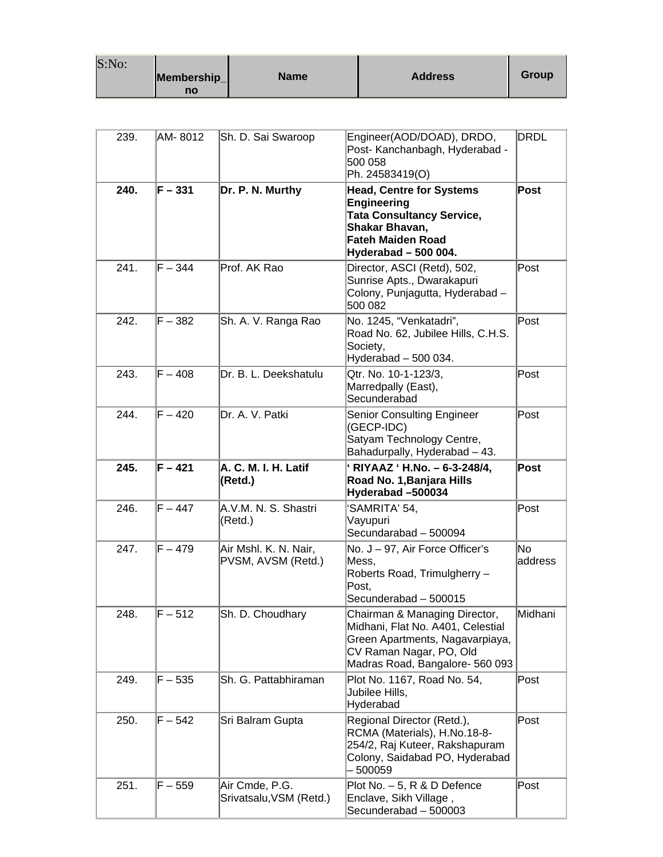| S:No: |             |      |                |       |
|-------|-------------|------|----------------|-------|
|       | Membership_ | Name | <b>Address</b> | Group |
|       | no          |      |                |       |

| 239.         | AM- 8012               | Sh. D. Sai Swaroop                          | Engineer(AOD/DOAD), DRDO,<br>Post- Kanchanbagh, Hyderabad -<br>500 058<br>Ph. 24583419(O)                                                                           | DRDL           |
|--------------|------------------------|---------------------------------------------|---------------------------------------------------------------------------------------------------------------------------------------------------------------------|----------------|
| 240.         | $F - 331$              | Dr. P. N. Murthy                            | <b>Head, Centre for Systems</b><br><b>Engineering</b><br><b>Tata Consultancy Service,</b><br>Shakar Bhavan,<br>Fateh Maiden Road<br>Hyderabad - 500 004.            | Post           |
| 241.         | $F - 344$              | Prof. AK Rao                                | Director, ASCI (Retd), 502,<br>Sunrise Apts., Dwarakapuri<br>Colony, Punjagutta, Hyderabad -<br>500 082                                                             | Post           |
| 242.         | $F - 382$              | Sh. A. V. Ranga Rao                         | No. 1245, "Venkatadri",<br>Road No. 62, Jubilee Hills, C.H.S.<br>Society,<br>Hyderabad - 500 034.                                                                   | Post           |
| 243.         | $F - 408$              | Dr. B. L. Deekshatulu                       | Qtr. No. 10-1-123/3,<br>Marredpally (East),<br>Secunderabad                                                                                                         | Post           |
| 244.         | $F - 420$              | Dr. A. V. Patki                             | <b>Senior Consulting Engineer</b><br>(GECP-IDC)<br>Satyam Technology Centre,<br>Bahadurpally, Hyderabad - 43.                                                       | Post           |
| 245.         | $F - 421$              | A. C. M. I. H. Latif                        | ' RIYAAZ ' H.No. - 6-3-248/4,                                                                                                                                       | Post           |
|              |                        | (Retd.)                                     | Road No. 1, Banjara Hills<br>Hyderabad -500034                                                                                                                      |                |
| 246.         | $F - 447$              | A.V.M. N. S. Shastri<br>(Retd.)             | 'SAMRITA' 54,<br>Vayupuri<br>Secundarabad - 500094                                                                                                                  | Post           |
| 247.         | $F - 479$              | Air Mshl. K. N. Nair,<br>PVSM, AVSM (Retd.) | No. J - 97, Air Force Officer's<br>Mess,<br>Roberts Road, Trimulgherry -<br>Post,<br>Secunderabad - 500015                                                          | No.<br>address |
| 248.         | $F - 512$              | Sh. D. Choudhary                            | Chairman & Managing Director,<br>Midhani, Flat No. A401, Celestial<br>Green Apartments, Nagavarpiaya,<br>CV Raman Nagar, PO, Old<br>Madras Road, Bangalore- 560 093 | Midhani        |
| 249.         | $F - 535$              | Sh. G. Pattabhiraman                        | Plot No. 1167, Road No. 54,<br>Jubilee Hills,<br>Hyderabad                                                                                                          | Post           |
| 250.<br>251. | $F - 542$<br>$F - 559$ | Sri Balram Gupta                            | Regional Director (Retd.),<br>RCMA (Materials), H.No.18-8-<br>254/2, Raj Kuteer, Rakshapuram<br>Colony, Saidabad PO, Hyderabad<br>500059                            | Post           |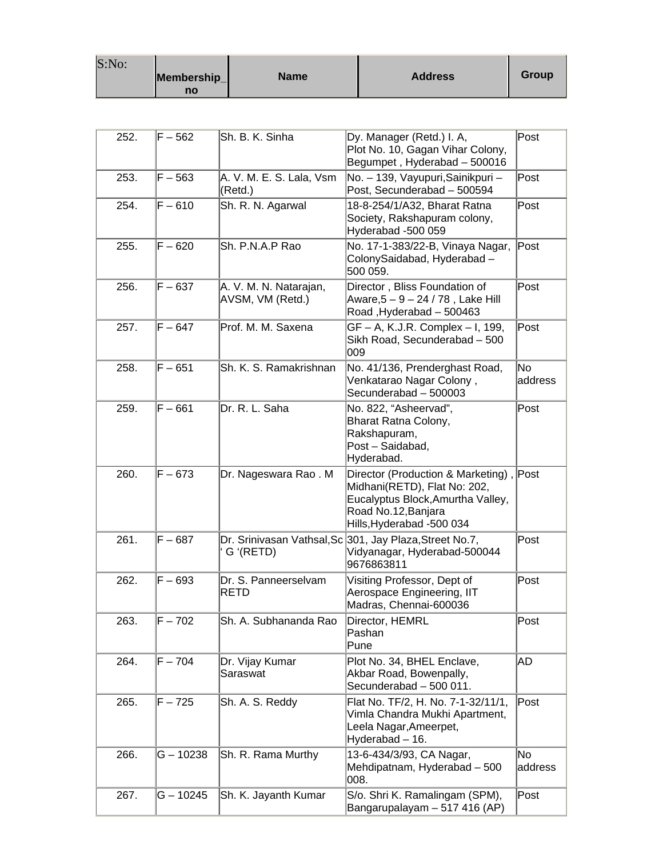| S:No: |             |      |                |       |
|-------|-------------|------|----------------|-------|
|       | Membership_ | Name | <b>Address</b> | Group |
|       | no          |      |                |       |

| 252. | $F - 562$ | Sh. B. K. Sinha                            | Dy. Manager (Retd.) I. A,<br>Plot No. 10, Gagan Vihar Colony,<br>Begumpet, Hyderabad - 500016                                                               | Post                      |
|------|-----------|--------------------------------------------|-------------------------------------------------------------------------------------------------------------------------------------------------------------|---------------------------|
| 253. | $F - 563$ | A. V. M. E. S. Lala, Vsm<br>(Retd.)        | No. - 139, Vayupuri, Sainikpuri -<br>Post, Secunderabad - 500594                                                                                            | Post                      |
| 254. | $F - 610$ | Sh. R. N. Agarwal                          | 18-8-254/1/A32, Bharat Ratna<br>Society, Rakshapuram colony,<br>Hyderabad -500 059                                                                          | Post                      |
| 255. | $F - 620$ | Sh. P.N.A.P Rao                            | No. 17-1-383/22-B, Vinaya Nagar,<br>ColonySaidabad, Hyderabad -<br>500 059.                                                                                 | Post                      |
| 256. | $F - 637$ | A. V. M. N. Natarajan,<br>AVSM, VM (Retd.) | Director, Bliss Foundation of<br>Aware,5 – 9 – 24 / 78, Lake Hill<br>Road, Hyderabad - 500463                                                               | Post                      |
| 257. | $F - 647$ | Prof. M. M. Saxena                         | GF - A, K.J.R. Complex - I, 199,<br>Sikh Road, Secunderabad - 500<br>009                                                                                    | Post                      |
| 258. | $F - 651$ | Sh. K. S. Ramakrishnan                     | No. 41/136, Prenderghast Road,<br>Venkatarao Nagar Colony,<br>Secunderabad - 500003                                                                         | No.<br>address            |
| 259. | $F - 661$ | Dr. R. L. Saha                             | No. 822, "Asheervad",<br>Bharat Ratna Colony,<br>Rakshapuram,<br>Post - Saidabad,<br>Hyderabad.                                                             | Post                      |
| 260. | $F - 673$ | Dr. Nageswara Rao. M                       | Director (Production & Marketing),<br>Midhani(RETD), Flat No: 202,<br>Eucalyptus Block, Amurtha Valley,<br>Road No.12, Banjara<br>Hills, Hyderabad -500 034 | Post                      |
| 261. | $F - 687$ | G '(RETD)                                  | Dr. Srinivasan Vathsal, Sc 301, Jay Plaza, Street No.7,<br>Vidyanagar, Hyderabad-500044<br>9676863811                                                       | Post                      |
| 262. | $F - 693$ | Dr. S. Panneerselvam<br>RETD               | Visiting Professor, Dept of<br>Aerospace Engineering, IIT<br>Madras, Chennai-600036                                                                         | Post                      |
| 263. | $F - 702$ | Sh. A. Subhananda Rao                      | Director, HEMRL<br>Pashan<br>Pune                                                                                                                           | Post                      |
| 264. | $F - 704$ | Dr. Vijay Kumar<br>Saraswat                | Plot No. 34, BHEL Enclave,<br>Akbar Road, Bowenpally,<br>Secunderabad - 500 011.                                                                            | AD                        |
| 265. | F – 725   | Sh. A. S. Reddy                            | Flat No. TF/2, H. No. 7-1-32/11/1,<br>Vimla Chandra Mukhi Apartment,<br>Leela Nagar, Ameerpet,<br>Hyderabad - 16.                                           | Post                      |
| 266. | G - 10238 | Sh. R. Rama Murthy                         | 13-6-434/3/93, CA Nagar,<br>Mehdipatnam, Hyderabad - 500<br>008.                                                                                            | N <sub>o</sub><br>address |
| 267. | G – 10245 | Sh. K. Jayanth Kumar                       | S/o. Shri K. Ramalingam (SPM),<br>Bangarupalayam - 517 416 (AP)                                                                                             | Post                      |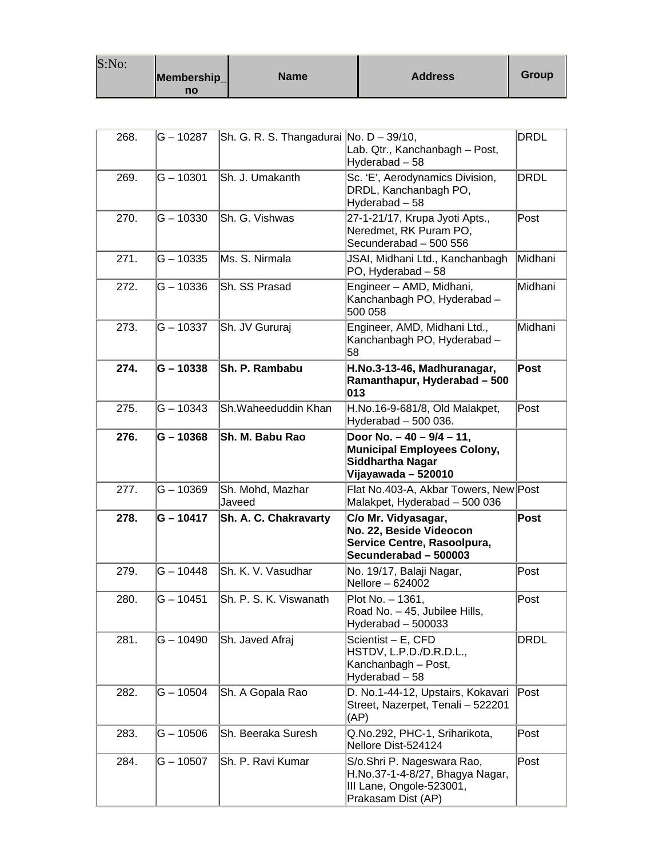| S:No: |             |             |                |       |
|-------|-------------|-------------|----------------|-------|
|       | Membership_ | <b>Name</b> | <b>Address</b> | Group |
|       | no          |             |                |       |

| 268. | $G - 10287$ | Sh. G. R. S. Thangadurai No. D - 39/10, | Lab. Qtr., Kanchanbagh - Post,<br>Hyderabad - 58                                                                    | DRDL        |
|------|-------------|-----------------------------------------|---------------------------------------------------------------------------------------------------------------------|-------------|
| 269. | $G - 10301$ | Sh. J. Umakanth                         | Sc. 'E', Aerodynamics Division,<br>DRDL, Kanchanbagh PO,<br>Hyderabad - 58                                          | <b>DRDL</b> |
| 270. | $G - 10330$ | Sh. G. Vishwas                          | 27-1-21/17, Krupa Jyoti Apts.,<br>Neredmet, RK Puram PO,<br>Secunderabad - 500 556                                  | Post        |
| 271. | $G - 10335$ | Ms. S. Nirmala                          | JSAI, Midhani Ltd., Kanchanbagh<br>PO, Hyderabad - 58                                                               | Midhani     |
| 272. | $G - 10336$ | Sh. SS Prasad                           | Engineer - AMD, Midhani,<br>Kanchanbagh PO, Hyderabad -<br>500 058                                                  | Midhani     |
| 273. | $G - 10337$ | Sh. JV Gururaj                          | Engineer, AMD, Midhani Ltd.,<br>Kanchanbagh PO, Hyderabad -<br>58                                                   | Midhani     |
| 274. | $G - 10338$ | Sh. P. Rambabu                          | H.No.3-13-46, Madhuranagar,<br>Ramanthapur, Hyderabad - 500<br>013                                                  | Post        |
| 275. | $G - 10343$ | Sh.Waheeduddin Khan                     | H.No.16-9-681/8, Old Malakpet,<br>Hyderabad $-500036$ .                                                             | Post        |
| 276. | G-10368     | Sh. M. Babu Rao                         | Door No. $-40 - 9/4 - 11$ ,<br><b>Municipal Employees Colony,</b><br><b>Siddhartha Nagar</b><br>Vijayawada - 520010 |             |
| 277. | $G - 10369$ | Sh. Mohd, Mazhar<br>Javeed              | Flat No.403-A, Akbar Towers, New Post<br>Malakpet, Hyderabad - 500 036                                              |             |
| 278. | G - 10417   | Sh. A. C. Chakravarty                   | C/o Mr. Vidyasagar,<br>No. 22, Beside Videocon<br>Service Centre, Rasoolpura,<br>Secunderabad - 500003              | Post        |
| 279. | G - 10448   | Sh. K. V. Vasudhar                      | No. 19/17, Balaji Nagar,<br>Nellore - 624002                                                                        | Post        |
| 280. | G – 10451   | Sh. P. S. K. Viswanath                  | Plot No. - 1361,<br>Road No. - 45, Jubilee Hills,<br>Hyderabad - 500033                                             | Post        |
| 281. | $G - 10490$ | Sh. Javed Afraj                         | Scientist - E, CFD<br>HSTDV, L.P.D./D.R.D.L.,<br>Kanchanbagh - Post,<br>Hyderabad - 58                              | DRDL        |
| 282. | $G - 10504$ | Sh. A Gopala Rao                        | D. No.1-44-12, Upstairs, Kokavari<br>Street, Nazerpet, Tenali - 522201<br>(AP)                                      | Post        |
| 283. | $G - 10506$ | Sh. Beeraka Suresh                      | Q.No.292, PHC-1, Sriharikota,<br>Nellore Dist-524124                                                                | Post        |
| 284. | G - 10507   | Sh. P. Ravi Kumar                       | S/o.Shri P. Nageswara Rao,<br>H.No.37-1-4-8/27, Bhagya Nagar,<br>III Lane, Ongole-523001,<br>Prakasam Dist (AP)     | Post        |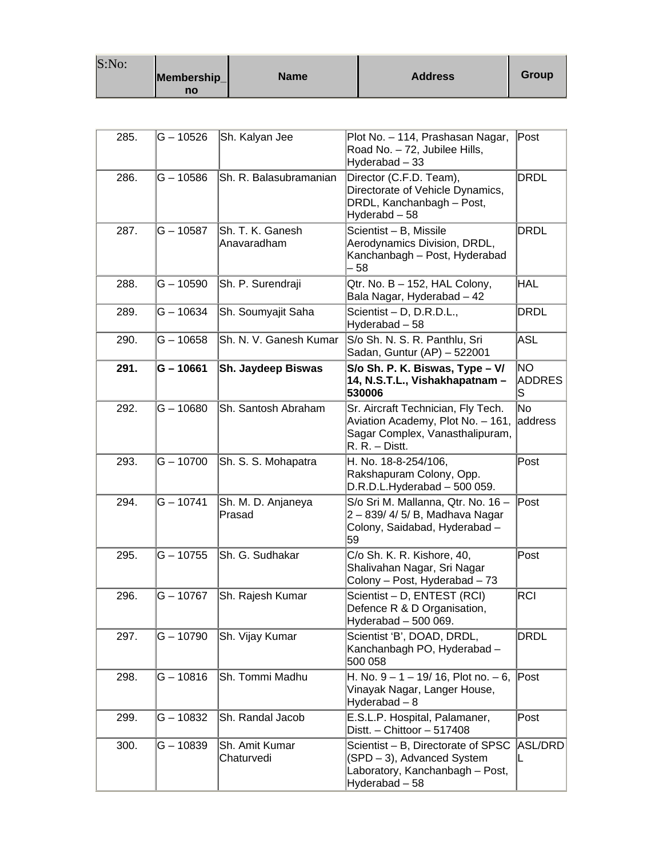| S:No: |             |             |                |       |
|-------|-------------|-------------|----------------|-------|
|       | Membership_ | <b>Name</b> | <b>Address</b> | Group |
|       | no          |             |                |       |

| 285. | $G - 10526$ | Sh. Kalyan Jee                  | Plot No. - 114, Prashasan Nagar,<br>Road No. - 72, Jubilee Hills,<br>Hyderabad - 33                                          | Post                        |
|------|-------------|---------------------------------|------------------------------------------------------------------------------------------------------------------------------|-----------------------------|
| 286. | $G - 10586$ | Sh. R. Balasubramanian          | Director (C.F.D. Team),<br>Directorate of Vehicle Dynamics,<br>DRDL, Kanchanbagh - Post,<br>Hyderabd - 58                    | DRDL                        |
| 287. | $G - 10587$ | Sh. T. K. Ganesh<br>Anavaradham | Scientist - B, Missile<br>Aerodynamics Division, DRDL,<br>Kanchanbagh - Post, Hyderabad<br>58                                | DRDL                        |
| 288. | $G - 10590$ | Sh. P. Surendraji               | Qtr. No. B - 152, HAL Colony,<br>Bala Nagar, Hyderabad - 42                                                                  | HAL                         |
| 289. | $G - 10634$ | Sh. Soumyajit Saha              | Scientist - D, D.R.D.L.,<br>Hyderabad - 58                                                                                   | DRDL                        |
| 290. | $G - 10658$ | Sh. N. V. Ganesh Kumar          | S/o Sh. N. S. R. Panthlu, Sri<br>Sadan, Guntur (AP) - 522001                                                                 | ASL                         |
| 291. | $G - 10661$ | Sh. Jaydeep Biswas              | S/o Sh. P. K. Biswas, Type - V/<br>14, N.S.T.L., Vishakhapatnam -<br>530006                                                  | NO.<br><b>ADDRES</b><br>lS. |
| 292. | $G - 10680$ | Sh. Santosh Abraham             | Sr. Aircraft Technician, Fly Tech.<br>Aviation Academy, Plot No. - 161,<br>Sagar Complex, Vanasthalipuram,<br>R. R. - Distt. | No<br>address               |
| 293. | $G - 10700$ | Sh. S. S. Mohapatra             | H. No. 18-8-254/106,<br>Rakshapuram Colony, Opp.<br>$D.R.D.L.Hyderabad - 500059.$                                            | Post                        |
| 294. | $G - 10741$ | Sh. M. D. Anjaneya<br>Prasad    | S/o Sri M. Mallanna, Qtr. No. 16 -<br>2 - 839/ 4/ 5/ B, Madhava Nagar<br>Colony, Saidabad, Hyderabad -<br>59                 | ∣Post                       |
| 295. | $G - 10755$ | Sh. G. Sudhakar                 | C/o Sh. K. R. Kishore, 40,<br>Shalivahan Nagar, Sri Nagar<br>Colony - Post, Hyderabad - 73                                   | Post                        |
| 296. | $G - 10767$ | Sh. Rajesh Kumar                | Scientist - D, ENTEST (RCI)<br>Defence R & D Organisation,<br>Hyderabad - 500 069.                                           | RCI                         |
| 297. | $G - 10790$ | Sh. Vijay Kumar                 | Scientist 'B', DOAD, DRDL,<br>Kanchanbagh PO, Hyderabad -<br>500 058                                                         | DRDL                        |
| 298. | $G - 10816$ | Sh. Tommi Madhu                 | H. No. $9 - 1 - 19/16$ , Plot no. $-6$ ,<br>Vinayak Nagar, Langer House,<br>Hyderabad - 8                                    | Post                        |
| 299. | $G - 10832$ | Sh. Randal Jacob                | E.S.L.P. Hospital, Palamaner,<br>Distt. - Chittoor - 517408                                                                  | Post                        |
| 300. | $G - 10839$ | Sh. Amit Kumar<br>Chaturvedi    | Scientist - B, Directorate of SPSC<br>(SPD - 3), Advanced System<br>Laboratory, Kanchanbagh - Post,<br>Hyderabad - 58        | ASL/DRD<br>L                |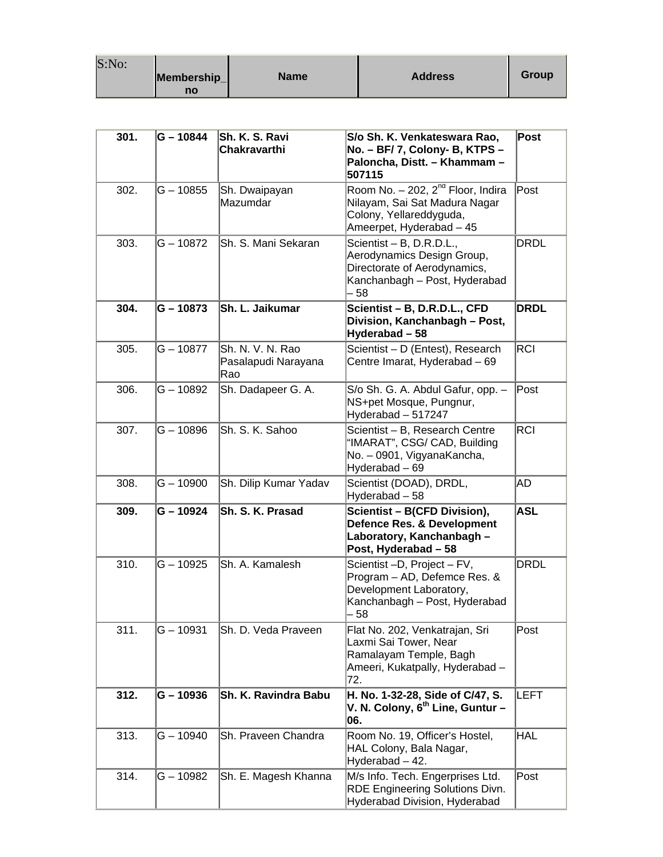| S:No: |             |             |                |       |
|-------|-------------|-------------|----------------|-------|
|       | Membership_ | <b>Name</b> | <b>Address</b> | Group |
|       | no          |             |                |       |

| 301. | G-10844     | Sh. K. S. Ravi<br>Chakravarthi                 | S/o Sh. K. Venkateswara Rao,<br>No. - BF/ 7, Colony- B, KTPS -<br>Paloncha, Distt. - Khammam -<br>507115                         | Post        |
|------|-------------|------------------------------------------------|----------------------------------------------------------------------------------------------------------------------------------|-------------|
| 302. | $G - 10855$ | Sh. Dwaipayan<br>Mazumdar                      | Room No. $-202$ , $2^{nd}$ Floor, Indira<br>Nilayam, Sai Sat Madura Nagar<br>Colony, Yellareddyguda,<br>Ameerpet, Hyderabad - 45 | Post        |
| 303. | G – 10872   | Sh. S. Mani Sekaran                            | Scientist - B, D.R.D.L.,<br>Aerodynamics Design Group,<br>Directorate of Aerodynamics,<br>Kanchanbagh - Post, Hyderabad<br>- 58  | DRDL        |
| 304. | G – 10873   | Sh. L. Jaikumar                                | Scientist - B, D.R.D.L., CFD<br>Division, Kanchanbagh - Post,<br>Hyderabad-58                                                    | <b>DRDL</b> |
| 305. | $G - 10877$ | Sh. N. V. N. Rao<br>Pasalapudi Narayana<br>Rao | Scientist - D (Entest), Research<br>Centre Imarat, Hyderabad - 69                                                                | <b>RCI</b>  |
| 306. | G – 10892   | Sh. Dadapeer G. A.                             | S/o Sh. G. A. Abdul Gafur, opp. -<br>NS+pet Mosque, Pungnur,<br>Hyderabad - 517247                                               | Post        |
| 307. | $G - 10896$ | Sh. S. K. Sahoo                                | Scientist - B, Research Centre<br>"IMARAT", CSG/ CAD, Building<br>No. - 0901, VigyanaKancha,<br>Hyderabad - 69                   | <b>RCI</b>  |
| 308. | $G - 10900$ | Sh. Dilip Kumar Yadav                          | Scientist (DOAD), DRDL,<br>Hyderabad - 58                                                                                        | AD          |
| 309. | G - 10924   | Sh. S. K. Prasad                               | Scientist - B(CFD Division),<br><b>Defence Res. &amp; Development</b><br>Laboratory, Kanchanbagh -<br>Post, Hyderabad - 58       | <b>ASL</b>  |
| 310. | G – 10925   | Sh. A. Kamalesh                                | Scientist -D, Project - FV,<br>Program - AD, Defemce Res. &<br>Development Laboratory,<br>Kanchanbagh - Post, Hyderabad<br>58    | <b>DRDL</b> |
| 311. | G-10931     | Sh. D. Veda Praveen                            | Flat No. 202, Venkatrajan, Sri<br>Laxmi Sai Tower, Near<br>Ramalayam Temple, Bagh<br>Ameeri, Kukatpally, Hyderabad -<br>72.      | Post        |
| 312. | G-10936     | Sh. K. Ravindra Babu                           | H. No. 1-32-28, Side of C/47, S.<br>V. N. Colony, $6^{\text{th}}$ Line, Guntur –<br>06.                                          | <b>LEFT</b> |
| 313. | G-10940     | Sh. Praveen Chandra                            | Room No. 19, Officer's Hostel,<br>HAL Colony, Bala Nagar,<br>Hyderabad - 42.                                                     | HAL         |
| 314. | G – 10982   | Sh. E. Magesh Khanna                           | M/s Info. Tech. Engerprises Ltd.<br><b>RDE Engineering Solutions Divn.</b><br>Hyderabad Division, Hyderabad                      | Post        |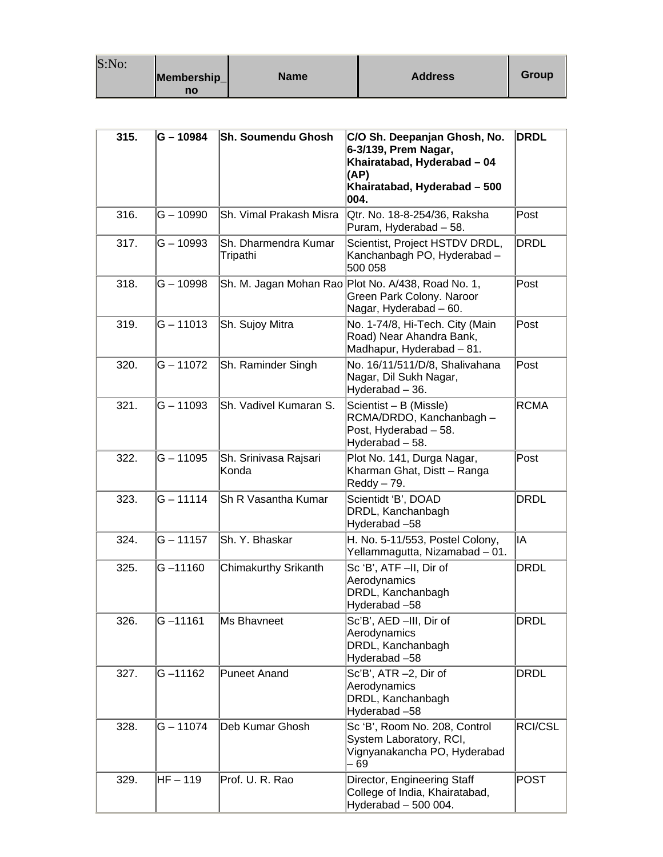| S:No: |             |             |                |              |
|-------|-------------|-------------|----------------|--------------|
|       | Membership_ | <b>Name</b> | <b>Address</b> | <b>Group</b> |
|       | no          |             |                |              |

| 315. | $G - 10984$ | Sh. Soumendu Ghosh               | C/O Sh. Deepanjan Ghosh, No.<br>6-3/139, Prem Nagar,<br>Khairatabad, Hyderabad - 04<br>(AP)<br>Khairatabad, Hyderabad - 500<br>004. | <b>DRDL</b> |
|------|-------------|----------------------------------|-------------------------------------------------------------------------------------------------------------------------------------|-------------|
| 316. | $G - 10990$ | Sh. Vimal Prakash Misra          | Qtr. No. 18-8-254/36, Raksha<br>Puram, Hyderabad - 58.                                                                              | Post        |
| 317. | G – 10993   | Sh. Dharmendra Kumar<br>Tripathi | Scientist, Project HSTDV DRDL,<br>Kanchanbagh PO, Hyderabad -<br>500 058                                                            | DRDL        |
| 318. | $G - 10998$ |                                  | Sh. M. Jagan Mohan Rao Plot No. A/438, Road No. 1,<br>Green Park Colony. Naroor<br>Nagar, Hyderabad - 60.                           | Post        |
| 319. | $G - 11013$ | Sh. Sujoy Mitra                  | No. 1-74/8, Hi-Tech. City (Main<br>Road) Near Ahandra Bank,<br>Madhapur, Hyderabad - 81.                                            | Post        |
| 320. | $G - 11072$ | Sh. Raminder Singh               | No. 16/11/511/D/8, Shalivahana<br>Nagar, Dil Sukh Nagar,<br>Hyderabad - 36.                                                         | Post        |
| 321. | $G - 11093$ | Sh. Vadivel Kumaran S.           | Scientist - B (Missle)<br>RCMA/DRDO, Kanchanbagh -<br>Post, Hyderabad - 58.<br>Hyderabad - 58.                                      | <b>RCMA</b> |
| 322. | $G - 11095$ | Sh. Srinivasa Rajsari<br>Konda   | Plot No. 141, Durga Nagar,<br>Kharman Ghat, Distt - Ranga<br>Reddy - 79.                                                            | Post        |
| 323. | $G - 11114$ | Sh R Vasantha Kumar              | Scientidt 'B', DOAD<br>DRDL, Kanchanbagh<br>Hyderabad-58                                                                            | <b>DRDL</b> |
| 324. | $G - 11157$ | Sh. Y. Bhaskar                   | H. No. 5-11/553, Postel Colony,<br>Yellammagutta, Nizamabad - 01.                                                                   | lIA.        |
| 325. | G-11160     | Chimakurthy Srikanth             | Sc 'B', ATF -II, Dir of<br>Aerodynamics<br>DRDL, Kanchanbagh<br>Hyderabad-58                                                        | <b>DRDL</b> |
| 326. | $G - 11161$ | Ms Bhavneet                      | Sc'B', AED -III, Dir of<br>Aerodynamics<br>DRDL, Kanchanbagh<br>Hyderabad-58                                                        | <b>DRDL</b> |
| 327. | $G - 11162$ | Puneet Anand                     | Sc'B', ATR -2, Dir of<br>Aerodynamics<br>DRDL, Kanchanbagh<br>Hyderabad-58                                                          | <b>DRDL</b> |
| 328. | $G - 11074$ | Deb Kumar Ghosh                  | Sc'B', Room No. 208, Control<br>System Laboratory, RCI,<br>Vignyanakancha PO, Hyderabad<br>- 69                                     | RCI/CSL     |
| 329. | HF-119      | Prof. U. R. Rao                  | Director, Engineering Staff<br>College of India, Khairatabad,<br>Hyderabad - 500 004.                                               | <b>POST</b> |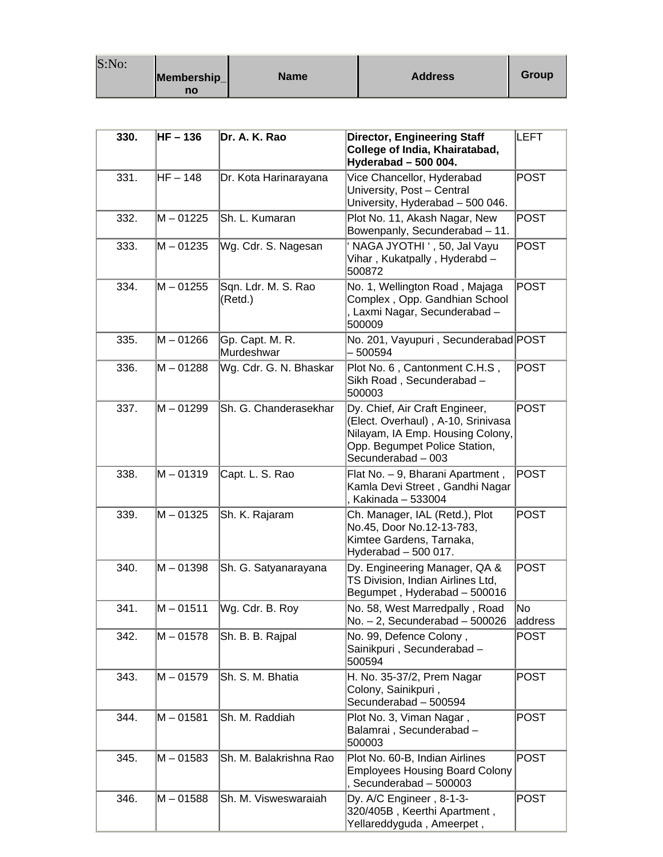| S:No: | Membership_<br>no | <b>Name</b> | <b>Address</b> | Group |
|-------|-------------------|-------------|----------------|-------|
|-------|-------------------|-------------|----------------|-------|

| 330. | HF - 136    | Dr. A. K. Rao                  | <b>Director, Engineering Staff</b><br>College of India, Khairatabad,<br>Hyderabad - 500 004.                                                                    | <b>ILEFT</b>  |
|------|-------------|--------------------------------|-----------------------------------------------------------------------------------------------------------------------------------------------------------------|---------------|
| 331. | $HF-148$    | Dr. Kota Harinarayana          | Vice Chancellor, Hyderabad<br>University, Post - Central<br>University, Hyderabad - 500 046.                                                                    | <b>POST</b>   |
| 332. | $M - 01225$ | Sh. L. Kumaran                 | Plot No. 11, Akash Nagar, New<br>Bowenpanly, Secunderabad - 11.                                                                                                 | <b>POST</b>   |
| 333. | M - 01235   | Wg. Cdr. S. Nagesan            | NAGA JYOTHI ', 50, Jal Vayu<br>Vihar, Kukatpally, Hyderabd -<br>500872                                                                                          | <b>POST</b>   |
| 334. | $M - 01255$ | Sqn. Ldr. M. S. Rao<br>(Retd.) | No. 1, Wellington Road, Majaga<br>Complex, Opp. Gandhian School<br>, Laxmi Nagar, Secunderabad -<br>500009                                                      | <b>POST</b>   |
| 335. | $M - 01266$ | Gp. Capt. M. R.<br>Murdeshwar  | No. 201, Vayupuri, Secunderabad POST<br>- 500594                                                                                                                |               |
| 336. | $M - 01288$ | Wg. Cdr. G. N. Bhaskar         | Plot No. 6, Cantonment C.H.S,<br>Sikh Road, Secunderabad-<br>500003                                                                                             | <b>POST</b>   |
| 337. | M - 01299   | Sh. G. Chanderasekhar          | Dy. Chief, Air Craft Engineer,<br>(Elect. Overhaul), A-10, Srinivasa<br>Nilayam, IA Emp. Housing Colony,<br>Opp. Begumpet Police Station,<br>Secunderabad - 003 | <b>POST</b>   |
| 338. | $M - 01319$ | Capt. L. S. Rao                | Flat No. - 9, Bharani Apartment,<br>Kamla Devi Street, Gandhi Nagar<br>Kakinada - 533004                                                                        | <b>POST</b>   |
| 339. | M-01325     | Sh. K. Rajaram                 | Ch. Manager, IAL (Retd.), Plot<br>No.45, Door No.12-13-783,<br>Kimtee Gardens, Tarnaka,<br>Hyderabad $-500017$ .                                                | <b>POST</b>   |
| 340. | M - 01398   | Sh. G. Satyanarayana           | Dy. Engineering Manager, QA &<br>TS Division, Indian Airlines Ltd,<br>Begumpet, Hyderabad - 500016                                                              | <b>POST</b>   |
| 341. | $M - 01511$ | Wg. Cdr. B. Roy                | No. 58, West Marredpally, Road<br>No. $-2$ , Secunderabad $-500026$                                                                                             | No<br>address |
| 342. | M - 01578   | Sh. B. B. Rajpal               | No. 99, Defence Colony,<br>Sainikpuri, Secunderabad-<br>500594                                                                                                  | <b>POST</b>   |
| 343. | $M - 01579$ | Sh. S. M. Bhatia               | H. No. 35-37/2, Prem Nagar<br>Colony, Sainikpuri,<br>Secunderabad - 500594                                                                                      | POST          |
| 344. | $M - 01581$ | Sh. M. Raddiah                 | Plot No. 3, Viman Nagar,<br>Balamrai, Secunderabad-<br>500003                                                                                                   | POST          |
| 345. | $M - 01583$ | Sh. M. Balakrishna Rao         | Plot No. 60-B, Indian Airlines<br><b>Employees Housing Board Colony</b><br>Secunderabad - 500003                                                                | <b>POST</b>   |
| 346. | $M - 01588$ | Sh. M. Visweswaraiah           | Dy. A/C Engineer, 8-1-3-<br>320/405B, Keerthi Apartment,<br>Yellareddyguda, Ameerpet,                                                                           | POST          |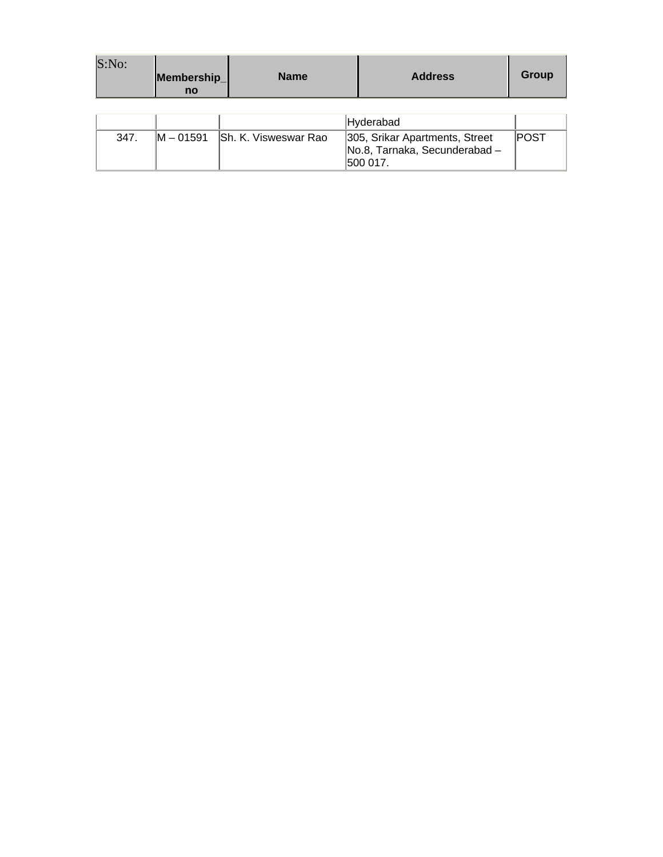| S:No: | Membership<br>no | <b>Name</b>          | <b>Address</b>                                                             | Group       |
|-------|------------------|----------------------|----------------------------------------------------------------------------|-------------|
|       |                  |                      |                                                                            |             |
|       |                  |                      | Hyderabad                                                                  |             |
| 347.  | $IM - 01591$     | Sh. K. Visweswar Rao | 305, Srikar Apartments, Street<br>No.8, Tarnaka, Secunderabad-<br>500 017. | <b>POST</b> |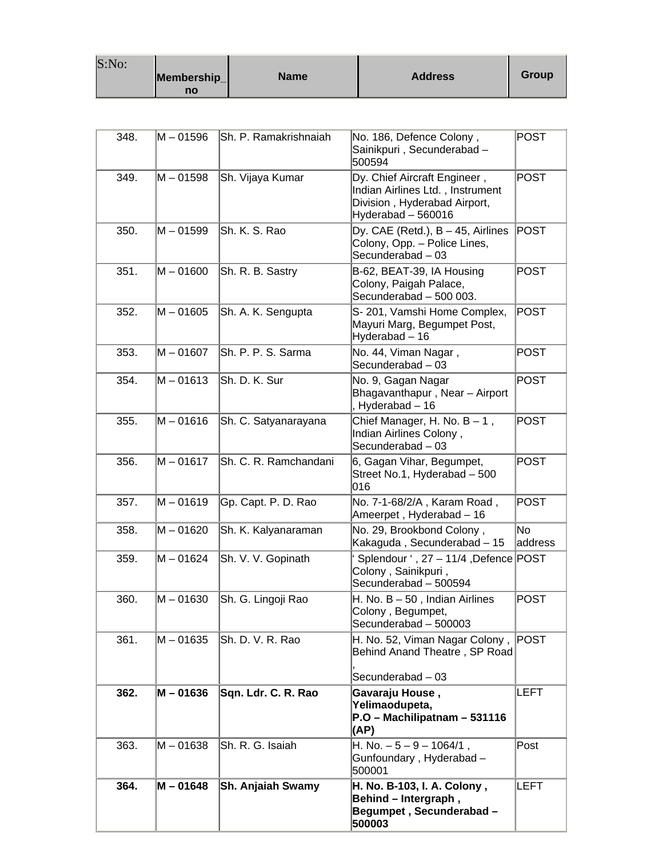| S:No: |                   |             |                |       |
|-------|-------------------|-------------|----------------|-------|
|       | Membership_<br>no | <b>Name</b> | <b>Address</b> | Group |

 $\mathbf{r}$ 

| 348. | M - 01596   | Sh. P. Ramakrishnaiah | No. 186, Defence Colony,<br>Sainikpuri, Secunderabad-<br>500594                                                        | POST           |
|------|-------------|-----------------------|------------------------------------------------------------------------------------------------------------------------|----------------|
| 349. | M - 01598   | Sh. Vijaya Kumar      | Dy. Chief Aircraft Engineer,<br>Indian Airlines Ltd., Instrument<br>Division, Hyderabad Airport,<br>Hyderabad - 560016 | POST           |
| 350. | M – 01599   | Sh. K. S. Rao         | Dy. CAE (Retd.), $B - 45$ , Airlines<br>Colony, Opp. - Police Lines,<br>Secunderabad - 03                              | POST           |
| 351. | M - 01600   | Sh. R. B. Sastry      | B-62, BEAT-39, IA Housing<br>Colony, Paigah Palace,<br>Secunderabad - 500 003.                                         | POST           |
| 352. | M - 01605   | Sh. A. K. Sengupta    | S-201, Vamshi Home Complex,<br>Mayuri Marg, Begumpet Post,<br>Hyderabad - 16                                           | POST           |
| 353. | M – 01607   | Sh. P. P. S. Sarma    | No. 44, Viman Nagar,<br>Secunderabad - 03                                                                              | POST           |
| 354. | M - 01613   | Sh. D. K. Sur         | No. 9, Gagan Nagar<br>Bhagavanthapur, Near - Airport<br>Hyderabad-16                                                   | POST           |
| 355. | $M - 01616$ | Sh. C. Satyanarayana  | Chief Manager, H. No. $B - 1$ ,<br>Indian Airlines Colony,<br>Secunderabad $-03$                                       | POST           |
| 356. | M - 01617   | Sh. C. R. Ramchandani | 6, Gagan Vihar, Begumpet,<br>Street No.1, Hyderabad - 500<br>016                                                       | POST           |
| 357. | M - 01619   | Gp. Capt. P. D. Rao   | No. 7-1-68/2/A, Karam Road,<br>Ameerpet, Hyderabad - 16                                                                | POST           |
| 358. | M - 01620   | Sh. K. Kalyanaraman   | No. 29, Brookbond Colony,<br>Kakaguda, Secunderabad - 15                                                               | lNo<br>address |
| 359. | M – 01624   | Sh. V. V. Gopinath    | Splendour ', 27 - 11/4, Defence POST<br>Colony, Sainikpuri,<br>Secunderabad - 500594                                   |                |
| 360. | M – 01630   | Sh. G. Lingoji Rao    | $H.$ No. $B - 50$ , Indian Airlines<br>Colony, Begumpet,<br>Secunderabad - 500003                                      | POST           |
| 361. | M – 01635   | Sh. D. V. R. Rao      | H. No. 52, Viman Nagar Colony,<br>Behind Anand Theatre, SP Road<br>Secunderabad - 03                                   | POST           |
| 362. | M - 01636   | Sqn. Ldr. C. R. Rao   | Gavaraju House,<br>Yelimaodupeta,<br>P.O - Machilipatnam - 531116<br>(AP)                                              | LEFT           |
| 363. | M – 01638   | Sh. R. G. Isaiah      | $H. No. - 5 - 9 - 1064/1$ ,<br>Gunfoundary, Hyderabad-<br>500001                                                       | Post           |
| 364. | M - 01648   | Sh. Anjaiah Swamy     | H. No. B-103, I. A. Colony,<br>Behind - Intergraph,<br>Begumpet, Secunderabad-<br>500003                               | <b>LEFT</b>    |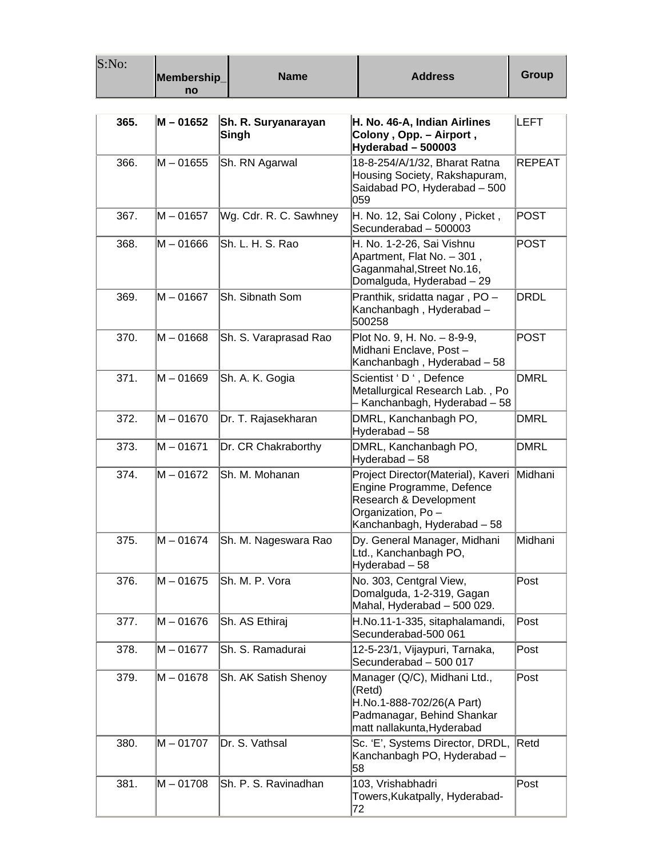| S:No: | Membership_<br>no | <b>Name</b>                  | <b>Address</b>                                                                                                                                | <b>Group</b>  |
|-------|-------------------|------------------------------|-----------------------------------------------------------------------------------------------------------------------------------------------|---------------|
| 365.  | $M - 01652$       | Sh. R. Suryanarayan<br>Singh | H. No. 46-A, Indian Airlines<br>Colony, Opp. - Airport,<br>Hyderabad - 500003                                                                 | <b>LEFT</b>   |
| 366.  | M - 01655         | Sh. RN Agarwal               | 18-8-254/A/1/32, Bharat Ratna<br>Housing Society, Rakshapuram,<br>Saidabad PO, Hyderabad - 500<br>059                                         | <b>REPEAT</b> |
| 367.  | $M - 01657$       | Wg. Cdr. R. C. Sawhney       | H. No. 12, Sai Colony, Picket,<br>Secunderabad - 500003                                                                                       | <b>POST</b>   |
| 368.  | M – 01666         | Sh. L. H. S. Rao             | H. No. 1-2-26, Sai Vishnu<br>Apartment, Flat No. - 301,<br>Gaganmahal, Street No.16,<br>Domalguda, Hyderabad - 29                             | <b>POST</b>   |
| 369.  | $M - 01667$       | Sh. Sibnath Som              | Pranthik, sridatta nagar, PO-<br>Kanchanbagh, Hyderabad-<br>500258                                                                            | DRDL          |
| 370.  | M-01668           | Sh. S. Varaprasad Rao        | Plot No. 9, H. No. - 8-9-9,<br>Midhani Enclave, Post-<br>Kanchanbagh, Hyderabad - 58                                                          | <b>POST</b>   |
| 371.  | M-01669           | Sh. A. K. Gogia              | Scientist 'D', Defence<br>Metallurgical Research Lab., Po<br>- Kanchanbagh, Hyderabad – 58                                                    | <b>DMRL</b>   |
| 372.  | $M - 01670$       | Dr. T. Rajasekharan          | DMRL, Kanchanbagh PO,<br>Hyderabad - 58                                                                                                       | <b>DMRL</b>   |
| 373.  | $M - 01671$       | Dr. CR Chakraborthy          | DMRL, Kanchanbagh PO,<br>Hyderabad - 58                                                                                                       | <b>DMRL</b>   |
| 374.  | M – 01672         | Sh. M. Mohanan               | Project Director(Material), Kaveri<br>Engine Programme, Defence<br>Research & Development<br>Organization, Po-<br>Kanchanbagh, Hyderabad - 58 | Midhani       |
| 375.  | M – 01674         | Sh. M. Nageswara Rao         | Dy. General Manager, Midhani<br>Ltd., Kanchanbagh PO,<br>Hyderabad - 58                                                                       | Midhani       |
| 376.  | $M - 01675$       | Sh. M. P. Vora               | No. 303, Centgral View,<br>Domalguda, 1-2-319, Gagan<br>Mahal, Hyderabad - 500 029.                                                           | Post          |
| 377.  | M - 01676         | Sh. AS Ethiraj               | H.No.11-1-335, sitaphalamandi,<br>Secunderabad-500 061                                                                                        | Post          |
| 378.  | $M - 01677$       | Sh. S. Ramadurai             | 12-5-23/1, Vijaypuri, Tarnaka,<br>Secunderabad - 500 017                                                                                      | Post          |
| 379.  | $M - 01678$       | Sh. AK Satish Shenoy         | Manager (Q/C), Midhani Ltd.,<br>(Retd)<br>H.No.1-888-702/26(A Part)<br>Padmanagar, Behind Shankar<br>matt nallakunta, Hyderabad               | Post          |
| 380.  | $M - 01707$       | Dr. S. Vathsal               | Sc. 'E', Systems Director, DRDL,<br>Kanchanbagh PO, Hyderabad -<br>58                                                                         | Retd          |
| 381.  | $M - 01708$       | Sh. P. S. Ravinadhan         | 103, Vrishabhadri<br>Towers, Kukatpally, Hyderabad-<br>72                                                                                     | Post          |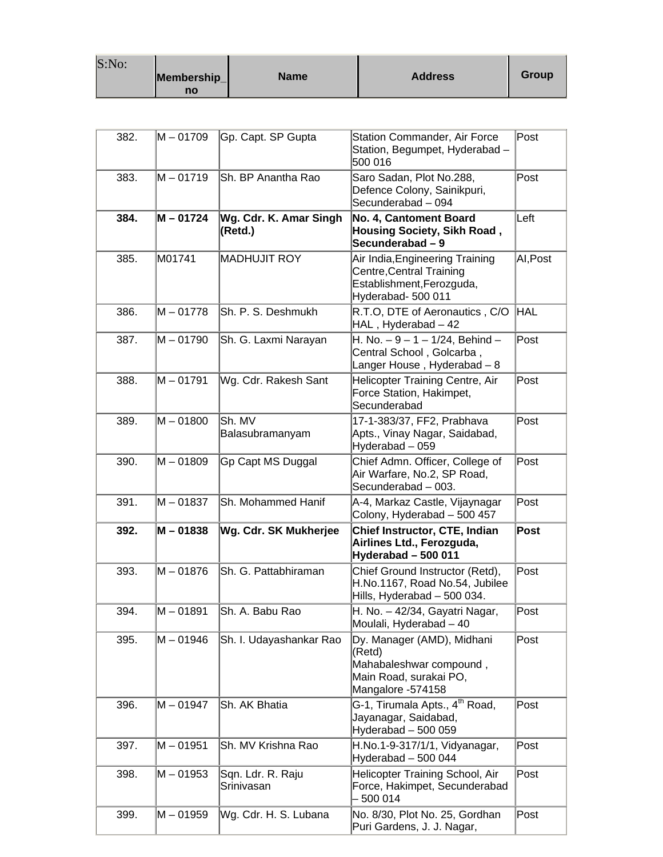| S:No: |             |             |                |              |
|-------|-------------|-------------|----------------|--------------|
|       | Membership_ | <b>Name</b> | <b>Address</b> | <b>Group</b> |
|       | no          |             |                |              |

| 382. | M - 01709   | Gp. Capt. SP Gupta                | <b>Station Commander, Air Force</b><br>Station, Begumpet, Hyderabad -<br>500 016                               | Post            |
|------|-------------|-----------------------------------|----------------------------------------------------------------------------------------------------------------|-----------------|
| 383. | M – 01719   | Sh. BP Anantha Rao                | Saro Sadan, Plot No.288,<br>Defence Colony, Sainikpuri,<br>Secunderabad - 094                                  | Post            |
| 384. | M - 01724   | Wg. Cdr. K. Amar Singh<br>(Retd.) | <b>No. 4, Cantoment Board</b><br><b>Housing Society, Sikh Road,</b><br>Secunderabad – 9                        | Left            |
| 385. | M01741      | <b>MADHUJIT ROY</b>               | Air India, Engineering Training<br>Centre, Central Training<br>Establishment, Ferozguda,<br>Hyderabad- 500 011 | AI, Post        |
| 386. | $M - 01778$ | Sh. P. S. Deshmukh                | R.T.O, DTE of Aeronautics, C/O<br>HAL, Hyderabad - 42                                                          | <b>HAL</b>      |
| 387. | M – 01790   | Sh. G. Laxmi Narayan              | H. No. - 9 - 1 - 1/24, Behind -<br>Central School, Golcarba,<br>Langer House, Hyderabad - 8                    | Post            |
| 388. | M – 01791   | Wg. Cdr. Rakesh Sant              | Helicopter Training Centre, Air<br>Force Station, Hakimpet,<br>Secunderabad                                    | Post            |
| 389. | $M - 01800$ | Sh. MV<br>Balasubramanyam         | 17-1-383/37, FF2, Prabhava<br>Apts., Vinay Nagar, Saidabad,<br>Hyderabad - 059                                 | $\mathsf{Post}$ |
| 390. | $M - 01809$ | Gp Capt MS Duggal                 | Chief Admn. Officer, College of<br>Air Warfare, No.2, SP Road,<br>Secunderabad - 003.                          | Post            |
| 391. | $M - 01837$ | Sh. Mohammed Hanif                | A-4, Markaz Castle, Vijaynagar<br>Colony, Hyderabad - 500 457                                                  | Post            |
| 392. | M - 01838   | Wg. Cdr. SK Mukherjee             | Chief Instructor, CTE, Indian<br>Airlines Ltd., Ferozguda,<br>Hyderabad - 500 011                              | Post            |
| 393. | M – 01876   | Sh. G. Pattabhiraman              | Chief Ground Instructor (Retd),<br>H.No.1167, Road No.54, Jubilee<br>Hills, Hyderabad - 500 034.               | Post            |
| 394. | M – 01891   | Sh. A. Babu Rao                   | H. No. - 42/34, Gayatri Nagar,<br>Moulali, Hyderabad - 40                                                      | Post            |
| 395. | M - 01946   | Sh. I. Udayashankar Rao           | Dy. Manager (AMD), Midhani<br>(Retd)<br>Mahabaleshwar compound,<br>Main Road, surakai PO,<br>Mangalore -574158 | Post            |
| 396. | M - 01947   | Sh. AK Bhatia                     | G-1, Tirumala Apts., 4 <sup>th</sup> Road,<br>Jayanagar, Saidabad,<br>Hyderabad - 500 059                      | Post            |
| 397. | M - 01951   | Sh. MV Krishna Rao                | H.No.1-9-317/1/1, Vidyanagar,<br>Hyderabad - 500 044                                                           | Post            |
| 398. | M-01953     | Sqn. Ldr. R. Raju<br>Srinivasan   | Helicopter Training School, Air<br>Force, Hakimpet, Secunderabad<br>500 014                                    | Post            |
| 399. | M-01959     | Wg. Cdr. H. S. Lubana             | No. 8/30, Plot No. 25, Gordhan<br>Puri Gardens, J. J. Nagar,                                                   | Post            |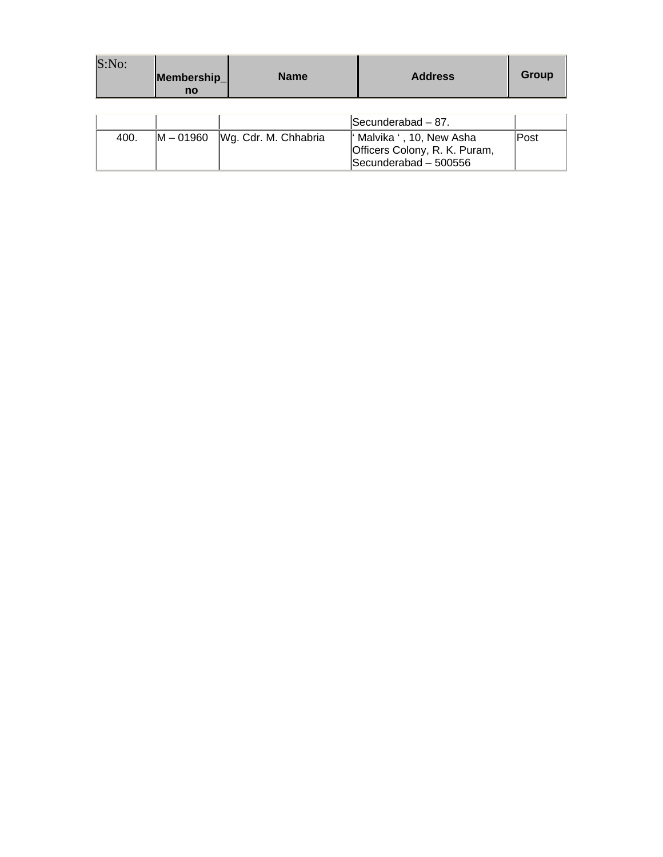| S:No: | Membership<br>no | <b>Name</b>          | <b>Address</b>                                                                      | Group       |
|-------|------------------|----------------------|-------------------------------------------------------------------------------------|-------------|
|       |                  |                      |                                                                                     |             |
|       |                  |                      | Secunderabad - 87.                                                                  |             |
| 400.  | $M - 01960$      | Wg. Cdr. M. Chhabria | " Malvika ', 10, New Asha<br>Officers Colony, R. K. Puram,<br>Secunderabad - 500556 | <b>Post</b> |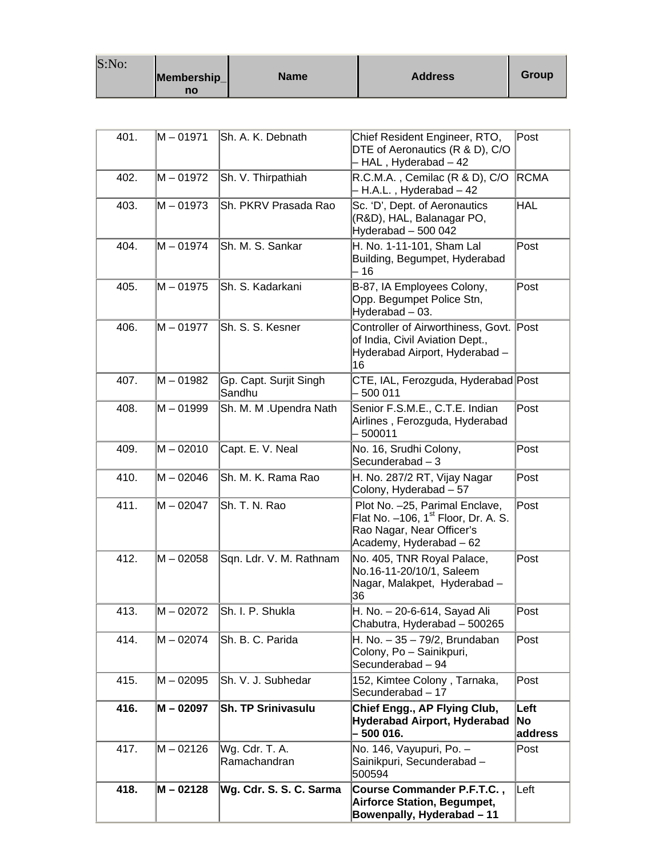| S:No: |                   |             |                |       |
|-------|-------------------|-------------|----------------|-------|
|       | Membership_<br>no | <b>Name</b> | <b>Address</b> | Group |

| 401. | M - 01971   | lSh. A. K. Debnath               | Chief Resident Engineer, RTO,<br>DTE of Aeronautics (R & D), C/O<br>- HAL, Hyderabad - 42                                                 | $\mathsf{Post}$       |
|------|-------------|----------------------------------|-------------------------------------------------------------------------------------------------------------------------------------------|-----------------------|
| 402. | M – 01972   | Sh. V. Thirpathiah               | R.C.M.A., Cemilac (R & D), C/O<br>- H.A.L., Hyderabad - 42                                                                                | <b>RCMA</b>           |
| 403. | $M - 01973$ | Sh. PKRV Prasada Rao             | Sc. 'D', Dept. of Aeronautics<br>(R&D), HAL, Balanagar PO,<br>Hyderabad - 500 042                                                         | HAL                   |
| 404. | M – 01974   | Sh. M. S. Sankar                 | H. No. 1-11-101, Sham Lal<br>Building, Begumpet, Hyderabad<br>- 16                                                                        | $\sf{Post}$           |
| 405. | M-01975     | Sh. S. Kadarkani                 | B-87, IA Employees Colony,<br>Opp. Begumpet Police Stn,<br>Hyderabad - 03.                                                                | Post                  |
| 406. | M – 01977   | Sh. S. S. Kesner                 | Controller of Airworthiness, Govt. Post<br>of India, Civil Aviation Dept.,<br>Hyderabad Airport, Hyderabad -<br>16                        |                       |
| 407. | M - 01982   | Gp. Capt. Surjit Singh<br>Sandhu | CTE, IAL, Ferozguda, Hyderabad Post<br>500 011                                                                                            |                       |
| 408. | M – 01999   | Sh. M. M . Upendra Nath          | Senior F.S.M.E., C.T.E. Indian<br>Airlines, Ferozguda, Hyderabad<br>500011                                                                | Post                  |
| 409. | $M - 02010$ | Capt. E. V. Neal                 | No. 16, Srudhi Colony,<br>Secunderabad $-3$                                                                                               | Post                  |
| 410. | $M - 02046$ | Sh. M. K. Rama Rao               | H. No. 287/2 RT, Vijay Nagar<br>Colony, Hyderabad - 57                                                                                    | Post                  |
| 411. | $M - 02047$ | Sh. T. N. Rao                    | Plot No. -25, Parimal Enclave,<br>Flat No. -106, 1 <sup>st</sup> Floor, Dr. A. S.<br>Rao Nagar, Near Officer's<br>Academy, Hyderabad - 62 | Post                  |
| 412. | M - 02058   | Sqn. Ldr. V. M. Rathnam          | No. 405, TNR Royal Palace,<br>No.16-11-20/10/1, Saleem<br>Nagar, Malakpet, Hyderabad -<br>36                                              | Post                  |
| 413. | M – 02072   | Sh. I. P. Shukla                 | H. No. - 20-6-614, Sayad Ali<br>Chabutra, Hyderabad - 500265                                                                              | Post                  |
| 414. | M – 02074   | Sh. B. C. Parida                 | H. No. - 35 - 79/2, Brundaban<br>Colony, Po - Sainikpuri,<br>Secunderabad - 94                                                            | Post                  |
| 415. | M – 02095   | Sh. V. J. Subhedar               | 152, Kimtee Colony, Tarnaka,<br>Secunderabad - 17                                                                                         | Post                  |
| 416. | M - 02097   | <b>Sh. TP Srinivasulu</b>        | Chief Engg., AP Flying Club,<br>Hyderabad Airport, Hyderabad<br>- 500 016.                                                                | Left<br>No<br>address |
| 417. | M – 02126   | Wg. Cdr. T. A.<br>Ramachandran   | No. 146, Vayupuri, Po. -<br>Sainikpuri, Secunderabad -<br>500594                                                                          | Post                  |
| 418. | M - 02128   | Wg. Cdr. S. S. C. Sarma          | Course Commander P.F.T.C.,<br>Airforce Station, Begumpet,<br>Bowenpally, Hyderabad - 11                                                   | Left                  |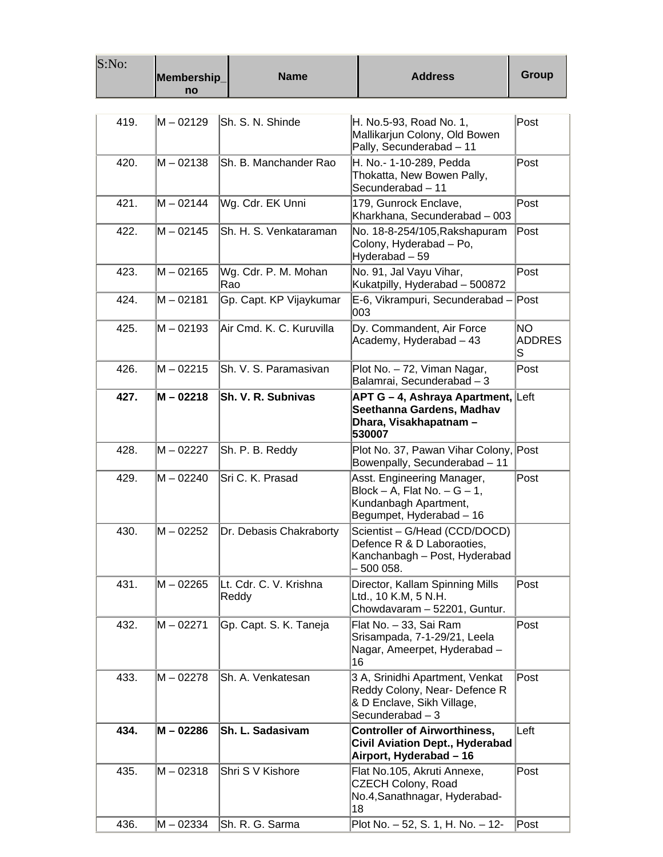| S:No: | Membership<br>no | <b>Name</b>                     | <b>Address</b>                                                                                                        | <b>Group</b>               |
|-------|------------------|---------------------------------|-----------------------------------------------------------------------------------------------------------------------|----------------------------|
|       |                  |                                 |                                                                                                                       |                            |
| 419.  | M – 02129        | Sh. S. N. Shinde                | H. No.5-93, Road No. 1,<br>Mallikarjun Colony, Old Bowen<br>Pally, Secunderabad - 11                                  | Post                       |
| 420.  | M - 02138        | Sh. B. Manchander Rao           | H. No.- 1-10-289, Pedda<br>Thokatta, New Bowen Pally,<br>Secunderabad - 11                                            | Post                       |
| 421.  | M - 02144        | Wg. Cdr. EK Unni                | 179, Gunrock Enclave,<br>Kharkhana, Secunderabad - 003                                                                | Post                       |
| 422.  | M – 02145        | Sh. H. S. Venkataraman          | No. 18-8-254/105, Rakshapuram<br>Colony, Hyderabad – Po,<br>Hyderabad – 59                                            | Post                       |
| 423.  | M - 02165        | Wg. Cdr. P. M. Mohan<br>Rao     | No. 91, Jal Vayu Vihar,<br>Kukatpilly, Hyderabad - 500872                                                             | Post                       |
| 424.  | $M - 02181$      | Gp. Capt. KP Vijaykumar         | E-6, Vikrampuri, Secunderabad -<br>003                                                                                | Post                       |
| 425.  | M - 02193        | Air Cmd. K. C. Kuruvilla        | Dy. Commandent, Air Force<br>Academy, Hyderabad - 43                                                                  | NO.<br><b>ADDRES</b><br>lS |
| 426.  | $M - 02215$      | Sh. V. S. Paramasivan           | Plot No. - 72, Viman Nagar,<br>Balamrai, Secunderabad - 3                                                             | Post                       |
| 427.  | M - 02218        | Sh. V. R. Subnivas              | <b>APT G – 4, Ashraya Apartment, Left</b><br>Seethanna Gardens, Madhav<br>Dhara, Visakhapatnam –<br>530007            |                            |
| 428.  | M – 02227        | Sh. P. B. Reddy                 | Plot No. 37, Pawan Vihar Colony, Post<br>Bowenpally, Secunderabad - 11                                                |                            |
| 429.  | M – 02240        | Sri C. K. Prasad                | Asst. Engineering Manager,<br>$Block - A$ , Flat No. $- G - 1$ ,<br>Kundanbagh Apartment,<br>Begumpet, Hyderabad - 16 | Post                       |
| 430.  | $M - 02252$      | Dr. Debasis Chakraborty         | Scientist - G/Head (CCD/DOCD)<br>Defence R & D Laboraoties,<br>Kanchanbagh - Post, Hyderabad<br>500 058.              |                            |
| 431.  | M – 02265        | Lt. Cdr. C. V. Krishna<br>Reddy | Director, Kallam Spinning Mills<br>Ltd., 10 K.M, 5 N.H.<br>Chowdavaram - 52201, Guntur.                               | Post                       |
| 432.  | $M - 02271$      | Gp. Capt. S. K. Taneja          | Flat No. - 33, Sai Ram<br>Srisampada, 7-1-29/21, Leela<br>Nagar, Ameerpet, Hyderabad -<br>16                          | Post                       |
| 433.  | $M - 02278$      | Sh. A. Venkatesan               | 3 A, Srinidhi Apartment, Venkat<br>Reddy Colony, Near- Defence R<br>& D Enclave, Sikh Village,<br>Secunderabad $-3$   | Post                       |
| 434.  | M - 02286        | <b>Sh. L. Sadasivam</b>         | <b>Controller of Airworthiness,</b><br><b>Civil Aviation Dept., Hyderabad</b><br>Airport, Hyderabad - 16              | Left                       |
| 435.  | $M - 02318$      | Shri S V Kishore                | Flat No.105, Akruti Annexe,<br>CZECH Colony, Road<br>No.4, Sanathnagar, Hyderabad-<br>18                              | Post                       |
| 436.  | M – 02334        | Sh. R. G. Sarma                 | Plot No. - 52, S. 1, H. No. - 12-                                                                                     | Post                       |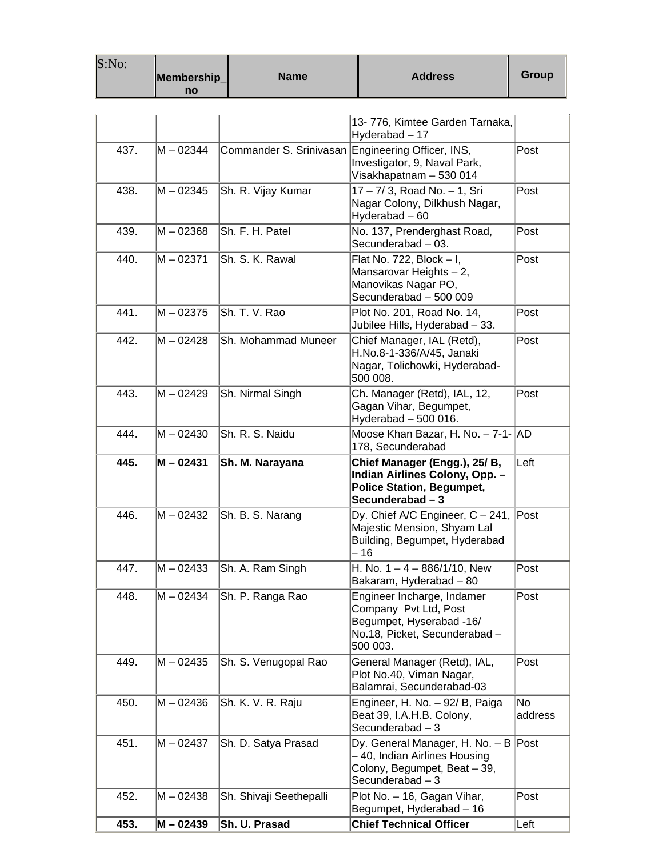| S:No: | Membership<br>no | <b>Name</b>             | <b>Address</b>                                                                                                               | <b>Group</b>  |
|-------|------------------|-------------------------|------------------------------------------------------------------------------------------------------------------------------|---------------|
|       |                  |                         | 13-776, Kimtee Garden Tarnaka,<br>Hyderabad - 17                                                                             |               |
| 437.  | M - 02344        | Commander S. Srinivasan | Engineering Officer, INS,<br>Investigator, 9, Naval Park,<br>Visakhapatnam - 530 014                                         | Post          |
| 438.  | M – 02345        | Sh. R. Vijay Kumar      | 17 - 7/ 3, Road No. - 1, Sri<br>Nagar Colony, Dilkhush Nagar,<br>Hyderabad - 60                                              | Post          |
| 439.  | $M - 02368$      | Sh. F. H. Patel         | No. 137, Prenderghast Road,<br>Secunderabad - 03.                                                                            | Post          |
| 440.  | M - 02371        | Sh. S. K. Rawal         | Flat No. 722, Block - I,<br>Mansarovar Heights - 2,<br>Manovikas Nagar PO,<br>Secunderabad - 500 009                         | Post          |
| 441.  | M - 02375        | Sh. T. V. Rao           | Plot No. 201, Road No. 14,<br>Jubilee Hills, Hyderabad - 33.                                                                 | Post          |
| 442.  | $M - 02428$      | Sh. Mohammad Muneer     | Chief Manager, IAL (Retd),<br>H.No.8-1-336/A/45, Janaki<br>Nagar, Tolichowki, Hyderabad-<br>500 008.                         | Post          |
| 443.  | M-02429          | Sh. Nirmal Singh        | Ch. Manager (Retd), IAL, 12,<br>Gagan Vihar, Begumpet,<br>Hyderabad - 500 016.                                               | Post          |
| 444.  | $M - 02430$      | Sh. R. S. Naidu         | Moose Khan Bazar, H. No. - 7-1- AD<br>178, Secunderabad                                                                      |               |
| 445.  | M - 02431        | Sh. M. Narayana         | Chief Manager (Engg.), 25/ B,<br>Indian Airlines Colony, Opp. -<br><b>Police Station, Begumpet,</b><br>Secunderabad - 3      | Left          |
| 446.  | M – 02432        | Sh. B. S. Narang        | Dy. Chief A/C Engineer, C - 241,<br>Majestic Mension, Shyam Lal<br>Building, Begumpet, Hyderabad<br>- 16                     | Post          |
| 447.  | M - 02433        | Sh. A. Ram Singh        | H. No. $1 - 4 - 886/1/10$ , New<br>Bakaram, Hyderabad - 80                                                                   | Post          |
| 448.  | M - 02434        | Sh. P. Ranga Rao        | Engineer Incharge, Indamer<br>Company Pvt Ltd, Post<br>Begumpet, Hyserabad -16/<br>No.18, Picket, Secunderabad -<br>500 003. | Post          |
| 449.  | M-02435          | Sh. S. Venugopal Rao    | General Manager (Retd), IAL,<br>Plot No.40, Viman Nagar,<br>Balamrai, Secunderabad-03                                        | Post          |
| 450.  | M-02436          | Sh. K. V. R. Raju       | Engineer, H. No. - 92/ B, Paiga<br>Beat 39, I.A.H.B. Colony,<br>Secunderabad $-3$                                            | No<br>address |
| 451.  | M – 02437        | Sh. D. Satya Prasad     | Dy. General Manager, H. No. - B Post<br>- 40, Indian Airlines Housing<br>Colony, Begumpet, Beat - 39,<br>Secunderabad $-3$   |               |
| 452.  | M - 02438        | Sh. Shivaji Seethepalli | Plot No. - 16, Gagan Vihar,<br>Begumpet, Hyderabad - 16                                                                      | Post          |
| 453.  | $M - 02439$      | Sh. U. Prasad           | <b>Chief Technical Officer</b>                                                                                               | Left          |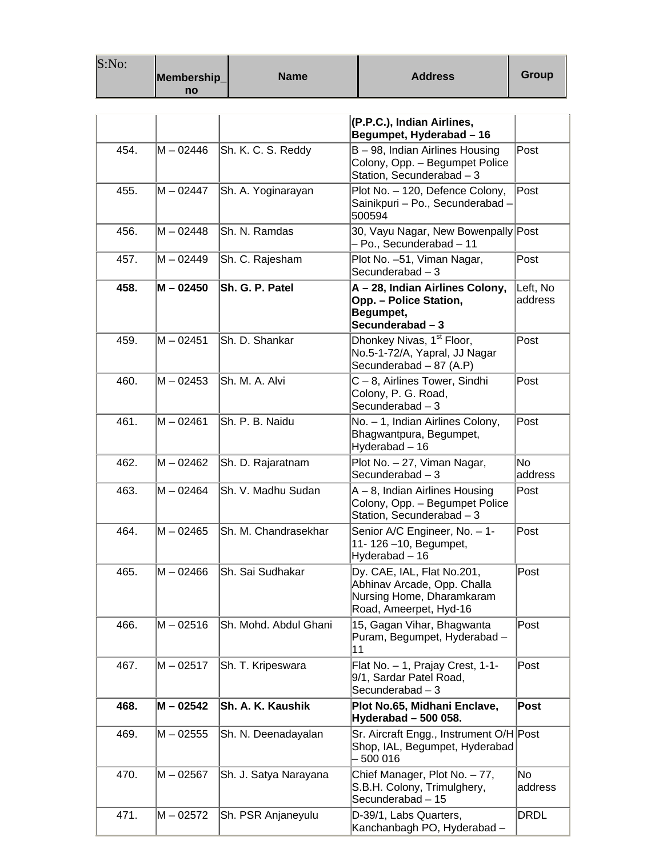| S:No: | Membership<br>no | <b>Name</b>           | <b>Address</b>                                                                                                   | <b>Group</b>        |
|-------|------------------|-----------------------|------------------------------------------------------------------------------------------------------------------|---------------------|
|       |                  |                       | (P.P.C.), Indian Airlines,<br>Begumpet, Hyderabad - 16                                                           |                     |
| 454.  | M – 02446        | Sh. K. C. S. Reddy    | B - 98, Indian Airlines Housing<br>Colony, Opp. - Begumpet Police<br>Station, Secunderabad - 3                   | Post                |
| 455.  | M – 02447        | Sh. A. Yoginarayan    | Plot No. - 120, Defence Colony,<br>Sainikpuri - Po., Secunderabad -<br>500594                                    | Post                |
| 456.  | M – 02448        | Sh. N. Ramdas         | 30, Vayu Nagar, New Bowenpally Post<br>- Po., Secunderabad - 11                                                  |                     |
| 457.  | M – 02449        | Sh. C. Rajesham       | Plot No. -51, Viman Nagar,<br>Secunderabad $-3$                                                                  | Post                |
| 458.  | M - 02450        | Sh. G. P. Patel       | A-28, Indian Airlines Colony,<br>Opp. - Police Station,<br>Begumpet,<br>Secunderabad - 3                         | Left, No<br>address |
| 459.  | M - 02451        | Sh. D. Shankar        | Dhonkey Nivas, 1 <sup>st</sup> Floor,<br>No.5-1-72/A, Yapral, JJ Nagar<br>Secunderabad - 87 (A.P)                | Post                |
| 460.  | M - 02453        | Sh. M. A. Alvi        | C-8, Airlines Tower, Sindhi<br>Colony, P. G. Road,<br>Secunderabad $-3$                                          | $\sf{Post}$         |
| 461.  | M - 02461        | Sh. P. B. Naidu       | No. - 1, Indian Airlines Colony,<br>Bhagwantpura, Begumpet,<br>Hyderabad - 16                                    | Post                |
| 462.  | M – 02462        | Sh. D. Rajaratnam     | Plot No. - 27, Viman Nagar,<br>Secunderabad $-3$                                                                 | lNo.<br>address     |
| 463.  | M – 02464        | Sh. V. Madhu Sudan    | A-8, Indian Airlines Housing<br>Colony, Opp. - Begumpet Police<br>Station, Secunderabad - 3                      | Post                |
| 464.  | $M - 02465$      | Sh. M. Chandrasekhar  | Senior A/C Engineer, No. - 1-<br>11-126-10, Begumpet,<br>Hyderabad - 16                                          | Post                |
| 465.  | M - 02466        | Sh. Sai Sudhakar      | Dy. CAE, IAL, Flat No.201,<br>Abhinav Arcade, Opp. Challa<br>Nursing Home, Dharamkaram<br>Road, Ameerpet, Hyd-16 | Post                |
| 466.  | M-02516          | Sh. Mohd. Abdul Ghani | 15, Gagan Vihar, Bhagwanta<br>Puram, Begumpet, Hyderabad -<br>11                                                 | Post                |
| 467.  | M - 02517        | Sh. T. Kripeswara     | Flat No. - 1, Prajay Crest, 1-1-<br>9/1, Sardar Patel Road,<br>Secunderabad $-3$                                 | Post                |
| 468.  | M - 02542        | Sh. A. K. Kaushik     | Plot No.65, Midhani Enclave,<br>Hyderabad - 500 058.                                                             | Post                |
| 469.  | M - 02555        | Sh. N. Deenadayalan   | Sr. Aircraft Engg., Instrument O/H Post<br>Shop, IAL, Begumpet, Hyderabad<br>500 016                             |                     |
| 470.  | M – 02567        | Sh. J. Satya Narayana | Chief Manager, Plot No. - 77,<br>S.B.H. Colony, Trimulghery,<br>Secunderabad - 15                                | No<br>address       |
| 471.  | M – 02572        | Sh. PSR Anjaneyulu    | D-39/1, Labs Quarters,<br>Kanchanbagh PO, Hyderabad -                                                            | <b>DRDL</b>         |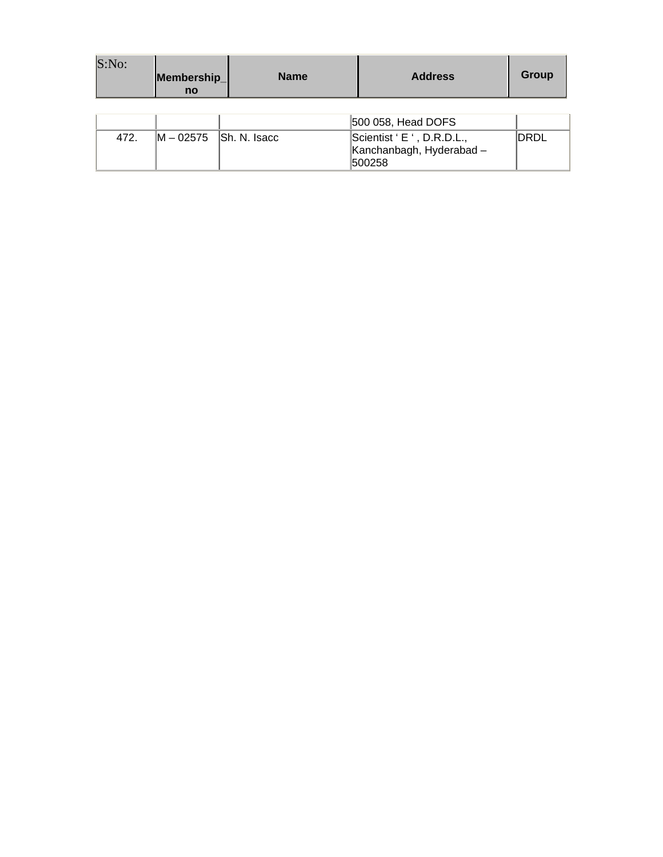| S:No: | Membership_<br><b>no</b> | <b>Name</b>  | <b>Address</b>                                                   | Group |
|-------|--------------------------|--------------|------------------------------------------------------------------|-------|
|       |                          |              | 500 058, Head DOFS                                               |       |
| 472.  | M - 02575                | Sh. N. Isacc | Scientist ' E ', D.R.D.L.,<br>Kanchanbagh, Hyderabad -<br>500258 | IDRDL |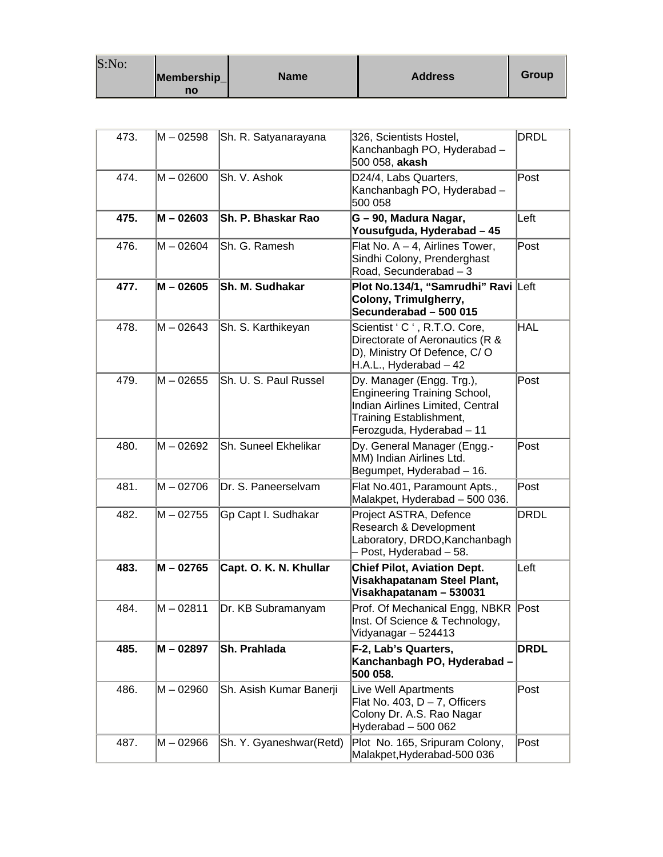| S:No: | Membership_ | <b>Name</b> | <b>Address</b> | Group |
|-------|-------------|-------------|----------------|-------|
|       | no          |             |                |       |

and the

| 473. | M – 02598   | Sh. R. Satyanarayana      | 326, Scientists Hostel,<br>Kanchanbagh PO, Hyderabad -<br>500 058, akash                                                                                     | <b>DRDL</b> |
|------|-------------|---------------------------|--------------------------------------------------------------------------------------------------------------------------------------------------------------|-------------|
| 474. | $M - 02600$ | Sh. V. Ashok              | D24/4, Labs Quarters,<br>Kanchanbagh PO, Hyderabad -<br>500 058                                                                                              | Post        |
| 475. | $M - 02603$ | <b>Sh. P. Bhaskar Rao</b> | G - 90, Madura Nagar,<br>Yousufguda, Hyderabad – 45                                                                                                          | Left        |
| 476. | M – 02604   | Sh. G. Ramesh             | Flat No. $A - 4$ , Airlines Tower,<br>Sindhi Colony, Prenderghast<br>Road, Secunderabad - 3                                                                  | Post        |
| 477. | M - 02605   | Sh. M. Sudhakar           | Plot No.134/1, "Samrudhi" Ravi Left<br>Colony, Trimulgherry,<br>Secunderabad - 500 015                                                                       |             |
| 478. | M – 02643   | Sh. S. Karthikeyan        | Scientist ' C ', R.T.O. Core,<br>Directorate of Aeronautics (R &<br>D), Ministry Of Defence, C/O<br>H.A.L., Hyderabad - 42                                   | HAL         |
| 479. | M - 02655   | Sh. U. S. Paul Russel     | Dy. Manager (Engg. Trg.),<br><b>Engineering Training School,</b><br>Indian Airlines Limited, Central<br>Training Establishment,<br>Ferozguda, Hyderabad - 11 | Post        |
| 480. | M-02692     | Sh. Suneel Ekhelikar      | Dy. General Manager (Engg.-<br>MM) Indian Airlines Ltd.<br>Begumpet, Hyderabad - 16.                                                                         | Post        |
| 481. | $M - 02706$ | Dr. S. Paneerselvam       | Flat No.401, Paramount Apts.,<br>Malakpet, Hyderabad - 500 036.                                                                                              | $\sf{Post}$ |
| 482. | M – 02755   | Gp Capt I. Sudhakar       | Project ASTRA, Defence<br>Research & Development<br>Laboratory, DRDO, Kanchanbagh<br>- Post, Hyderabad - 58.                                                 | <b>DRDL</b> |
| 483. | M - 02765   | Capt. O. K. N. Khullar    | <b>Chief Pilot, Aviation Dept.</b><br>Visakhapatanam Steel Plant,<br>Visakhapatanam - 530031                                                                 | Left        |
| 484. | $M - 02811$ | Dr. KB Subramanyam        | Prof. Of Mechanical Engg, NBKR<br>Inst. Of Science & Technology,<br>Vidyanagar - 524413                                                                      | Post        |
| 485. | M - 02897   | Sh. Prahlada              | F-2, Lab's Quarters,<br>Kanchanbagh PO, Hyderabad -<br>500 058.                                                                                              | <b>DRDL</b> |
| 486. | M – 02960   | Sh. Asish Kumar Banerji   | Live Well Apartments<br>Flat No. 403, $D - 7$ , Officers<br>Colony Dr. A.S. Rao Nagar<br>Hyderabad - 500 062                                                 | $\sf{Post}$ |
| 487. | M - 02966   | Sh. Y. Gyaneshwar(Retd)   | Plot No. 165, Sripuram Colony,<br>Malakpet, Hyderabad-500 036                                                                                                | Post        |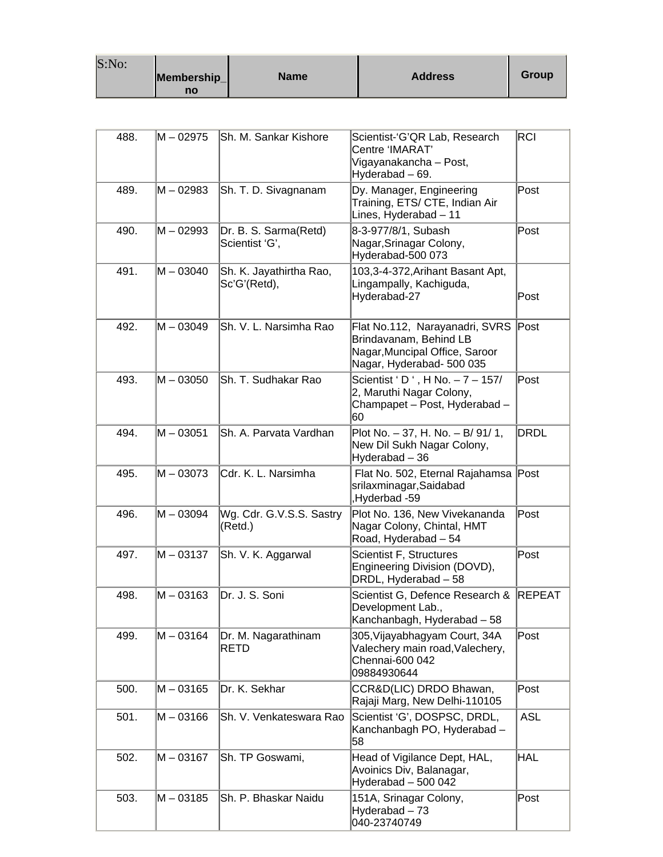| S:No: | Membership_<br>no | <b>Name</b> | <b>Address</b> | Group |
|-------|-------------------|-------------|----------------|-------|
|-------|-------------------|-------------|----------------|-------|

| 488. | M – 02975   | Sh. M. Sankar Kishore                   | Scientist-'G'QR Lab, Research<br>Centre 'IMARAT'<br>Vigayanakancha – Post,<br>Hyderabad - 69.                           | <b>RCI</b>    |
|------|-------------|-----------------------------------------|-------------------------------------------------------------------------------------------------------------------------|---------------|
| 489. | M-02983     | Sh. T. D. Sivagnanam                    | Dy. Manager, Engineering<br>Training, ETS/ CTE, Indian Air<br>Lines, Hyderabad - 11                                     | Post          |
| 490. | M – 02993   | Dr. B. S. Sarma(Retd)<br>Scientist 'G', | 8-3-977/8/1, Subash<br>Nagar, Srinagar Colony,<br>Hyderabad-500 073                                                     | Post          |
| 491. | M - 03040   | Sh. K. Jayathirtha Rao,<br>Sc'G'(Retd), | 103,3-4-372, Arihant Basant Apt,<br>Lingampally, Kachiguda,<br>Hyderabad-27                                             | Post          |
| 492. | M – 03049   | Sh. V. L. Narsimha Rao                  | Flat No.112, Narayanadri, SVRS<br>Brindavanam, Behind LB<br>Nagar, Muncipal Office, Saroor<br>Nagar, Hyderabad- 500 035 | Post          |
| 493. | M - 03050   | Sh. T. Sudhakar Rao                     | Scientist ' D ', H No. - 7 - 157/<br>2, Maruthi Nagar Colony,<br>Champapet - Post, Hyderabad -<br>60                    | Post          |
| 494. | M - 03051   | Sh. A. Parvata Vardhan                  | Plot No. - 37, H. No. - B/ 91/ 1,<br>New Dil Sukh Nagar Colony,<br>Hyderabad - 36                                       | <b>DRDL</b>   |
| 495. | M – 03073   | Cdr. K. L. Narsimha                     | Flat No. 502, Eternal Rajahamsa Post<br>srilaxminagar, Saidabad<br>Hyderbad -59                                         |               |
| 496. | M - 03094   | Wg. Cdr. G.V.S.S. Sastry<br>(Retd.)     | Plot No. 136, New Vivekananda<br>Nagar Colony, Chintal, HMT<br>Road, Hyderabad - 54                                     | Post          |
| 497. | M-03137     | Sh. V. K. Aggarwal                      | Scientist F, Structures<br>Engineering Division (DOVD),<br>DRDL, Hyderabad - 58                                         | Post          |
| 498. | M-03163     | Dr. J. S. Soni                          | Scientist G, Defence Research &<br>Development Lab.,<br>Kanchanbagh, Hyderabad - 58                                     | <b>REPEAT</b> |
| 499. | M - 03164   | Dr. M. Nagarathinam<br><b>RETD</b>      | 305, Vijayabhagyam Court, 34A<br>Valechery main road, Valechery,<br>Chennai-600 042<br>09884930644                      | Post          |
| 500. | M - 03165   | Dr. K. Sekhar                           | CCR&D(LIC) DRDO Bhawan,<br>Rajaji Marg, New Delhi-110105                                                                | Post          |
| 501. | $M - 03166$ | Sh. V. Venkateswara Rao                 | Scientist 'G', DOSPSC, DRDL,<br>Kanchanbagh PO, Hyderabad -<br>58                                                       | <b>ASL</b>    |
| 502. | $M - 03167$ | Sh. TP Goswami,                         | Head of Vigilance Dept, HAL,<br>Avoinics Div, Balanagar,<br>Hyderabad - 500 042                                         | <b>HAL</b>    |
| 503. | $M - 03185$ | Sh. P. Bhaskar Naidu                    | 151A, Srinagar Colony,<br>Hyderabad - 73<br>040-23740749                                                                | Post          |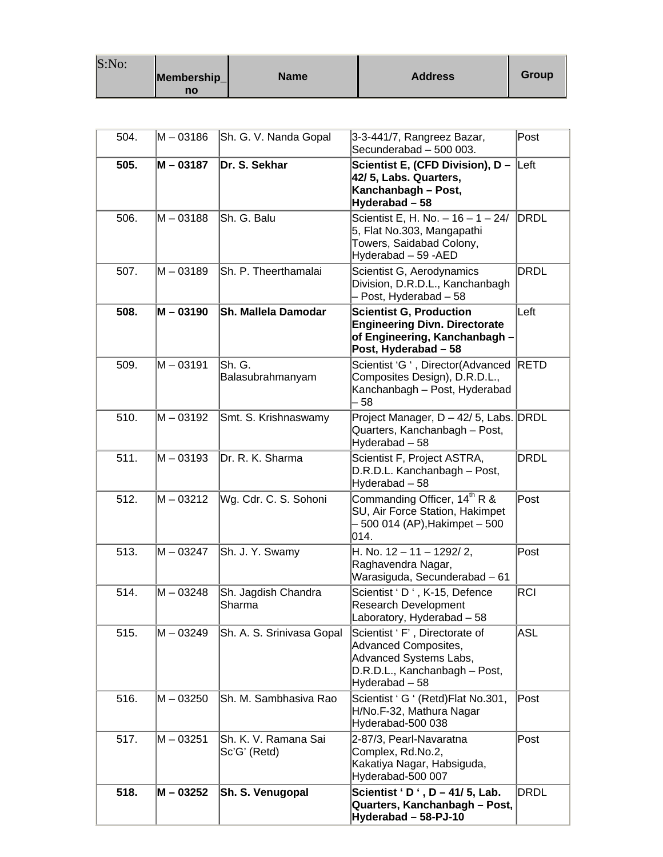| S:No: | Membership_ | <b>Name</b> | <b>Address</b> | Group |
|-------|-------------|-------------|----------------|-------|
|       | no          |             |                |       |

| 504. | M - 03186   | Sh. G. V. Nanda Gopal                | 3-3-441/7, Rangreez Bazar,<br>Secunderabad - 500 003.                                                                              | Post        |
|------|-------------|--------------------------------------|------------------------------------------------------------------------------------------------------------------------------------|-------------|
| 505. | M - 03187   | Dr. S. Sekhar                        | Scientist E, (CFD Division), $D -  Left $<br>42/5, Labs. Quarters,<br>Kanchanbagh - Post,<br>Hyderabad-58                          |             |
| 506. | M - 03188   | Sh. G. Balu                          | Scientist E, H. No. $-16 - 1 - 24/$<br>5, Flat No.303, Mangapathi<br>Towers, Saidabad Colony,<br>Hyderabad - 59 - AED              | DRDL        |
| 507. | M - 03189   | Sh. P. Theerthamalai                 | Scientist G, Aerodynamics<br>Division, D.R.D.L., Kanchanbagh<br>- Post, Hyderabad - 58                                             | DRDL        |
| 508. | M - 03190   | Sh. Mallela Damodar                  | <b>Scientist G, Production</b><br><b>Engineering Divn. Directorate</b><br>of Engineering, Kanchanbagh -<br>Post, Hyderabad - 58    | Left        |
| 509. | M – 03191   | Sh. G.<br>Balasubrahmanyam           | Scientist 'G ', Director(Advanced<br>Composites Design), D.R.D.L.,<br>Kanchanbagh - Post, Hyderabad<br>- 58                        | RETD        |
| 510. | M – 03192   | Smt. S. Krishnaswamy                 | Project Manager, D - 42/ 5, Labs. DRDL<br>Quarters, Kanchanbagh - Post,<br>Hyderabad - 58                                          |             |
| 511. | M-03193     | Dr. R. K. Sharma                     | Scientist F, Project ASTRA,<br>D.R.D.L. Kanchanbagh - Post,<br>Hyderabad - 58                                                      | <b>DRDL</b> |
| 512. | M - 03212   | Wg. Cdr. C. S. Sohoni                | Commanding Officer, 14 <sup>th</sup> R &<br>SU, Air Force Station, Hakimpet<br>- 500 014 (AP), Hakimpet – 500<br>014.              | Post        |
| 513. | M – 03247   | Sh. J. Y. Swamy                      | H. No. $12 - 11 - 1292/2$ ,<br>Raghavendra Nagar,<br>Warasiguda, Secunderabad - 61                                                 | Post        |
| 514. | M - 03248   | Sh. Jagdish Chandra<br>Sharma        | Scientist 'D ', K-15, Defence<br><b>Research Development</b><br>Laboratory, Hyderabad - 58                                         | RCI         |
| 515. | M – 03249   | Sh. A. S. Srinivasa Gopal            | Scientist 'F', Directorate of<br>Advanced Composites,<br>Advanced Systems Labs,<br>D.R.D.L., Kanchanbagh - Post,<br>Hyderabad - 58 | ASL         |
| 516. | $M - 03250$ | Sh. M. Sambhasiva Rao                | Scientist ' G ' (Retd) Flat No.301,<br>H/No.F-32, Mathura Nagar<br>Hyderabad-500 038                                               | Post        |
| 517. | M – 03251   | Sh. K. V. Ramana Sai<br>Sc'G' (Retd) | 2-87/3, Pearl-Navaratna<br>Complex, Rd.No.2,<br>Kakatiya Nagar, Habsiguda,<br>Hyderabad-500 007                                    | Post        |
| 518. | M - 03252   | Sh. S. Venugopal                     | Scientist 'D', D - 41/5, Lab.<br>Quarters, Kanchanbagh - Post,<br>Hyderabad - 58-PJ-10                                             | <b>DRDL</b> |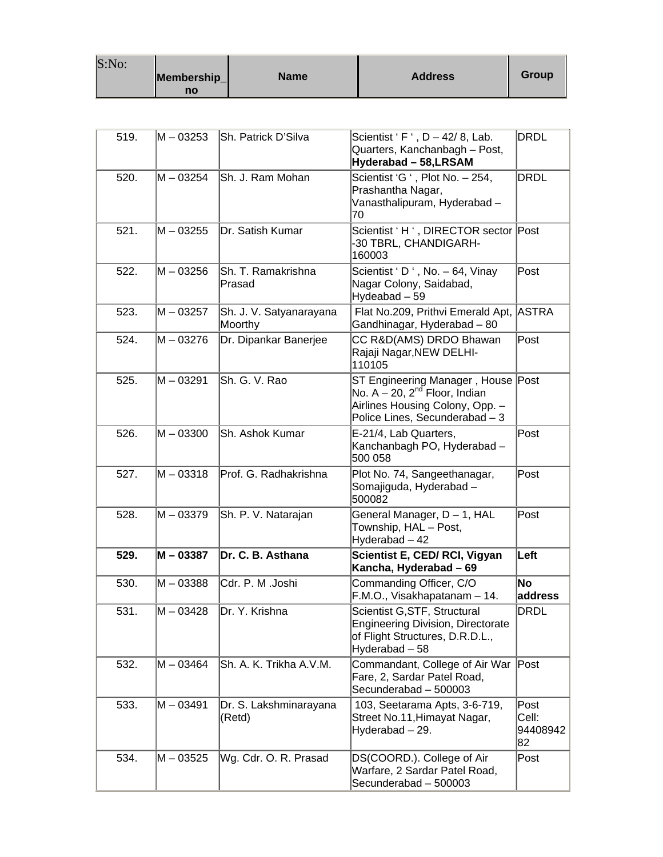| S:No: |                   |             |                |       |
|-------|-------------------|-------------|----------------|-------|
|       | Membership_<br>no | <b>Name</b> | <b>Address</b> | Group |

| 519. | M – 03253   | Sh. Patrick D'Silva                | Scientist 'F', $D - 42/8$ , Lab.<br>Quarters, Kanchanbagh - Post,<br>Hyderabad - 58, LRSAM                                                       | <b>DRDL</b>                     |
|------|-------------|------------------------------------|--------------------------------------------------------------------------------------------------------------------------------------------------|---------------------------------|
| 520. | $M - 03254$ | Sh. J. Ram Mohan                   | Scientist 'G ', Plot No. - 254,<br>Prashantha Nagar,<br>Vanasthalipuram, Hyderabad-<br>70                                                        | <b>DRDL</b>                     |
| 521. | $M - 03255$ | Dr. Satish Kumar                   | Scientist 'H ', DIRECTOR sector Post<br>-30 TBRL, CHANDIGARH-<br>160003                                                                          |                                 |
| 522. | $M - 03256$ | Sh. T. Ramakrishna<br>Prasad       | Scientist 'D ', No. $-64$ , Vinay<br>Nagar Colony, Saidabad,<br>Hydeabad - 59                                                                    | Post                            |
| 523. | M – 03257   | Sh. J. V. Satyanarayana<br>Moorthy | Flat No.209, Prithvi Emerald Apt,<br>Gandhinagar, Hyderabad - 80                                                                                 | <b>ASTRA</b>                    |
| 524. | M-03276     | Dr. Dipankar Banerjee              | CC R&D(AMS) DRDO Bhawan<br>Rajaji Nagar, NEW DELHI-<br>110105                                                                                    | Post                            |
| 525. | M-03291     | Sh. G. V. Rao                      | ST Engineering Manager, House Post<br>No. $A - 20$ , $2^{nd}$ Floor, Indian<br>Airlines Housing Colony, Opp. -<br>Police Lines, Secunderabad - 3 |                                 |
| 526. | M – 03300   | Sh. Ashok Kumar                    | E-21/4, Lab Quarters,<br>Kanchanbagh PO, Hyderabad -<br>500 058                                                                                  | Post                            |
| 527. | M - 03318   | Prof. G. Radhakrishna              | Plot No. 74, Sangeethanagar,<br>Somajiguda, Hyderabad -<br>500082                                                                                | Post                            |
| 528. | M – 03379   | Sh. P. V. Natarajan                | General Manager, D - 1, HAL<br>Township, HAL - Post,<br>Hyderabad - 42                                                                           | Post                            |
| 529. | M - 03387   | Dr. C. B. Asthana                  | Scientist E, CED/ RCI, Vigyan<br>Kancha, Hyderabad - 69                                                                                          | Left                            |
| 530. | M-03388     | Cdr. P. M .Joshi                   | Commanding Officer, C/O<br>F.M.O., Visakhapatanam - 14.                                                                                          | <b>No</b><br>address            |
| 531. | M-03428     | Dr. Y. Krishna                     | Scientist G, STF, Structural<br>Engineering Division, Directorate<br>of Flight Structures, D.R.D.L.,<br>Hyderabad - 58                           | <b>DRDL</b>                     |
| 532. | M – 03464   | Sh. A. K. Trikha A.V.M.            | Commandant, College of Air War<br>Fare, 2, Sardar Patel Road,<br>Secunderabad - 500003                                                           | Post                            |
| 533. | $M - 03491$ | Dr. S. Lakshminarayana<br>(Retd)   | 103, Seetarama Apts, 3-6-719,<br>Street No.11, Himayat Nagar,<br>Hyderabad - 29.                                                                 | Post<br>Cell:<br>94408942<br>82 |
| 534. | M – 03525   | Wg. Cdr. O. R. Prasad              | DS(COORD.). College of Air<br>Warfare, 2 Sardar Patel Road,<br>Secunderabad - 500003                                                             | Post                            |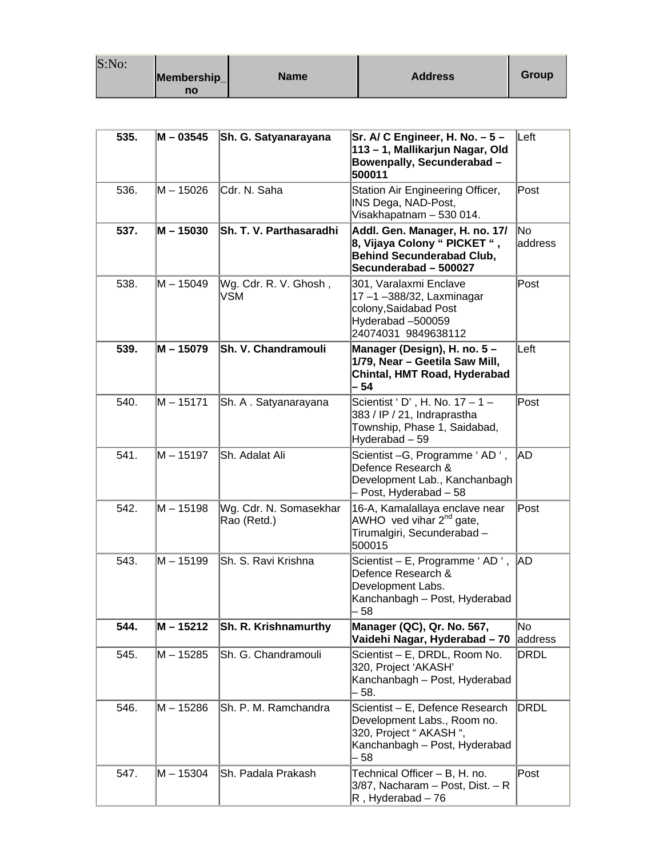| S:No: | Membership_<br>no | <b>Name</b> | <b>Address</b> | Group |
|-------|-------------------|-------------|----------------|-------|
|-------|-------------------|-------------|----------------|-------|

| 535. | $M - 03545$ | <b>Sh. G. Satyanarayana</b>           | Sr. A/ C Engineer, H. No. - 5 -<br>113 - 1, Mallikarjun Nagar, Old<br>Bowenpally, Secunderabad -<br>500011                         | Left          |
|------|-------------|---------------------------------------|------------------------------------------------------------------------------------------------------------------------------------|---------------|
| 536. | $M - 15026$ | Cdr. N. Saha                          | Station Air Engineering Officer,<br>INS Dega, NAD-Post,<br>Visakhapatnam - 530 014.                                                | Post          |
| 537. | $M - 15030$ | <b>Sh. T. V. Parthasaradhi</b>        | Addl. Gen. Manager, H. no. 17/<br>8, Vijaya Colony " PICKET ",<br><b>Behind Secunderabad Club,</b><br>Secunderabad - 500027        | No<br>address |
| 538. | $M - 15049$ | Wg. Cdr. R. V. Ghosh,<br><b>VSM</b>   | 301, Varalaxmi Enclave<br>17-1-388/32, Laxminagar<br>colony, Saidabad Post<br>Hyderabad -500059<br>24074031 9849638112             | Post          |
| 539. | $M - 15079$ | Sh. V. Chandramouli                   | Manager (Design), H. no. 5 -<br>1/79, Near - Geetila Saw Mill,<br>Chintal, HMT Road, Hyderabad<br>- 54                             | Left          |
| 540. | $M - 15171$ | Sh. A. Satyanarayana                  | Scientist ' D', H. No. 17 - 1 -<br>383 / IP / 21, Indraprastha<br>Township, Phase 1, Saidabad,<br>Hyderabad - 59                   | Post          |
| 541. | M - 15197   | Sh. Adalat Ali                        | Scientist - G, Programme 'AD',<br>Defence Research &<br>Development Lab., Kanchanbagh<br>- Post, Hyderabad - 58                    | AD.           |
| 542. | $M - 15198$ | Wg. Cdr. N. Somasekhar<br>Rao (Retd.) | 16-A, Kamalallaya enclave near<br>AWHO ved vihar 2 <sup>nd</sup> gate,<br>Tirumalgiri, Secunderabad -<br>500015                    | Post          |
| 543. | M – 15199   | Sh. S. Ravi Krishna                   | Scientist - E, Programme 'AD ',<br>Defence Research &<br>Development Labs.<br>Kanchanbagh - Post, Hyderabad<br>- 58                | AD            |
| 544. | $M - 15212$ | Sh. R. Krishnamurthy                  | Manager (QC), Qr. No. 567,<br>Vaidehi Nagar, Hyderabad - 70                                                                        | No<br>address |
| 545. | M - 15285   | Sh. G. Chandramouli                   | Scientist - E, DRDL, Room No.<br>320, Project 'AKASH'<br>Kanchanbagh - Post, Hyderabad<br>- 58.                                    | <b>DRDL</b>   |
| 546. | M – 15286   | Sh. P. M. Ramchandra                  | Scientist - E, Defence Research<br>Development Labs., Room no.<br>320, Project " AKASH ",<br>Kanchanbagh - Post, Hyderabad<br>- 58 | <b>DRDL</b>   |
| 547. | M - 15304   | Sh. Padala Prakash                    | Technical Officer - B, H. no.<br>3/87, Nacharam - Post, Dist. - R<br>$R$ , Hyderabad - 76                                          | Post          |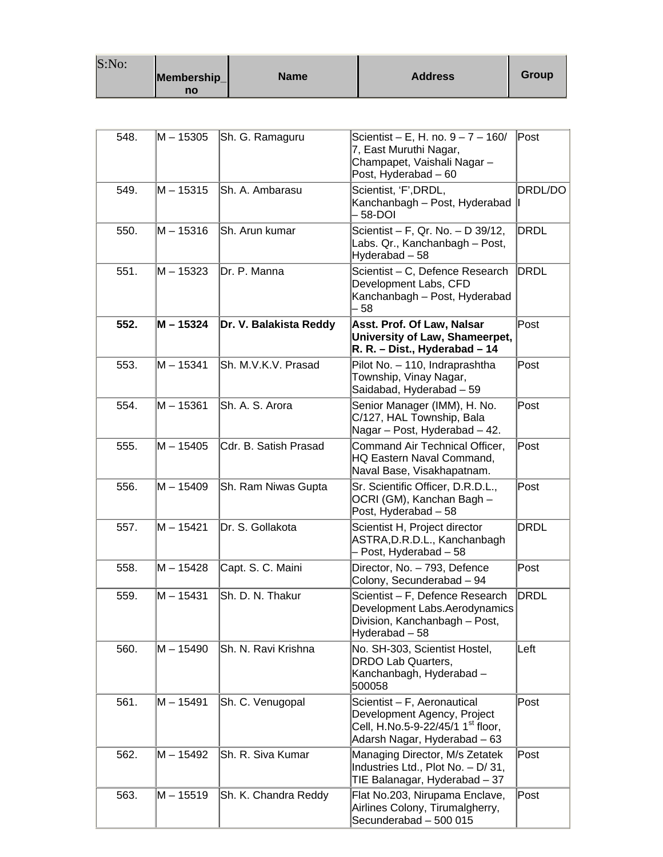| S:No: | Membership_<br>no | <b>Name</b> | <b>Address</b> | Group |
|-------|-------------------|-------------|----------------|-------|
|-------|-------------------|-------------|----------------|-------|

| 548. | $M - 15305$ | Sh. G. Ramaguru        | Scientist – E, H. no. 9 – 7 – 160/<br>7, East Muruthi Nagar,<br>Champapet, Vaishali Nagar-<br>Post, Hyderabad - 60                          | Post        |
|------|-------------|------------------------|---------------------------------------------------------------------------------------------------------------------------------------------|-------------|
| 549. | $M - 15315$ | Sh. A. Ambarasu        | Scientist, 'F', DRDL,<br>Kanchanbagh – Post, Hyderabad<br>- 58-DOI                                                                          | DRDL/DO     |
| 550. | $M - 15316$ | Sh. Arun kumar         | Scientist - F, Qr. No. - D 39/12,<br>Labs. Qr., Kanchanbagh - Post,<br>Hyderabad - 58                                                       | <b>DRDL</b> |
| 551. | $M - 15323$ | Dr. P. Manna           | Scientist - C, Defence Research<br>Development Labs, CFD<br>Kanchanbagh - Post, Hyderabad<br>- 58                                           | DRDL        |
| 552. | M - 15324   | Dr. V. Balakista Reddy | Asst. Prof. Of Law, Nalsar<br>University of Law, Shameerpet,<br>R. R. - Dist., Hyderabad - 14                                               | Post        |
| 553. | $M - 15341$ | Sh. M.V.K.V. Prasad    | Pilot No. - 110, Indraprashtha<br>Township, Vinay Nagar,<br>Saidabad, Hyderabad - 59                                                        | Post        |
| 554. | $M - 15361$ | Sh. A. S. Arora        | Senior Manager (IMM), H. No.<br>C/127, HAL Township, Bala<br>Nagar - Post, Hyderabad - 42.                                                  | Post        |
| 555. | $M - 15405$ | Cdr. B. Satish Prasad  | Command Air Technical Officer,<br>HQ Eastern Naval Command,<br>Naval Base, Visakhapatnam.                                                   | Post        |
| 556. | $M - 15409$ | Sh. Ram Niwas Gupta    | Sr. Scientific Officer, D.R.D.L.,<br>OCRI (GM), Kanchan Bagh -<br>Post, Hyderabad - 58                                                      | Post        |
| 557. | $M - 15421$ | Dr. S. Gollakota       | Scientist H, Project director<br>ASTRA, D.R.D.L., Kanchanbagh<br>- Post, Hyderabad - 58                                                     | DRDL        |
| 558. | $M - 15428$ | Capt. S. C. Maini      | Director, No. - 793, Defence<br>Colony, Secunderabad - 94                                                                                   | Post        |
| 559. | $M - 15431$ | Sh. D. N. Thakur       | Scientist - F, Defence Research<br>Development Labs.Aerodynamics<br>Division, Kanchanbagh - Post,<br>Hyderabad - 58                         | DRDL        |
| 560. | M – 15490   | Sh. N. Ravi Krishna    | No. SH-303, Scientist Hostel,<br>DRDO Lab Quarters,<br>Kanchanbagh, Hyderabad -<br>500058                                                   | Left        |
| 561. | $M - 15491$ | Sh. C. Venugopal       | Scientist - F, Aeronautical<br>Development Agency, Project<br>Cell, H.No.5-9-22/45/1 1 <sup>st</sup> floor,<br>Adarsh Nagar, Hyderabad - 63 | Post        |
| 562. | M - 15492   | Sh. R. Siva Kumar      | Managing Director, M/s Zetatek<br>Industries Ltd., Plot No. - D/ 31,<br>TIE Balanagar, Hyderabad - 37                                       | Post        |
| 563. | M-15519     | Sh. K. Chandra Reddy   | Flat No.203, Nirupama Enclave,<br>Airlines Colony, Tirumalgherry,<br>Secunderabad - 500 015                                                 | Post        |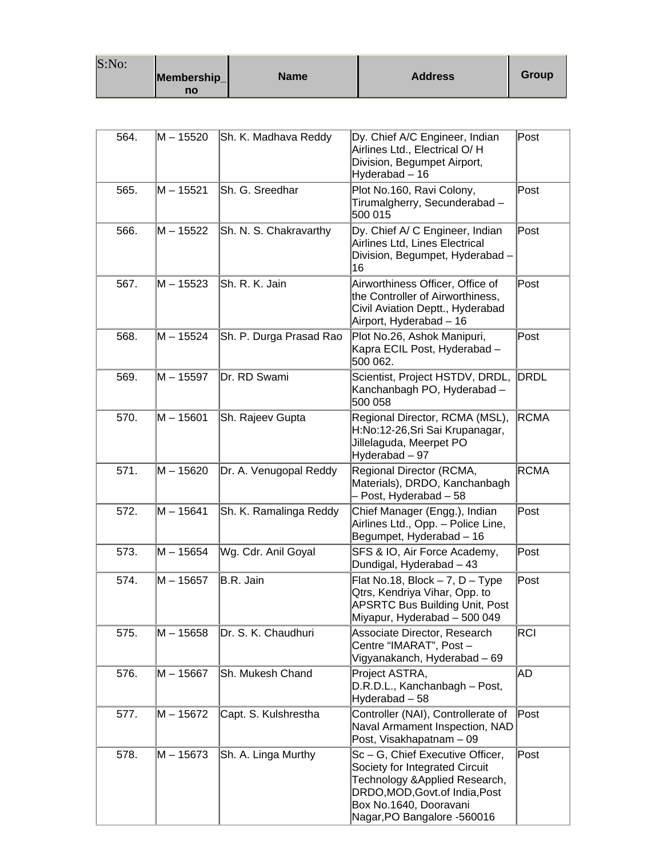| S:No: | Membership_<br>no | <b>Name</b> | <b>Address</b> | Group |
|-------|-------------------|-------------|----------------|-------|
|-------|-------------------|-------------|----------------|-------|

and the

| 564. | M – 15520   | Sh. K. Madhava Reddy    | Dy. Chief A/C Engineer, Indian<br>Airlines Ltd., Electrical O/H<br>Division, Begumpet Airport,<br>Hyderabad - 16                                                                               | Post        |
|------|-------------|-------------------------|------------------------------------------------------------------------------------------------------------------------------------------------------------------------------------------------|-------------|
| 565. | M – 15521   | Sh. G. Sreedhar         | Plot No.160, Ravi Colony,<br>Tirumalgherry, Secunderabad -<br>500 015                                                                                                                          | Post        |
| 566. | M – 15522   | Sh. N. S. Chakravarthy  | Dy. Chief A/ C Engineer, Indian<br>Airlines Ltd, Lines Electrical<br>Division, Begumpet, Hyderabad -<br>16                                                                                     | Post        |
| 567. | M – 15523   | Sh. R. K. Jain          | Airworthiness Officer, Office of<br>the Controller of Airworthiness,<br>Civil Aviation Deptt., Hyderabad<br>Airport, Hyderabad - 16                                                            | Post        |
| 568. | M – 15524   | Sh. P. Durga Prasad Rao | Plot No.26, Ashok Manipuri,<br>Kapra ECIL Post, Hyderabad -<br>500 062.                                                                                                                        | Post        |
| 569. | M – 15597   | Dr. RD Swami            | Scientist, Project HSTDV, DRDL,<br>Kanchanbagh PO, Hyderabad -<br>500 058                                                                                                                      | DRDL        |
| 570. | M - 15601   | Sh. Rajeev Gupta        | Regional Director, RCMA (MSL),<br>H:No:12-26, Sri Sai Krupanagar,<br>Jillelaguda, Meerpet PO<br>Hyderabad - 97                                                                                 | <b>RCMA</b> |
| 571. | M – 15620   | Dr. A. Venugopal Reddy  | Regional Director (RCMA,<br>Materials), DRDO, Kanchanbagh<br>- Post, Hyderabad - 58                                                                                                            | <b>RCMA</b> |
| 572. | M - 15641   | Sh. K. Ramalinga Reddy  | Chief Manager (Engg.), Indian<br>Airlines Ltd., Opp. - Police Line,<br>Begumpet, Hyderabad - 16                                                                                                | Post        |
| 573. | $M - 15654$ | Wg. Cdr. Anil Goyal     | SFS & IO, Air Force Academy,<br>Dundigal, Hyderabad - 43                                                                                                                                       | Post        |
| 574. | $M - 15657$ | B.R. Jain               | Flat No.18, Block $-7$ , D $-$ Type<br>Qtrs, Kendriya Vihar, Opp. to<br><b>APSRTC Bus Building Unit, Post</b><br>Miyapur, Hyderabad - 500 049                                                  | Post        |
| 575. | M – 15658   | Dr. S. K. Chaudhuri     | Associate Director, Research<br>Centre "IMARAT", Post-<br>Vigyanakanch, Hyderabad - 69                                                                                                         | RCI         |
| 576. | M - 15667   | Sh. Mukesh Chand        | Project ASTRA,<br>D.R.D.L., Kanchanbagh - Post,<br>Hyderabad - 58                                                                                                                              | AD          |
| 577. | M – 15672   | Capt. S. Kulshrestha    | Controller (NAI), Controllerate of<br>Naval Armament Inspection, NAD<br>Post, Visakhapatnam - 09                                                                                               | Post        |
| 578. | M-15673     | Sh. A. Linga Murthy     | Sc-G, Chief Executive Officer,<br>Society for Integrated Circuit<br>Technology & Applied Research,<br>DRDO, MOD, Govt. of India, Post<br>Box No.1640, Dooravani<br>Nagar, PO Bangalore -560016 | Post        |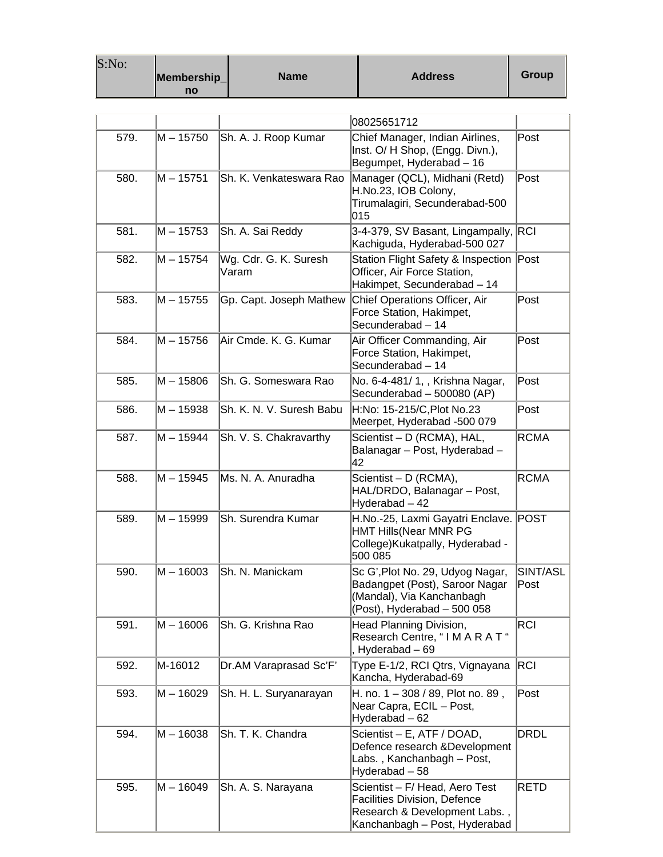| S:No: | Membership_<br>no | <b>Name</b>                    | <b>Address</b>                                                                                                                          | <b>Group</b>     |
|-------|-------------------|--------------------------------|-----------------------------------------------------------------------------------------------------------------------------------------|------------------|
|       |                   |                                |                                                                                                                                         |                  |
| 579.  | M – 15750         | Sh. A. J. Roop Kumar           | 08025651712<br>Chief Manager, Indian Airlines,<br>Inst. O/ H Shop, (Engg. Divn.),<br>Begumpet, Hyderabad - 16                           | Post             |
| 580.  | M – 15751         | Sh. K. Venkateswara Rao        | Manager (QCL), Midhani (Retd)<br>H.No.23, IOB Colony,<br>Tirumalagiri, Secunderabad-500<br>015                                          | Post             |
| 581.  | M – 15753         | Sh. A. Sai Reddy               | 3-4-379, SV Basant, Lingampally, RCI<br>Kachiguda, Hyderabad-500 027                                                                    |                  |
| 582.  | $M - 15754$       | Wg. Cdr. G. K. Suresh<br>Varam | Station Flight Safety & Inspection Post<br>Officer, Air Force Station,<br>Hakimpet, Secunderabad - 14                                   |                  |
| 583.  | M – 15755         | Gp. Capt. Joseph Mathew        | Chief Operations Officer, Air<br>Force Station, Hakimpet,<br>Secunderabad - 14                                                          | Post             |
| 584.  | M - 15756         | Air Cmde. K. G. Kumar          | Air Officer Commanding, Air<br>Force Station, Hakimpet,<br>Secunderabad - 14                                                            | Post             |
| 585.  | M - 15806         | Sh. G. Someswara Rao           | No. 6-4-481/ 1,, Krishna Nagar,<br>Secunderabad - 500080 (AP)                                                                           | Post             |
| 586.  | M – 15938         | Sh. K. N. V. Suresh Babu       | H:No: 15-215/C, Plot No.23<br>Meerpet, Hyderabad -500 079                                                                               | Post             |
| 587.  | M – 15944         | Sh. V. S. Chakravarthy         | Scientist – D (RCMA), HAL,<br>Balanagar - Post, Hyderabad -<br>42                                                                       | <b>RCMA</b>      |
| 588.  | M – 15945         | Ms. N. A. Anuradha             | Scientist – D (RCMA),<br>HAL/DRDO, Balanagar - Post,<br>Hyderabad - 42                                                                  | <b>RCMA</b>      |
| 589.  | M – 15999         | Sh. Surendra Kumar             | H.No.-25, Laxmi Gayatri Enclave. POST<br><b>HMT Hills (Near MNR PG</b><br>College) Kukatpally, Hyderabad -<br>500 085                   |                  |
| 590.  | M – 16003         | Sh. N. Manickam                | Sc G', Plot No. 29, Udyog Nagar,<br>Badangpet (Post), Saroor Nagar<br>(Mandal), Via Kanchanbagh<br>(Post), Hyderabad - 500 058          | SINT/ASL<br>Post |
| 591.  | M - 16006         | Sh. G. Krishna Rao             | Head Planning Division,<br>Research Centre, "I M A R A T "<br>, Hyderabad - 69                                                          | <b>RCI</b>       |
| 592.  | M-16012           | Dr.AM Varaprasad Sc'F'         | Type E-1/2, RCI Qtrs, Vignayana<br>Kancha, Hyderabad-69                                                                                 | <b>RCI</b>       |
| 593.  | M – 16029         | Sh. H. L. Suryanarayan         | H. no. 1 - 308 / 89, Plot no. 89,<br>Near Capra, ECIL - Post,<br>Hyderabad - 62                                                         | Post             |
| 594.  | M - 16038         | Sh. T. K. Chandra              | Scientist - E, ATF / DOAD,<br>Defence research & Development<br>Labs., Kanchanbagh - Post,<br>Hyderabad - 58                            | <b>DRDL</b>      |
| 595.  | M – 16049         | Sh. A. S. Narayana             | Scientist - F/ Head, Aero Test<br><b>Facilities Division, Defence</b><br>Research & Development Labs.,<br>Kanchanbagh - Post, Hyderabad | RETD             |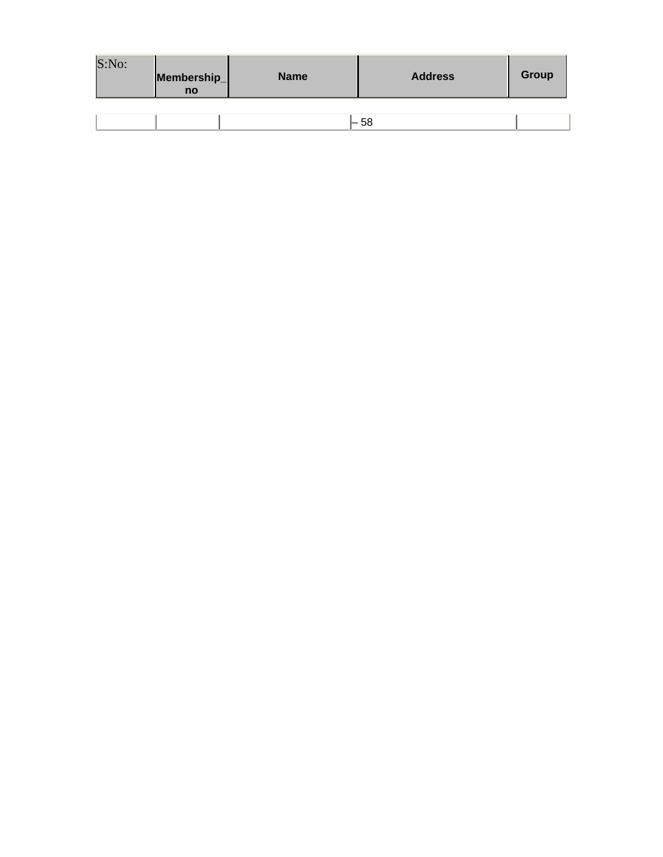| S:No: | Membership_<br>no | <b>Name</b> | <b>Address</b> | Group |
|-------|-------------------|-------------|----------------|-------|
|       |                   |             |                |       |
|       |                   |             | - 58           |       |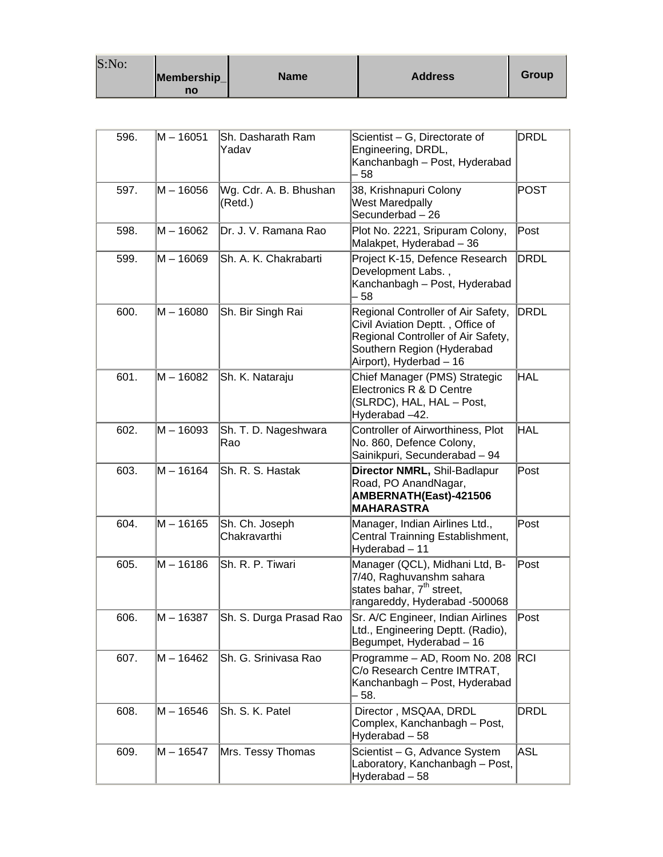| S:No: |             |      |                |       |
|-------|-------------|------|----------------|-------|
|       | Membership_ | Name | <b>Address</b> | Group |
|       | no          |      |                |       |

| 596. | M - 16051 | Sh. Dasharath Ram<br>Yadav        | Scientist - G, Directorate of<br>Engineering, DRDL,<br>Kanchanbagh - Post, Hyderabad<br>58                                                                            | DRDL            |
|------|-----------|-----------------------------------|-----------------------------------------------------------------------------------------------------------------------------------------------------------------------|-----------------|
| 597. | M – 16056 | Wg. Cdr. A. B. Bhushan<br>(Retd.) | 38, Krishnapuri Colony<br><b>West Maredpally</b><br>Secunderbad - 26                                                                                                  | <b>POST</b>     |
| 598. | M - 16062 | Dr. J. V. Ramana Rao              | Plot No. 2221, Sripuram Colony,<br>Malakpet, Hyderabad - 36                                                                                                           | Post            |
| 599. | M-16069   | Sh. A. K. Chakrabarti             | Project K-15, Defence Research<br>Development Labs.,<br>Kanchanbagh - Post, Hyderabad<br>58                                                                           | <b>DRDL</b>     |
| 600. | M - 16080 | Sh. Bir Singh Rai                 | Regional Controller of Air Safety,<br>Civil Aviation Deptt., Office of<br>Regional Controller of Air Safety,<br>Southern Region (Hyderabad<br>Airport), Hyderbad - 16 | <b>DRDL</b>     |
| 601. | M - 16082 | Sh. K. Nataraju                   | Chief Manager (PMS) Strategic<br>Electronics R & D Centre<br>(SLRDC), HAL, HAL - Post,<br>Hyderabad -42.                                                              | <b>HAL</b>      |
| 602. | M-16093   | Sh. T. D. Nageshwara<br>Rao       | Controller of Airworthiness, Plot<br>No. 860, Defence Colony,<br>Sainikpuri, Secunderabad - 94                                                                        | <b>HAL</b>      |
| 603. | M - 16164 | Sh. R. S. Hastak                  | Director NMRL, Shil-Badlapur<br>Road, PO AnandNagar,<br>AMBERNATH(East)-421506<br><b>MAHARASTRA</b>                                                                   | Post            |
| 604. | M - 16165 | Sh. Ch. Joseph<br>Chakravarthi    | Manager, Indian Airlines Ltd.,<br>Central Trainning Establishment,<br>Hyderabad - 11                                                                                  | Post            |
| 605. | M – 16186 | Sh. R. P. Tiwari                  | Manager (QCL), Midhani Ltd, B-<br>7/40, Raghuvanshm sahara<br>states bahar, 7 <sup>th</sup> street,<br>rangareddy, Hyderabad -500068                                  | Post            |
| 606. | M - 16387 | Sh. S. Durga Prasad Rao           | Sr. A/C Engineer, Indian Airlines<br>Ltd., Engineering Deptt. (Radio),<br>Begumpet, Hyderabad - 16                                                                    | $\mathsf{Post}$ |
| 607. | M - 16462 | Sh. G. Srinivasa Rao              | Programme - AD, Room No. 208 RCI<br>C/o Research Centre IMTRAT,<br>Kanchanbagh - Post, Hyderabad<br>- 58.                                                             |                 |
| 608. | M – 16546 | Sh. S. K. Patel                   | Director, MSQAA, DRDL<br>Complex, Kanchanbagh - Post,<br>Hyderabad - 58                                                                                               | DRDL            |
| 609. | M – 16547 | Mrs. Tessy Thomas                 | Scientist - G, Advance System<br>Laboratory, Kanchanbagh - Post,<br>Hyderabad - 58                                                                                    | ASL             |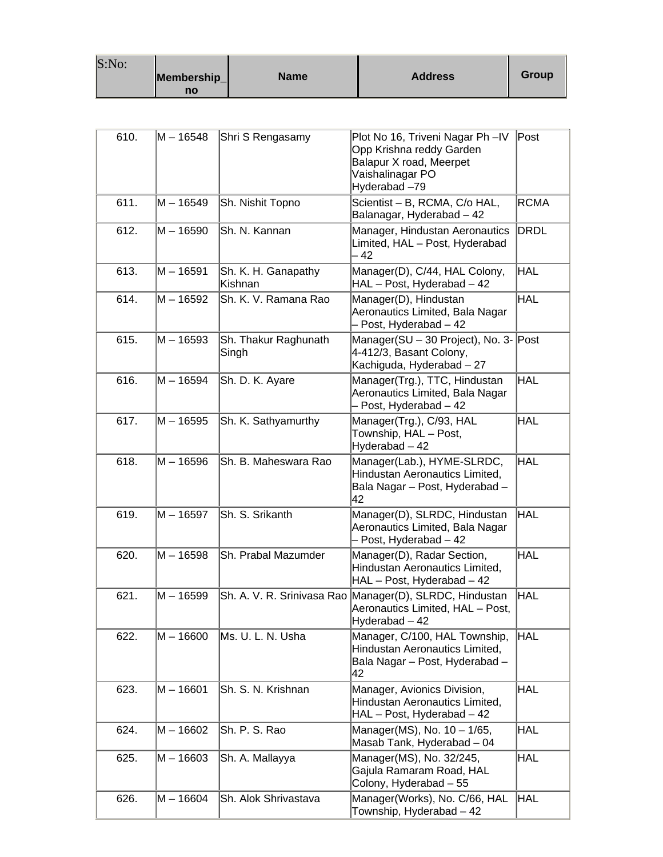| S:No: | Membership_<br>no | <b>Name</b> | <b>Address</b> | Group |
|-------|-------------------|-------------|----------------|-------|
|-------|-------------------|-------------|----------------|-------|

| 610. | M - 16548 | Shri S Rengasamy               | Plot No 16, Triveni Nagar Ph-IV<br>Opp Krishna reddy Garden<br>Balapur X road, Meerpet<br>Vaishalinagar PO<br>Hyderabad-79 | Post        |
|------|-----------|--------------------------------|----------------------------------------------------------------------------------------------------------------------------|-------------|
| 611. | M – 16549 | Sh. Nishit Topno               | Scientist - B, RCMA, C/o HAL,<br>Balanagar, Hyderabad - 42                                                                 | <b>RCMA</b> |
| 612. | M – 16590 | Sh. N. Kannan                  | Manager, Hindustan Aeronautics<br>Limited, HAL - Post, Hyderabad<br>- 42                                                   | DRDL        |
| 613. | M – 16591 | Sh. K. H. Ganapathy<br>Kishnan | Manager(D), C/44, HAL Colony,<br>HAL - Post, Hyderabad - 42                                                                | HAL         |
| 614. | M – 16592 | Sh. K. V. Ramana Rao           | Manager(D), Hindustan<br>Aeronautics Limited, Bala Nagar<br>- Post, Hyderabad - 42                                         | HAL         |
| 615. | M – 16593 | Sh. Thakur Raghunath<br>Singh  | Manager(SU - 30 Project), No. 3- Post<br>4-412/3, Basant Colony,<br>Kachiguda, Hyderabad - 27                              |             |
| 616. | M – 16594 | Sh. D. K. Ayare                | Manager(Trg.), TTC, Hindustan<br>Aeronautics Limited, Bala Nagar<br>- Post, Hyderabad - 42                                 | HAL         |
| 617. | M – 16595 | Sh. K. Sathyamurthy            | Manager(Trg.), C/93, HAL<br>Township, HAL - Post,<br>Hyderabad - 42                                                        | HAL         |
| 618. | M – 16596 | Sh. B. Maheswara Rao           | Manager(Lab.), HYME-SLRDC,<br>Hindustan Aeronautics Limited,<br>Bala Nagar - Post, Hyderabad -<br>42                       | HAL         |
| 619. | M – 16597 | Sh. S. Srikanth                | Manager(D), SLRDC, Hindustan<br>Aeronautics Limited, Bala Nagar<br>- Post, Hyderabad - 42                                  | <b>HAL</b>  |
| 620. | M – 16598 | Sh. Prabal Mazumder            | Manager(D), Radar Section,<br>Hindustan Aeronautics Limited,<br>HAL - Post, Hyderabad - 42                                 | HAL         |
| 621. | M – 16599 |                                | Sh. A. V. R. Srinivasa Rao Manager(D), SLRDC, Hindustan<br>Aeronautics Limited, HAL - Post,<br>Hyderabad - 42              | HAL         |
| 622. | M – 16600 | Ms. U. L. N. Usha              | Manager, C/100, HAL Township,<br>Hindustan Aeronautics Limited,<br>Bala Nagar - Post, Hyderabad -<br>42                    | HAL         |
| 623. | M - 16601 | Sh. S. N. Krishnan             | Manager, Avionics Division,<br>Hindustan Aeronautics Limited,<br>HAL - Post, Hyderabad - 42                                | <b>HAL</b>  |
| 624. | M – 16602 | Sh. P. S. Rao                  | Manager(MS), No. 10 - 1/65,<br>Masab Tank, Hyderabad - 04                                                                  | <b>HAL</b>  |
| 625. | M - 16603 | Sh. A. Mallayya                | Manager(MS), No. 32/245,<br>Gajula Ramaram Road, HAL<br>Colony, Hyderabad - 55                                             | <b>HAL</b>  |
| 626. | M – 16604 | Sh. Alok Shrivastava           | Manager(Works), No. C/66, HAL<br>Township, Hyderabad - 42                                                                  | HAL         |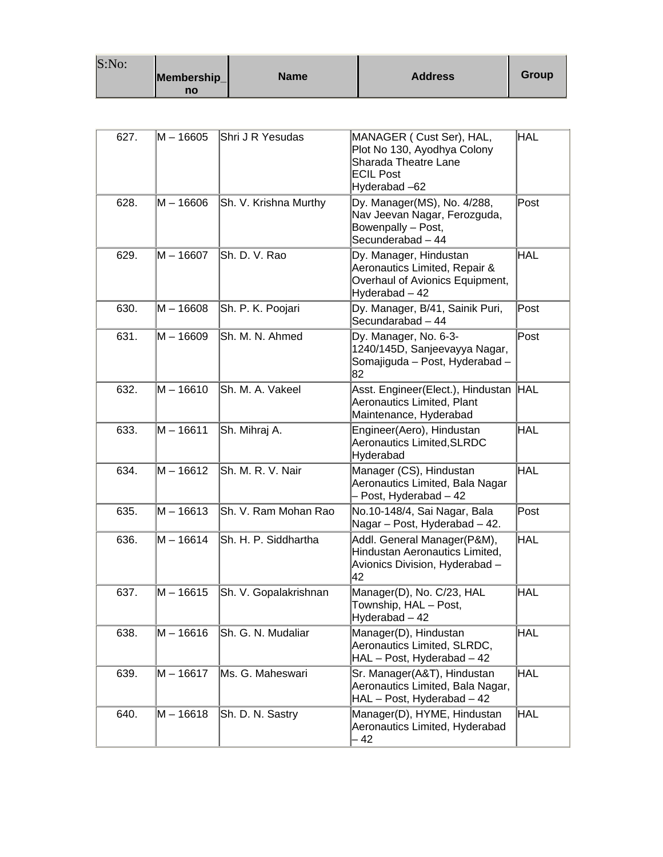| S:No: |             |             |                |       |
|-------|-------------|-------------|----------------|-------|
|       | Membership_ | <b>Name</b> | <b>Address</b> | Group |
|       | no          |             |                |       |

| 627. | M – 16605   | Shri J R Yesudas      | MANAGER (Cust Ser), HAL,<br>Plot No 130, Ayodhya Colony<br>Sharada Theatre Lane<br><b>ECIL Post</b><br>Hyderabad-62 | <b>HAL</b> |
|------|-------------|-----------------------|---------------------------------------------------------------------------------------------------------------------|------------|
| 628. | $M - 16606$ | Sh. V. Krishna Murthy | Dy. Manager(MS), No. 4/288,<br>Nav Jeevan Nagar, Ferozguda,<br>Bowenpally - Post,<br>Secunderabad - 44              | Post       |
| 629. | M - 16607   | Sh. D. V. Rao         | Dy. Manager, Hindustan<br>Aeronautics Limited, Repair &<br>Overhaul of Avionics Equipment,<br>Hyderabad - 42        | <b>HAL</b> |
| 630. | $M - 16608$ | Sh. P. K. Poojari     | Dy. Manager, B/41, Sainik Puri,<br>Secundarabad - 44                                                                | Post       |
| 631. | $M - 16609$ | Sh. M. N. Ahmed       | Dy. Manager, No. 6-3-<br>1240/145D, Sanjeevayya Nagar,<br>Somajiguda - Post, Hyderabad -<br>82                      | Post       |
| 632. | $M - 16610$ | Sh. M. A. Vakeel      | Asst. Engineer(Elect.), Hindustan<br>Aeronautics Limited, Plant<br>Maintenance, Hyderabad                           | <b>HAL</b> |
| 633. | $M - 16611$ | Sh. Mihraj A.         | Engineer(Aero), Hindustan<br><b>Aeronautics Limited, SLRDC</b><br>Hyderabad                                         | <b>HAL</b> |
| 634. | $M - 16612$ | Sh. M. R. V. Nair     | Manager (CS), Hindustan<br>Aeronautics Limited, Bala Nagar<br>- Post, Hyderabad - 42                                | HAL        |
| 635. | $M - 16613$ | Sh. V. Ram Mohan Rao  | No.10-148/4, Sai Nagar, Bala<br>Nagar - Post, Hyderabad - 42.                                                       | Post       |
| 636. | $M - 16614$ | Sh. H. P. Siddhartha  | Addl. General Manager(P&M),<br>Hindustan Aeronautics Limited,<br>Avionics Division, Hyderabad -<br>42               | <b>HAL</b> |
| 637. | $M - 16615$ | Sh. V. Gopalakrishnan | Manager(D), No. C/23, HAL<br>Township, HAL - Post,<br>Hyderabad – 42                                                | <b>HAL</b> |
| 638. | $M - 16616$ | Sh. G. N. Mudaliar    | Manager(D), Hindustan<br>Aeronautics Limited, SLRDC,<br>HAL - Post, Hyderabad - 42                                  | <b>HAL</b> |
| 639. | $M - 16617$ | Ms. G. Maheswari      | Sr. Manager(A&T), Hindustan<br>Aeronautics Limited, Bala Nagar,<br>HAL - Post, Hyderabad - 42                       | <b>HAL</b> |
| 640. | $M - 16618$ | Sh. D. N. Sastry      | Manager(D), HYME, Hindustan<br>Aeronautics Limited, Hyderabad<br>- 42                                               | <b>HAL</b> |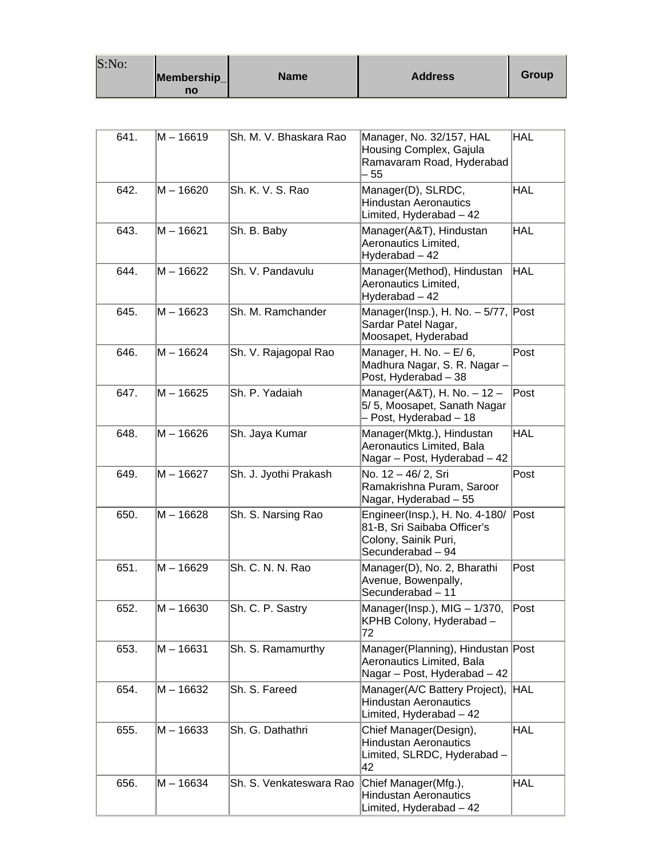| S:No: |             |      |                |       |
|-------|-------------|------|----------------|-------|
|       | Membership_ | Name | <b>Address</b> | Group |
|       | no          |      |                |       |

| 641. | M - 16619   | Sh. M. V. Bhaskara Rao  | Manager, No. 32/157, HAL<br>Housing Complex, Gajula<br>Ramavaram Road, Hyderabad<br>- 55                   | <b>HAL</b> |
|------|-------------|-------------------------|------------------------------------------------------------------------------------------------------------|------------|
| 642. | $M - 16620$ | Sh. K. V. S. Rao        | Manager(D), SLRDC,<br><b>Hindustan Aeronautics</b><br>Limited, Hyderabad - 42                              | <b>HAL</b> |
| 643. | M – 16621   | Sh. B. Baby             | Manager(A&T), Hindustan<br>Aeronautics Limited,<br>Hyderabad - 42                                          | <b>HAL</b> |
| 644. | M-16622     | Sh. V. Pandavulu        | Manager(Method), Hindustan<br>Aeronautics Limited,<br>Hyderabad - 42                                       | <b>HAL</b> |
| 645. | $M - 16623$ | Sh. M. Ramchander       | Manager(Insp.), H. No. $-5/77$ , Post<br>Sardar Patel Nagar,<br>Moosapet, Hyderabad                        |            |
| 646. | $M - 16624$ | Sh. V. Rajagopal Rao    | Manager, H. No. $- E/ 6$ ,<br>Madhura Nagar, S. R. Nagar -<br>Post, Hyderabad - 38                         | Post       |
| 647. | M-16625     | Sh. P. Yadaiah          | Manager(A&T), H. No. $-12$ -<br>5/5, Moosapet, Sanath Nagar<br>- Post, Hyderabad - 18                      | Post       |
| 648. | M-16626     | Sh. Jaya Kumar          | Manager(Mktg.), Hindustan<br>Aeronautics Limited, Bala<br>Nagar - Post, Hyderabad - 42                     | <b>HAL</b> |
| 649. | M - 16627   | Sh. J. Jyothi Prakash   | No. 12 - 46/ 2, Sri<br>Ramakrishna Puram, Saroor<br>Nagar, Hyderabad - 55                                  | Post       |
| 650. | M-16628     | Sh. S. Narsing Rao      | Engineer(Insp.), H. No. 4-180/<br>81-B, Sri Saibaba Officer's<br>Colony, Sainik Puri,<br>Secunderabad - 94 | Post       |
| 651. | M – 16629   | Sh. C. N. N. Rao        | Manager(D), No. 2, Bharathi<br>Avenue, Bowenpally,<br>Secunderabad - 11                                    | Post       |
| 652. | $M - 16630$ | Sh. C. P. Sastry        | Manager(Insp.), MIG - 1/370,<br>KPHB Colony, Hyderabad -<br>72                                             | Post       |
| 653. | $M - 16631$ | Sh. S. Ramamurthy       | Manager(Planning), Hindustan Post<br>Aeronautics Limited, Bala<br>Nagar - Post, Hyderabad - 42             |            |
| 654. | $M - 16632$ | Sh. S. Fareed           | Manager(A/C Battery Project),<br><b>Hindustan Aeronautics</b><br>Limited, Hyderabad - 42                   | HAL        |
| 655. | M-16633     | Sh. G. Dathathri        | Chief Manager(Design),<br><b>Hindustan Aeronautics</b><br>Limited, SLRDC, Hyderabad -<br>42                | <b>HAL</b> |
| 656. | M - 16634   | Sh. S. Venkateswara Rao | Chief Manager(Mfg.),<br><b>Hindustan Aeronautics</b><br>Limited, Hyderabad - 42                            | <b>HAL</b> |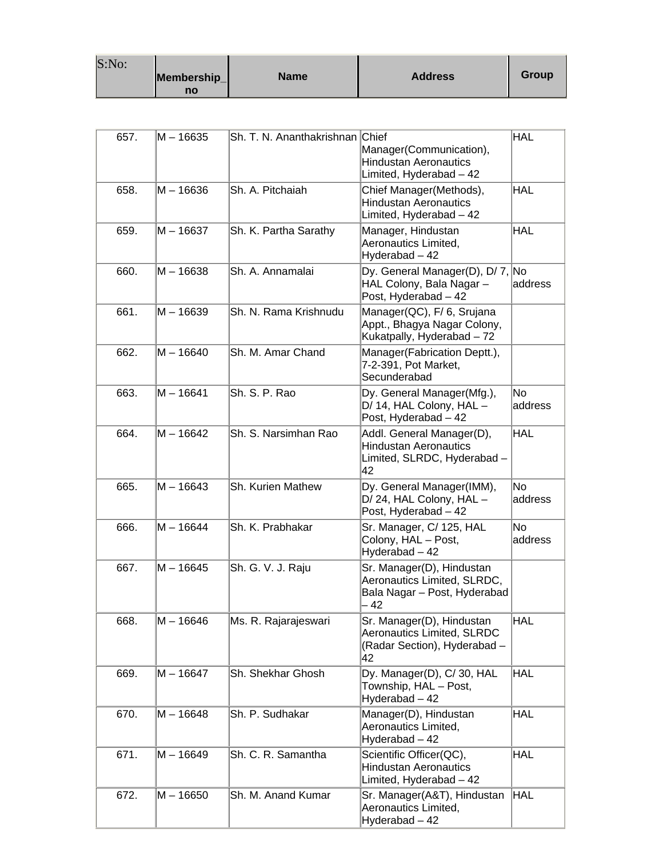| S:No: |             |             |                |       |
|-------|-------------|-------------|----------------|-------|
|       | Membership_ | <b>Name</b> | <b>Address</b> | Group |
|       | no          |             |                |       |

| 657. | M – 16635   | Sh. T. N. Ananthakrishnan Chief | Manager(Communication),<br><b>Hindustan Aeronautics</b><br>Limited, Hyderabad - 42                   | <b>HAL</b>    |
|------|-------------|---------------------------------|------------------------------------------------------------------------------------------------------|---------------|
| 658. | M – 16636   | Sh. A. Pitchaiah                | Chief Manager(Methods),<br><b>Hindustan Aeronautics</b><br>Limited, Hyderabad - 42                   | <b>HAL</b>    |
| 659. | M – 16637   | Sh. K. Partha Sarathy           | Manager, Hindustan<br>Aeronautics Limited,<br>Hyderabad - 42                                         | <b>HAL</b>    |
| 660. | M - 16638   | Sh. A. Annamalai                | Dy. General Manager(D), D/7, No<br>HAL Colony, Bala Nagar-<br>Post, Hyderabad - 42                   | address       |
| 661. | M – 16639   | Sh. N. Rama Krishnudu           | Manager(QC), F/6, Srujana<br>Appt., Bhagya Nagar Colony,<br>Kukatpally, Hyderabad - 72               |               |
| 662. | M - 16640   | Sh. M. Amar Chand               | Manager(Fabrication Deptt.),<br>7-2-391, Pot Market,<br>Secunderabad                                 |               |
| 663. | M – 16641   | Sh. S. P. Rao                   | Dy. General Manager(Mfg.),<br>D/ 14, HAL Colony, HAL -<br>Post, Hyderabad - 42                       | No<br>address |
| 664. | M – 16642   | Sh. S. Narsimhan Rao            | Addl. General Manager(D),<br><b>Hindustan Aeronautics</b><br>Limited, SLRDC, Hyderabad -<br>42       | <b>HAL</b>    |
| 665. | $M - 16643$ | Sh. Kurien Mathew               | Dy. General Manager(IMM),<br>D/24, HAL Colony, HAL -<br>Post, Hyderabad - 42                         | No<br>address |
| 666. | M – 16644   | Sh. K. Prabhakar                | Sr. Manager, C/ 125, HAL<br>Colony, HAL - Post,<br>Hyderabad - 42                                    | No<br>address |
| 667. | M-16645     | Sh. G. V. J. Raju               | Sr. Manager(D), Hindustan<br>Aeronautics Limited, SLRDC,<br>Bala Nagar - Post, Hyderabad<br>- 42     |               |
| 668. | M - 16646   | Ms. R. Rajarajeswari            | Sr. Manager(D), Hindustan<br><b>Aeronautics Limited, SLRDC</b><br>(Radar Section), Hyderabad -<br>42 | <b>HAL</b>    |
| 669. | M – 16647   | Sh. Shekhar Ghosh               | Dy. Manager(D), C/30, HAL<br>Township, HAL - Post,<br>Hyderabad - 42                                 | <b>HAL</b>    |
| 670. | M – 16648   | Sh. P. Sudhakar                 | Manager(D), Hindustan<br>Aeronautics Limited,<br>Hyderabad - 42                                      | <b>HAL</b>    |
| 671. | M - 16649   | Sh. C. R. Samantha              | Scientific Officer(QC),<br><b>Hindustan Aeronautics</b><br>Limited, Hyderabad - 42                   | <b>HAL</b>    |
| 672. | M – 16650   | Sh. M. Anand Kumar              | Sr. Manager(A&T), Hindustan<br>Aeronautics Limited,<br>Hyderabad - 42                                | <b>HAL</b>    |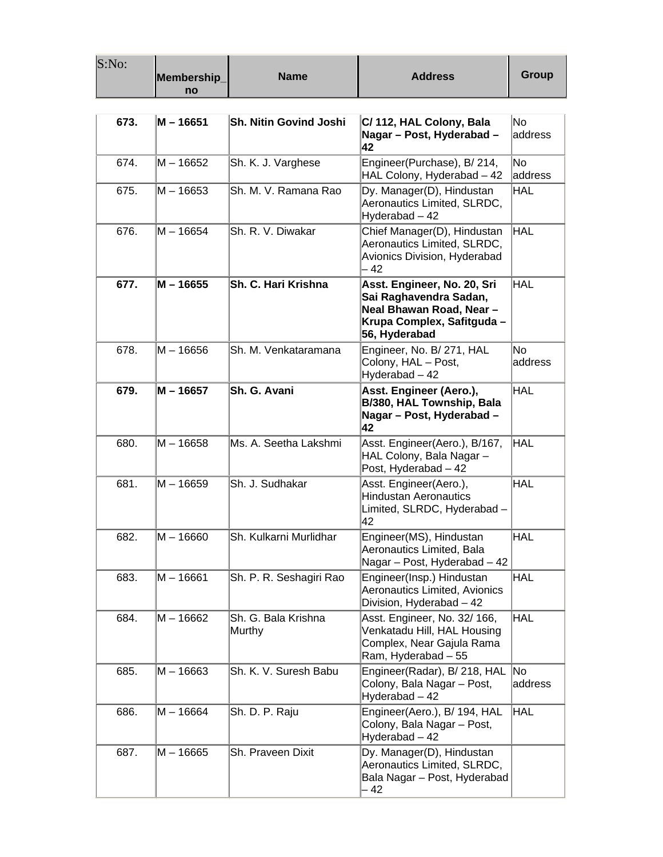| S:No: | Membership_<br>no | <b>Name</b>                   | <b>Address</b>                                                                                                                  | Group          |
|-------|-------------------|-------------------------------|---------------------------------------------------------------------------------------------------------------------------------|----------------|
|       |                   |                               |                                                                                                                                 |                |
| 673.  | M - 16651         | <b>Sh. Nitin Govind Joshi</b> | C/112, HAL Colony, Bala<br>Nagar - Post, Hyderabad -<br>42                                                                      | No.<br>address |
| 674.  | M – 16652         | Sh. K. J. Varghese            | Engineer(Purchase), B/214,<br>HAL Colony, Hyderabad - 42                                                                        | No.<br>address |
| 675.  | M-16653           | Sh. M. V. Ramana Rao          | Dy. Manager(D), Hindustan<br>Aeronautics Limited, SLRDC,<br>Hyderabad - 42                                                      | <b>HAL</b>     |
| 676.  | M – 16654         | Sh. R. V. Diwakar             | Chief Manager(D), Hindustan<br>Aeronautics Limited, SLRDC,<br>Avionics Division, Hyderabad<br>- 42                              | <b>HAL</b>     |
| 677.  | M - 16655         | Sh. C. Hari Krishna           | Asst. Engineer, No. 20, Sri<br>Sai Raghavendra Sadan,<br>Neal Bhawan Road, Near-<br>Krupa Complex, Safitguda -<br>56, Hyderabad | <b>HAL</b>     |
| 678.  | M – 16656         | Sh. M. Venkataramana          | Engineer, No. B/ 271, HAL<br>Colony, HAL - Post,<br>Hyderabad - 42                                                              | No.<br>address |
| 679.  | M – 16657         | Sh. G. Avani                  | Asst. Engineer (Aero.),<br>B/380, HAL Township, Bala<br>Nagar - Post, Hyderabad -<br>42                                         | <b>HAL</b>     |
| 680.  | $M - 16658$       | Ms. A. Seetha Lakshmi         | Asst. Engineer(Aero.), B/167,<br>HAL Colony, Bala Nagar -<br>Post, Hyderabad - 42                                               | HAL            |
| 681.  | M – 16659         | Sh. J. Sudhakar               | Asst. Engineer(Aero.),<br><b>Hindustan Aeronautics</b><br>Limited, SLRDC, Hyderabad -<br>42                                     | <b>HAL</b>     |
| 682.  | $M - 16660$       | Sh. Kulkarni Murlidhar        | Engineer(MS), Hindustan<br>Aeronautics Limited, Bala<br>Nagar - Post, Hyderabad - 42                                            | <b>HAL</b>     |
| 683.  | M - 16661         | Sh. P. R. Seshagiri Rao       | Engineer(Insp.) Hindustan<br>Aeronautics Limited, Avionics<br>Division, Hyderabad - 42                                          | <b>HAL</b>     |
| 684.  | $M - 16662$       | Sh. G. Bala Krishna<br>Murthy | Asst. Engineer, No. 32/ 166,<br>Venkatadu Hill, HAL Housing<br>Complex, Near Gajula Rama<br>Ram, Hyderabad - 55                 | <b>HAL</b>     |
| 685.  | $M - 16663$       | Sh. K. V. Suresh Babu         | Engineer(Radar), B/ 218, HAL<br>Colony, Bala Nagar - Post,<br>Hyderabad - 42                                                    | No<br>address  |
| 686.  | M – 16664         | Sh. D. P. Raju                | Engineer(Aero.), B/ 194, HAL<br>Colony, Bala Nagar - Post,<br>Hyderabad - 42                                                    | <b>HAL</b>     |
| 687.  | $M - 16665$       | Sh. Praveen Dixit             | Dy. Manager(D), Hindustan<br>Aeronautics Limited, SLRDC,<br>Bala Nagar - Post, Hyderabad<br>- 42                                |                |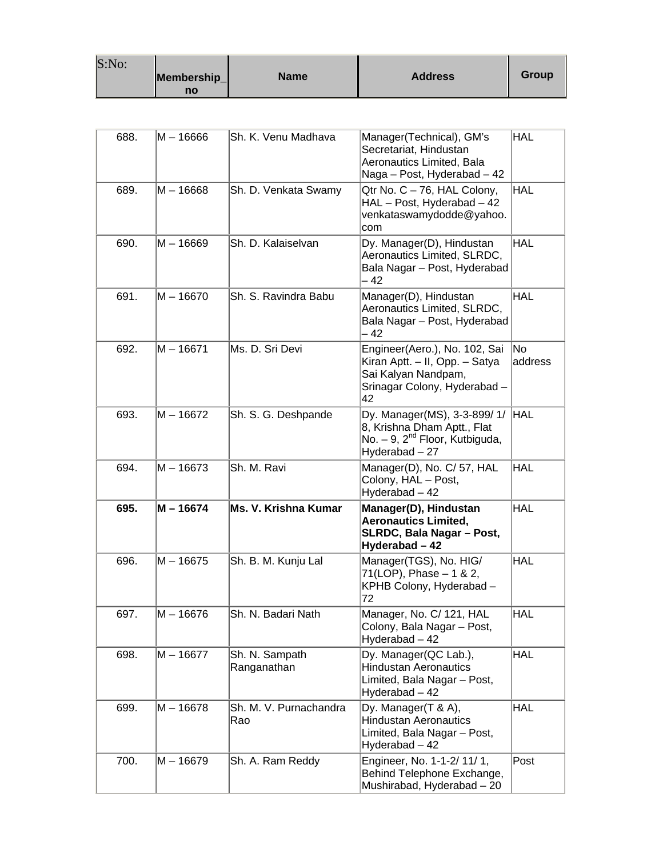| S:No: |                   |             |                |       |
|-------|-------------------|-------------|----------------|-------|
|       | Membership_<br>no | <b>Name</b> | <b>Address</b> | Group |

| 688. | M – 16666   | Sh. K. Venu Madhava           | Manager(Technical), GM's<br>Secretariat, Hindustan<br>Aeronautics Limited, Bala<br>Naga - Post, Hyderabad - 42               | <b>HAL</b>    |
|------|-------------|-------------------------------|------------------------------------------------------------------------------------------------------------------------------|---------------|
| 689. | $M - 16668$ | Sh. D. Venkata Swamy          | Qtr No. C - 76, HAL Colony,<br>HAL - Post, Hyderabad - 42<br>venkataswamydodde@yahoo.<br>com                                 | <b>HAL</b>    |
| 690. | M-16669     | Sh. D. Kalaiselvan            | Dy. Manager(D), Hindustan<br>Aeronautics Limited, SLRDC,<br>Bala Nagar – Post, Hyderabad<br>- 42                             | <b>HAL</b>    |
| 691. | M - 16670   | Sh. S. Ravindra Babu          | Manager(D), Hindustan<br>Aeronautics Limited, SLRDC,<br>Bala Nagar – Post, Hyderabad<br>- 42                                 | <b>HAL</b>    |
| 692. | $M - 16671$ | Ms. D. Sri Devi               | Engineer(Aero.), No. 102, Sai<br>Kiran Aptt. - II, Opp. - Satya<br>Sai Kalyan Nandpam,<br>Srinagar Colony, Hyderabad -<br>42 | No<br>address |
| 693. | $M - 16672$ | Sh. S. G. Deshpande           | Dy. Manager(MS), 3-3-899/1/<br>8, Krishna Dham Aptt., Flat<br>No. $-9$ , $2nd$ Floor, Kutbiguda,<br>Hyderabad-27             | HAL           |
| 694. | $M - 16673$ | Sh. M. Ravi                   | Manager(D), No. C/ 57, HAL<br>Colony, HAL - Post,<br>Hyderabad - 42                                                          | <b>HAL</b>    |
| 695. | $M - 16674$ | Ms. V. Krishna Kumar          | Manager(D), Hindustan<br><b>Aeronautics Limited,</b><br>SLRDC, Bala Nagar - Post,<br>Hyderabad - 42                          | <b>HAL</b>    |
| 696. | M – 16675   | Sh. B. M. Kunju Lal           | Manager(TGS), No. HIG/<br>71(LOP), Phase - 1 & 2,<br>KPHB Colony, Hyderabad -<br>72                                          | <b>HAL</b>    |
| 697. | M – 16676   | Sh. N. Badari Nath            | Manager, No. C/ 121, HAL<br>Colony, Bala Nagar - Post,<br>Hyderabad - 42                                                     | HAL           |
| 698. | $M - 16677$ | Sh. N. Sampath<br>Ranganathan | Dy. Manager(QC Lab.),<br><b>Hindustan Aeronautics</b><br>Limited, Bala Nagar - Post,<br>Hyderabad - 42                       | <b>HAL</b>    |
| 699. | M-16678     | Sh. M. V. Purnachandra<br>Rao | Dy. Manager(T & A),<br><b>Hindustan Aeronautics</b><br>Limited, Bala Nagar - Post,<br>Hyderabad - 42                         | <b>HAL</b>    |
| 700. | M-16679     | Sh. A. Ram Reddy              | Engineer, No. 1-1-2/ 11/ 1,<br>Behind Telephone Exchange,<br>Mushirabad, Hyderabad - 20                                      | Post          |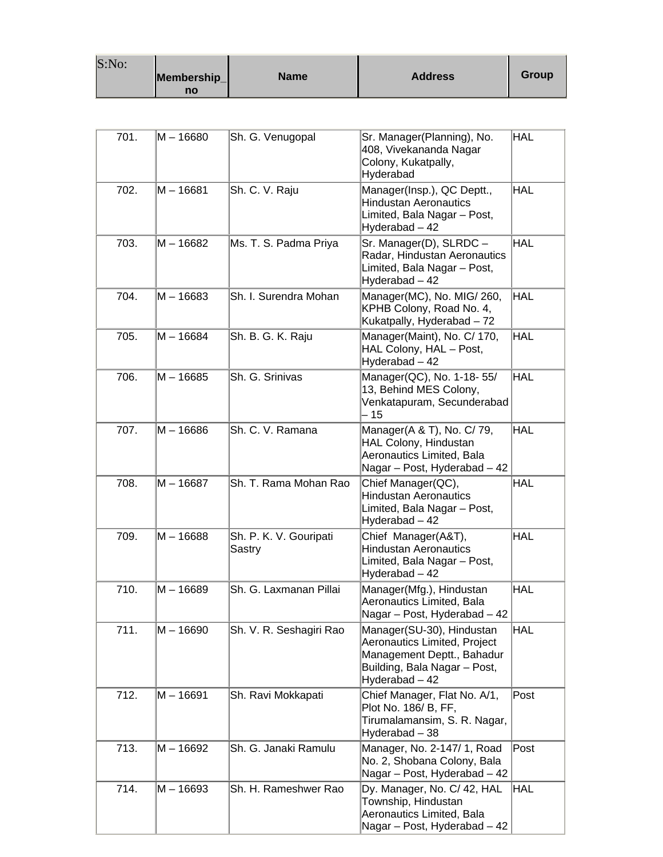| S:No: |             |             |                |              |
|-------|-------------|-------------|----------------|--------------|
|       | Membership_ | <b>Name</b> | <b>Address</b> | <b>Group</b> |
|       | no          |             |                |              |

| 701. | M-16680     | Sh. G. Venugopal                 | Sr. Manager(Planning), No.<br>408, Vivekananda Nagar<br>Colony, Kukatpally,<br>Hyderabad                                                  | <b>HAL</b> |
|------|-------------|----------------------------------|-------------------------------------------------------------------------------------------------------------------------------------------|------------|
| 702. | $M - 16681$ | Sh. C. V. Raju                   | Manager(Insp.), QC Deptt.,<br><b>Hindustan Aeronautics</b><br>Limited, Bala Nagar - Post,<br>Hyderabad - 42                               | <b>HAL</b> |
| 703. | M - 16682   | Ms. T. S. Padma Priya            | Sr. Manager(D), SLRDC -<br>Radar, Hindustan Aeronautics<br>Limited, Bala Nagar - Post,<br>Hyderabad - 42                                  | <b>HAL</b> |
| 704. | M – 16683   | Sh. I. Surendra Mohan            | Manager(MC), No. MIG/260,<br>KPHB Colony, Road No. 4,<br>Kukatpally, Hyderabad - 72                                                       | <b>HAL</b> |
| 705. | $M - 16684$ | Sh. B. G. K. Raju                | Manager(Maint), No. C/ 170,<br>HAL Colony, HAL - Post,<br>Hyderabad - 42                                                                  | HAL        |
| 706. | M-16685     | Sh. G. Srinivas                  | Manager(QC), No. 1-18-55/<br>13, Behind MES Colony,<br>Venkatapuram, Secunderabad<br>$-15$                                                | HAL        |
| 707. | M-16686     | Sh. C. V. Ramana                 | Manager(A & T), No. C/ 79,<br>HAL Colony, Hindustan<br>Aeronautics Limited, Bala<br>Nagar - Post, Hyderabad - 42                          | <b>HAL</b> |
| 708. | M – 16687   | Sh. T. Rama Mohan Rao            | Chief Manager(QC),<br><b>Hindustan Aeronautics</b><br>Limited, Bala Nagar - Post,<br>Hyderabad - 42                                       | <b>HAL</b> |
| 709. | M – 16688   | Sh. P. K. V. Gouripati<br>Sastry | Chief Manager(A&T),<br><b>Hindustan Aeronautics</b><br>Limited, Bala Nagar - Post,<br>Hyderabad - 42                                      | <b>HAL</b> |
| 710. | $M - 16689$ | Sh. G. Laxmanan Pillai           | Manager(Mfg.), Hindustan<br>Aeronautics Limited, Bala<br>Nagar - Post, Hyderabad - 42                                                     | <b>HAL</b> |
| 711. | M-16690     | Sh. V. R. Seshagiri Rao          | Manager(SU-30), Hindustan<br>Aeronautics Limited, Project<br>Management Deptt., Bahadur<br>Building, Bala Nagar - Post,<br>Hyderabad - 42 | <b>HAL</b> |
| 712. | $M - 16691$ | Sh. Ravi Mokkapati               | Chief Manager, Flat No. A/1,<br>Plot No. 186/ B, FF,<br>Tirumalamansim, S. R. Nagar,<br>Hyderabad - 38                                    | Post       |
| 713. | M - 16692   | Sh. G. Janaki Ramulu             | Manager, No. 2-147/ 1, Road<br>No. 2, Shobana Colony, Bala<br>Nagar - Post, Hyderabad - 42                                                | Post       |
| 714. | M-16693     | Sh. H. Rameshwer Rao             | Dy. Manager, No. C/ 42, HAL<br>Township, Hindustan<br>Aeronautics Limited, Bala<br>Nagar - Post, Hyderabad - 42                           | <b>HAL</b> |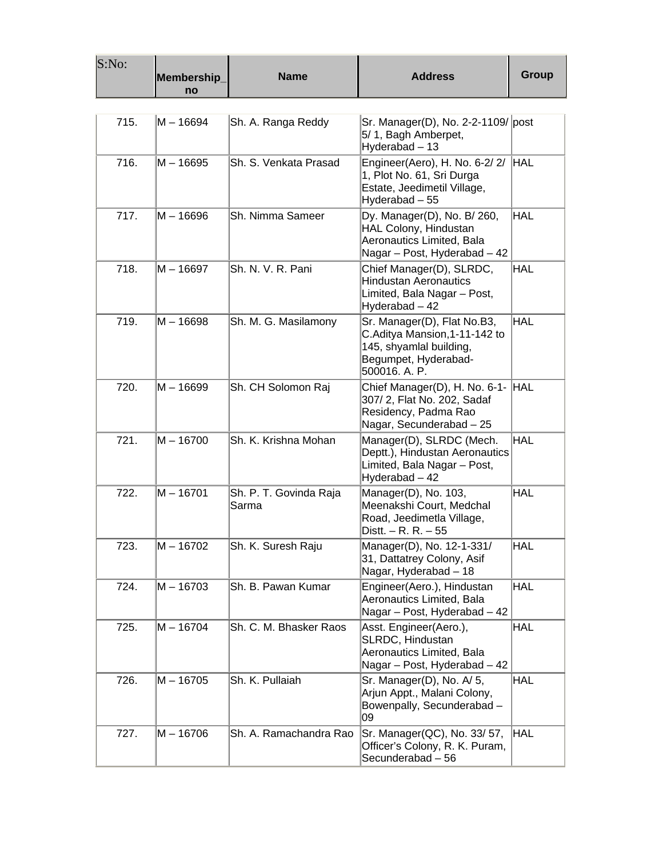| S:No: | Membership_<br>no | <b>Name</b>                     | <b>Address</b>                                                                                                                   | Group      |
|-------|-------------------|---------------------------------|----------------------------------------------------------------------------------------------------------------------------------|------------|
| 715.  | M – 16694         | Sh. A. Ranga Reddy              | Sr. Manager(D), No. 2-2-1109/ post<br>5/1, Bagh Amberpet,<br>Hyderabad - 13                                                      |            |
| 716.  | M-16695           | Sh. S. Venkata Prasad           | Engineer(Aero), H. No. 6-2/2/<br>1, Plot No. 61, Sri Durga<br>Estate, Jeedimetil Village,<br>Hyderabad - 55                      | <b>HAL</b> |
| 717.  | M – 16696         | Sh. Nimma Sameer                | Dy. Manager(D), No. B/ 260,<br>HAL Colony, Hindustan<br>Aeronautics Limited, Bala<br>Nagar - Post, Hyderabad - 42                | <b>HAL</b> |
| 718.  | M – 16697         | Sh. N. V. R. Pani               | Chief Manager(D), SLRDC,<br><b>Hindustan Aeronautics</b><br>Limited, Bala Nagar - Post,<br>Hyderabad - 42                        | HAL.       |
| 719.  | M – 16698         | Sh. M. G. Masilamony            | Sr. Manager(D), Flat No.B3,<br>C.Aditya Mansion, 1-11-142 to<br>145, shyamlal building,<br>Begumpet, Hyderabad-<br>500016. A. P. | <b>HAL</b> |
| 720.  | M – 16699         | Sh. CH Solomon Raj              | Chief Manager(D), H. No. 6-1-<br>307/2, Flat No. 202, Sadaf<br>Residency, Padma Rao<br>Nagar, Secunderabad - 25                  | <b>HAL</b> |
| 721.  | $M - 16700$       | Sh. K. Krishna Mohan            | Manager(D), SLRDC (Mech.<br>Deptt.), Hindustan Aeronautics<br>Limited, Bala Nagar - Post,<br>Hyderabad - 42                      | <b>HAL</b> |
| 722.  | $M - 16701$       | Sh. P. T. Govinda Raja<br>Sarma | Manager(D), No. 103,<br>Meenakshi Court, Medchal<br>Road, Jeedimetla Village,<br>Distt. $- R. R. - 55$                           | <b>HAL</b> |
| 723.  | M – 16702         | Sh. K. Suresh Raju              | Manager(D), No. 12-1-331/<br>31, Dattatrey Colony, Asif<br>Nagar, Hyderabad - 18                                                 | <b>HAL</b> |
| 724.  | M-16703           | Sh. B. Pawan Kumar              | Engineer(Aero.), Hindustan<br>Aeronautics Limited, Bala<br>Nagar - Post, Hyderabad - 42                                          | <b>HAL</b> |
| 725.  | M – 16704         | Sh. C. M. Bhasker Raos          | Asst. Engineer(Aero.),<br>SLRDC, Hindustan<br>Aeronautics Limited, Bala<br>Nagar - Post, Hyderabad - 42                          | HAL        |
| 726.  | M - 16705         | Sh. K. Pullaiah                 | Sr. Manager(D), No. A/5,<br>Arjun Appt., Malani Colony,<br>Bowenpally, Secunderabad-<br>09                                       | <b>HAL</b> |
| 727.  | M - 16706         | Sh. A. Ramachandra Rao          | Sr. Manager(QC), No. 33/ 57,<br>Officer's Colony, R. K. Puram,<br>Secunderabad - 56                                              | <b>HAL</b> |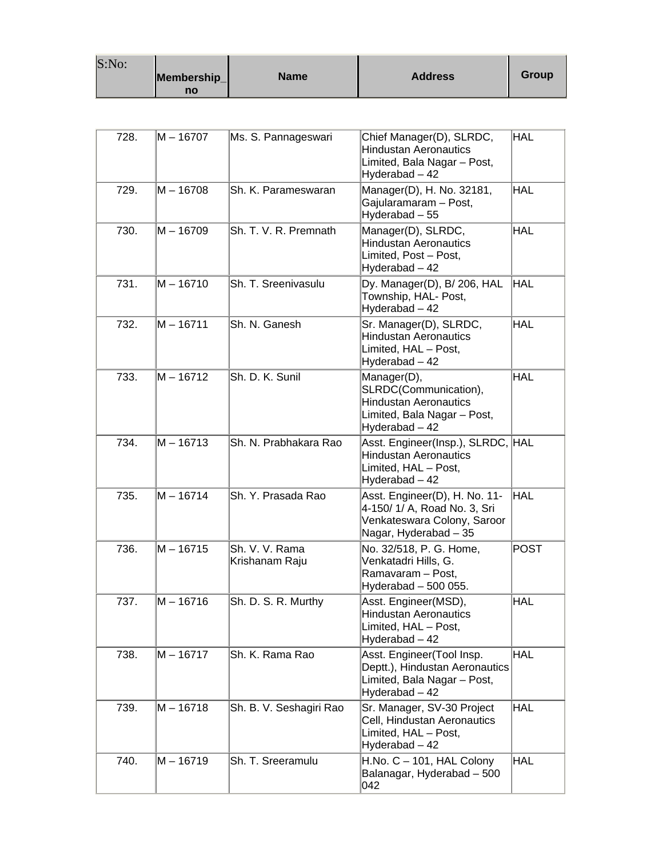| S:No: | Membership_<br>no | <b>Name</b> | <b>Address</b> | Group |
|-------|-------------------|-------------|----------------|-------|
|-------|-------------------|-------------|----------------|-------|

| 728. | M – 16707   | Ms. S. Pannageswari              | Chief Manager(D), SLRDC,<br><b>Hindustan Aeronautics</b><br>Limited, Bala Nagar - Post,<br>Hyderabad - 42             | <b>HAL</b>  |
|------|-------------|----------------------------------|-----------------------------------------------------------------------------------------------------------------------|-------------|
| 729. | M-16708     | Sh. K. Parameswaran              | Manager(D), H. No. 32181,<br>Gajularamaram - Post,<br>Hyderabad - 55                                                  | <b>HAL</b>  |
| 730. | M – 16709   | Sh. T. V. R. Premnath            | Manager(D), SLRDC,<br><b>Hindustan Aeronautics</b><br>Limited, Post - Post,<br>Hyderabad - 42                         | <b>HAL</b>  |
| 731. | $M - 16710$ | Sh. T. Sreenivasulu              | Dy. Manager(D), B/ 206, HAL<br>Township, HAL- Post,<br>Hyderabad - 42                                                 | HAL         |
| 732. | $M - 16711$ | Sh. N. Ganesh                    | Sr. Manager(D), SLRDC,<br><b>Hindustan Aeronautics</b><br>Limited, HAL - Post,<br>Hyderabad - 42                      | HAL         |
| 733. | M - 16712   | Sh. D. K. Sunil                  | Manager(D),<br>SLRDC(Communication),<br><b>Hindustan Aeronautics</b><br>Limited, Bala Nagar - Post,<br>Hyderabad - 42 | <b>HAL</b>  |
| 734. | $M - 16713$ | Sh. N. Prabhakara Rao            | Asst. Engineer(Insp.), SLRDC, HAL<br><b>Hindustan Aeronautics</b><br>Limited, HAL - Post,<br>Hyderabad - 42           |             |
| 735. | $M - 16714$ | Sh. Y. Prasada Rao               | Asst. Engineer(D), H. No. 11-<br>4-150/ 1/ A, Road No. 3, Sri<br>Venkateswara Colony, Saroor<br>Nagar, Hyderabad - 35 | HAL         |
| 736. | $M - 16715$ | Sh. V. V. Rama<br>Krishanam Raju | No. 32/518, P. G. Home,<br>Venkatadri Hills, G.<br>Ramavaram - Post,<br>Hyderabad - 500 055.                          | <b>POST</b> |
| 737. | M – 16716   | Sh. D. S. R. Murthy              | Asst. Engineer(MSD),<br>Hindustan Aeronautics.<br>Limited, HAL - Post,<br>Hyderabad - 42                              | HAL         |
| 738. | $M - 16717$ | Sh. K. Rama Rao                  | Asst. Engineer(Tool Insp.<br>Deptt.), Hindustan Aeronautics<br>Limited, Bala Nagar - Post,<br>Hyderabad - 42          | <b>HAL</b>  |
| 739. | M - 16718   | Sh. B. V. Seshagiri Rao          | Sr. Manager, SV-30 Project<br>Cell, Hindustan Aeronautics<br>Limited, HAL - Post,<br>Hyderabad - 42                   | HAL         |
| 740. | M - 16719   | Sh. T. Sreeramulu                | H.No. C - 101, HAL Colony<br>Balanagar, Hyderabad - 500<br>042                                                        | <b>HAL</b>  |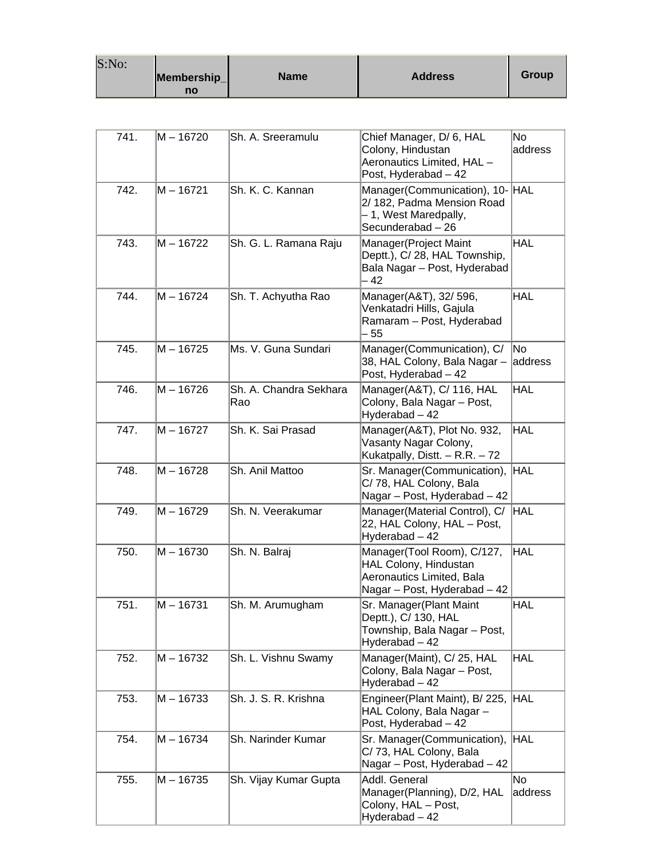| S:No: |             |             |                |       |
|-------|-------------|-------------|----------------|-------|
|       | Membership_ | <b>Name</b> | <b>Address</b> | Group |
|       | no          |             |                |       |

| 741. | M - 16720   | Sh. A. Sreeramulu             | Chief Manager, D/6, HAL<br>Colony, Hindustan<br>Aeronautics Limited, HAL-<br>Post, Hyderabad - 42                | No<br>address |
|------|-------------|-------------------------------|------------------------------------------------------------------------------------------------------------------|---------------|
| 742. | M-16721     | Sh. K. C. Kannan              | Manager(Communication), 10- HAL<br>2/182, Padma Mension Road<br>- 1, West Maredpally,<br>Secunderabad - 26       |               |
| 743. | M - 16722   | Sh. G. L. Ramana Raju         | Manager(Project Maint<br>Deptt.), C/ 28, HAL Township,<br>Bala Nagar – Post, Hyderabad<br>- 42                   | <b>HAL</b>    |
| 744. | M – 16724   | Sh. T. Achyutha Rao           | Manager(A&T), 32/ 596,<br>Venkatadri Hills, Gajula<br>Ramaram - Post, Hyderabad<br>55                            | <b>HAL</b>    |
| 745. | M - 16725   | Ms. V. Guna Sundari           | Manager(Communication), C/<br>38, HAL Colony, Bala Nagar -<br>Post, Hyderabad - 42                               | No<br>address |
| 746. | M – 16726   | Sh. A. Chandra Sekhara<br>Rao | Manager(A&T), C/ 116, HAL<br>Colony, Bala Nagar - Post,<br>Hyderabad - 42                                        | <b>HAL</b>    |
| 747. | $M - 16727$ | Sh. K. Sai Prasad             | Manager(A&T), Plot No. 932,<br>Vasanty Nagar Colony,<br>Kukatpally, Distt. $- R.R. - 72$                         | <b>HAL</b>    |
| 748. | M – 16728   | Sh. Anil Mattoo               | Sr. Manager(Communication),<br>C/78, HAL Colony, Bala<br>Nagar - Post, Hyderabad - 42                            | <b>HAL</b>    |
| 749. | M-16729     | Sh. N. Veerakumar             | Manager(Material Control), C/<br>22, HAL Colony, HAL - Post,<br>Hyderabad - 42                                   | HAL           |
| 750. | M - 16730   | Sh. N. Balraj                 | Manager(Tool Room), C/127,<br>HAL Colony, Hindustan<br>Aeronautics Limited, Bala<br>Nagar - Post, Hyderabad - 42 | <b>HAL</b>    |
| 751. | M – 16731   | Sh. M. Arumugham              | Sr. Manager (Plant Maint<br>Deptt.), C/ 130, HAL<br>Township, Bala Nagar - Post,<br>Hyderabad - 42               | <b>HAL</b>    |
| 752. | M - 16732   | Sh. L. Vishnu Swamy           | Manager(Maint), C/ 25, HAL<br>Colony, Bala Nagar - Post,<br>Hyderabad - 42                                       | <b>HAL</b>    |
| 753. | lM – 16733  | Sh. J. S. R. Krishna          | Engineer(Plant Maint), B/ 225, HAL<br>HAL Colony, Bala Nagar -<br>Post, Hyderabad - 42                           |               |
| 754. | M – 16734   | Sh. Narinder Kumar            | Sr. Manager(Communication), HAL<br>C/73, HAL Colony, Bala<br>Nagar - Post, Hyderabad - 42                        |               |
| 755. | M - 16735   | Sh. Vijay Kumar Gupta         | Addl. General<br>Manager(Planning), D/2, HAL<br>Colony, HAL - Post,<br>Hyderabad - 42                            | No<br>address |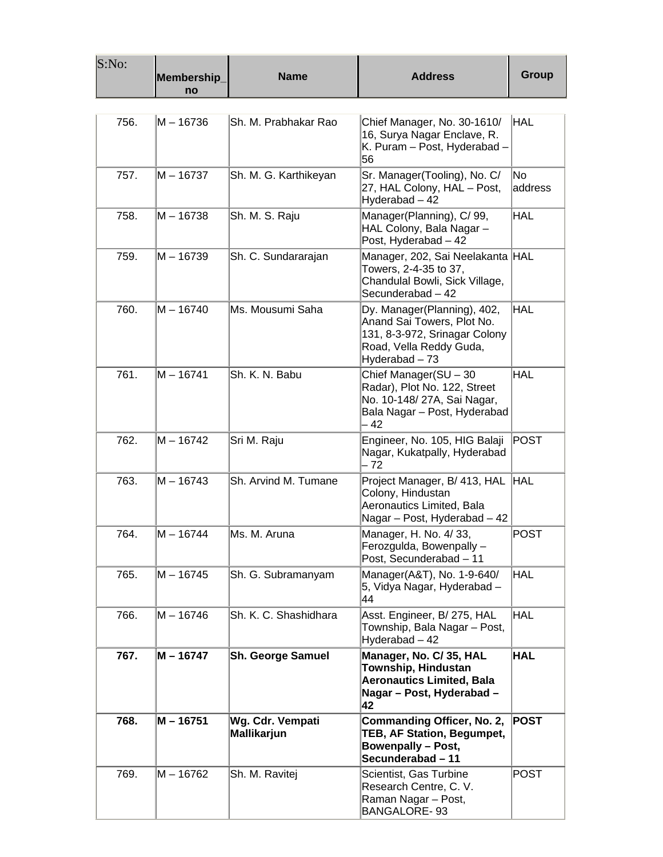| S:No: | Membership_<br>no | <b>Name</b>                            | <b>Address</b>                                                                                                                          | Group          |
|-------|-------------------|----------------------------------------|-----------------------------------------------------------------------------------------------------------------------------------------|----------------|
|       |                   |                                        |                                                                                                                                         |                |
| 756.  | M – 16736         | Sh. M. Prabhakar Rao                   | Chief Manager, No. 30-1610/<br>16, Surya Nagar Enclave, R.<br>K. Puram - Post, Hyderabad -<br>56                                        | HAL            |
| 757.  | M - 16737         | Sh. M. G. Karthikeyan                  | Sr. Manager(Tooling), No. C/<br>27, HAL Colony, HAL - Post,<br>Hyderabad - 42                                                           | No.<br>address |
| 758.  | M – 16738         | Sh. M. S. Raju                         | Manager(Planning), C/99,<br>HAL Colony, Bala Nagar -<br>Post, Hyderabad - 42                                                            | HAL            |
| 759.  | M – 16739         | Sh. C. Sundararajan                    | Manager, 202, Sai Neelakanta HAL<br>Towers, 2-4-35 to 37,<br>Chandulal Bowli, Sick Village,<br>Secunderabad - 42                        |                |
| 760.  | M - 16740         | Ms. Mousumi Saha                       | Dy. Manager(Planning), 402,<br>Anand Sai Towers, Plot No.<br>131, 8-3-972, Srinagar Colony<br>Road, Vella Reddy Guda,<br>Hyderabad - 73 | <b>HAL</b>     |
| 761.  | M – 16741         | Sh. K. N. Babu                         | Chief Manager(SU - 30<br>Radar), Plot No. 122, Street<br>No. 10-148/ 27A, Sai Nagar,<br>Bala Nagar - Post, Hyderabad<br>42              | HAL            |
| 762.  | M - 16742         | Sri M. Raju                            | Engineer, No. 105, HIG Balaji<br>Nagar, Kukatpally, Hyderabad<br>- 72                                                                   | POST           |
| 763.  | M - 16743         | Sh. Arvind M. Tumane                   | Project Manager, B/ 413, HAL HAL<br>Colony, Hindustan<br>Aeronautics Limited, Bala<br>Nagar - Post, Hyderabad - 42                      |                |
| 764.  | M – 16744         | Ms. M. Aruna                           | Manager, H. No. 4/33,<br>Ferozgulda, Bowenpally -<br>Post, Secunderabad - 11                                                            | <b>POST</b>    |
| 765.  | M – 16745         | Sh. G. Subramanyam                     | Manager(A&T), No. 1-9-640/<br>5, Vidya Nagar, Hyderabad -<br>44                                                                         | <b>HAL</b>     |
| 766.  | M – 16746         | Sh. K. C. Shashidhara                  | Asst. Engineer, B/ 275, HAL<br>Township, Bala Nagar - Post,<br>Hyderabad - 42                                                           | HAL            |
| 767.  | M - 16747         | <b>Sh. George Samuel</b>               | Manager, No. C/35, HAL<br>Township, Hindustan<br><b>Aeronautics Limited, Bala</b><br>Nagar - Post, Hyderabad -<br>42                    | HAL            |
| 768.  | M - 16751         | Wg. Cdr. Vempati<br><b>Mallikarjun</b> | Commanding Officer, No. 2,<br>TEB, AF Station, Begumpet,<br><b>Bowenpally - Post,</b><br>Secunderabad - 11                              | POST           |
| 769.  | M – 16762         | Sh. M. Ravitej                         | Scientist, Gas Turbine<br>Research Centre, C. V.<br>Raman Nagar - Post,<br>BANGALORE-93                                                 | <b>POST</b>    |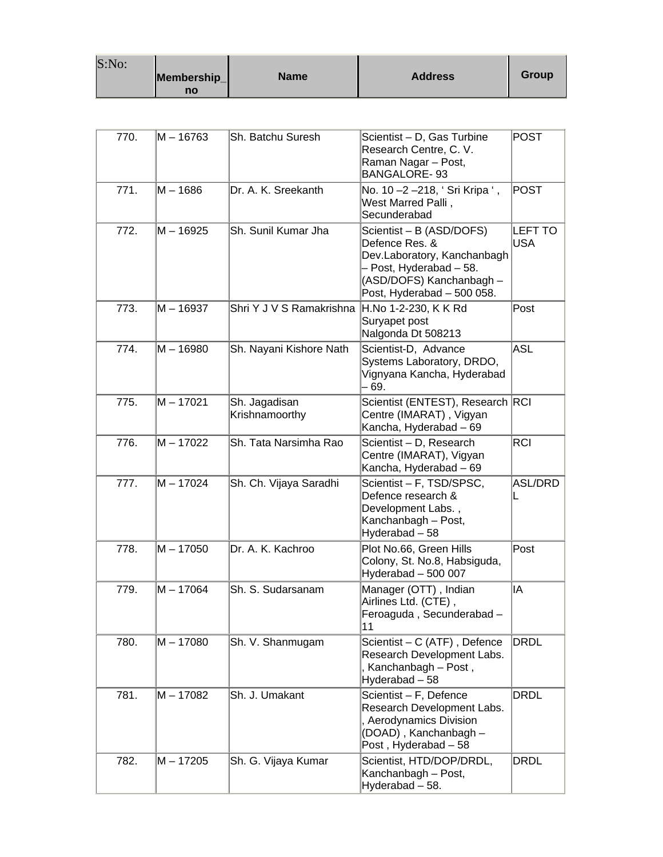| S:No: |                   |             |                |       |
|-------|-------------------|-------------|----------------|-------|
|       | Membership_<br>no | <b>Name</b> | <b>Address</b> | Group |

| 770. | $M - 16763$ | Sh. Batchu Suresh               | Scientist - D, Gas Turbine<br>Research Centre, C. V.<br>Raman Nagar - Post,<br><b>BANGALORE-93</b>                                                             | <b>POST</b>                  |
|------|-------------|---------------------------------|----------------------------------------------------------------------------------------------------------------------------------------------------------------|------------------------------|
| 771. | $M - 1686$  | Dr. A. K. Sreekanth             | No. 10 -2 -218, 'Sri Kripa ',<br>West Marred Palli,<br>Secunderabad                                                                                            | POST                         |
| 772. | M-16925     | Sh. Sunil Kumar Jha             | Scientist - B (ASD/DOFS)<br>Defence Res. &<br>Dev.Laboratory, Kanchanbagh<br>- Post, Hyderabad - 58.<br>(ASD/DOFS) Kanchanbagh -<br>Post, Hyderabad - 500 058. | <b>LEFT TO</b><br><b>USA</b> |
| 773. | M-16937     | Shri Y J V S Ramakrishna        | H.No 1-2-230, K K Rd<br>Suryapet post<br>Nalgonda Dt 508213                                                                                                    | Post                         |
| 774. | $M - 16980$ | Sh. Nayani Kishore Nath         | Scientist-D, Advance<br>Systems Laboratory, DRDO,<br>Vignyana Kancha, Hyderabad<br>- 69.                                                                       | ASL                          |
| 775. | M-17021     | Sh. Jagadisan<br>Krishnamoorthy | Scientist (ENTEST), Research RCI<br>Centre (IMARAT), Vigyan<br>Kancha, Hyderabad - 69                                                                          |                              |
| 776. | $M - 17022$ | Sh. Tata Narsimha Rao           | Scientist - D, Research<br>Centre (IMARAT), Vigyan<br>Kancha, Hyderabad – 69                                                                                   | <b>RCI</b>                   |
| 777. | M - 17024   | Sh. Ch. Vijaya Saradhi          | Scientist – F, TSD/SPSC,<br>Defence research &<br>Development Labs.,<br>Kanchanbagh - Post,<br>Hyderabad - 58                                                  | <b>ASL/DRD</b>               |
| 778. | $M - 17050$ | Dr. A. K. Kachroo               | Plot No.66, Green Hills<br>Colony, St. No.8, Habsiguda,<br>Hyderabad - 500 007                                                                                 | Post                         |
| 779. | M-17064     | Sh. S. Sudarsanam               | Manager (OTT), Indian<br>Airlines Ltd. (CTE),<br>Feroaguda, Secunderabad-<br>11                                                                                | IA                           |
| 780. | M - 17080   | Sh. V. Shanmugam                | Scientist - C (ATF), Defence<br>Research Development Labs.<br>, Kanchanbagh – Post,<br>Hyderabad - 58                                                          | DRDL                         |
| 781. | $M - 17082$ | Sh. J. Umakant                  | Scientist - F, Defence<br>Research Development Labs.<br>, Aerodynamics Division<br>(DOAD), Kanchanbagh -<br>Post, Hyderabad - 58                               | <b>DRDL</b>                  |
| 782. | $M - 17205$ | Sh. G. Vijaya Kumar             | Scientist, HTD/DOP/DRDL,<br>Kanchanbagh - Post,<br>Hyderabad - 58.                                                                                             | <b>DRDL</b>                  |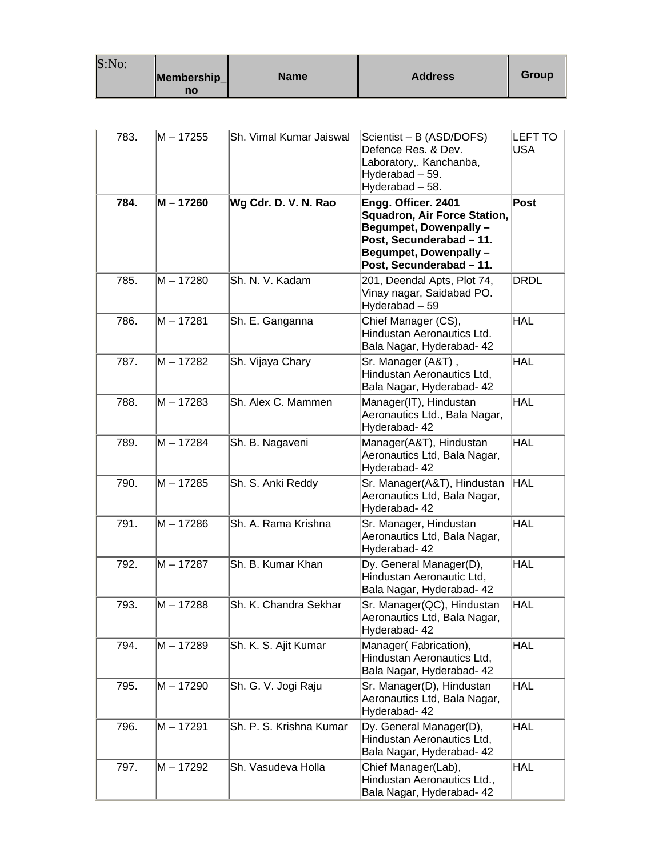| S:No: |             |             |                |       |
|-------|-------------|-------------|----------------|-------|
|       | Membership_ | <b>Name</b> | <b>Address</b> | Group |
|       | no          |             |                |       |

| 783. | M - 17255   | Sh. Vimal Kumar Jaiswal | Scientist - B (ASD/DOFS)<br>Defence Res. & Dev.<br>Laboratory,. Kanchanba,<br>Hyderabad - 59.<br>Hyderabad - 58.                                                       | <b>LEFT TO</b><br>USA |
|------|-------------|-------------------------|------------------------------------------------------------------------------------------------------------------------------------------------------------------------|-----------------------|
| 784. | M - 17260   | Wg Cdr. D. V. N. Rao    | Engg. Officer. 2401<br><b>Squadron, Air Force Station,</b><br>Begumpet, Dowenpally -<br>Post, Secunderabad - 11.<br>Begumpet, Dowenpally -<br>Post, Secunderabad - 11. | Post                  |
| 785. | $M - 17280$ | Sh. N. V. Kadam         | 201, Deendal Apts, Plot 74,<br>Vinay nagar, Saidabad PO.<br>Hyderabad - 59                                                                                             | DRDL                  |
| 786. | M - 17281   | Sh. E. Ganganna         | Chief Manager (CS),<br>Hindustan Aeronautics Ltd.<br>Bala Nagar, Hyderabad- 42                                                                                         | <b>HAL</b>            |
| 787. | M - 17282   | Sh. Vijaya Chary        | Sr. Manager (A&T),<br>Hindustan Aeronautics Ltd,<br>Bala Nagar, Hyderabad- 42                                                                                          | <b>HAL</b>            |
| 788. | M – 17283   | Sh. Alex C. Mammen      | Manager(IT), Hindustan<br>Aeronautics Ltd., Bala Nagar,<br>Hyderabad- 42                                                                                               | <b>HAL</b>            |
| 789. | M-17284     | Sh. B. Nagaveni         | Manager(A&T), Hindustan<br>Aeronautics Ltd, Bala Nagar,<br>Hyderabad- 42                                                                                               | <b>HAL</b>            |
| 790. | M – 17285   | Sh. S. Anki Reddy       | Sr. Manager(A&T), Hindustan<br>Aeronautics Ltd, Bala Nagar,<br>Hyderabad- 42                                                                                           | <b>HAL</b>            |
| 791. | M - 17286   | Sh. A. Rama Krishna     | Sr. Manager, Hindustan<br>Aeronautics Ltd, Bala Nagar,<br>Hyderabad- 42                                                                                                | <b>HAL</b>            |
| 792. | M – 17287   | Sh. B. Kumar Khan       | Dy. General Manager(D),<br>Hindustan Aeronautic Ltd,<br>Bala Nagar, Hyderabad- 42                                                                                      | <b>HAL</b>            |
| 793. | $M - 17288$ | Sh. K. Chandra Sekhar   | Sr. Manager(QC), Hindustan<br>Aeronautics Ltd, Bala Nagar,<br>Hyderabad- 42                                                                                            | <b>HAL</b>            |
| 794. | M – 17289   | Sh. K. S. Ajit Kumar    | Manager(Fabrication),<br>Hindustan Aeronautics Ltd,<br>Bala Nagar, Hyderabad- 42                                                                                       | <b>HAL</b>            |
| 795. | M – 17290   | Sh. G. V. Jogi Raju     | Sr. Manager(D), Hindustan<br>Aeronautics Ltd, Bala Nagar,<br>Hyderabad- 42                                                                                             | <b>HAL</b>            |
| 796. | M - 17291   | Sh. P. S. Krishna Kumar | Dy. General Manager(D),<br>Hindustan Aeronautics Ltd,<br>Bala Nagar, Hyderabad- 42                                                                                     | <b>HAL</b>            |
| 797. | M - 17292   | Sh. Vasudeva Holla      | Chief Manager(Lab),<br>Hindustan Aeronautics Ltd.,<br>Bala Nagar, Hyderabad- 42                                                                                        | <b>HAL</b>            |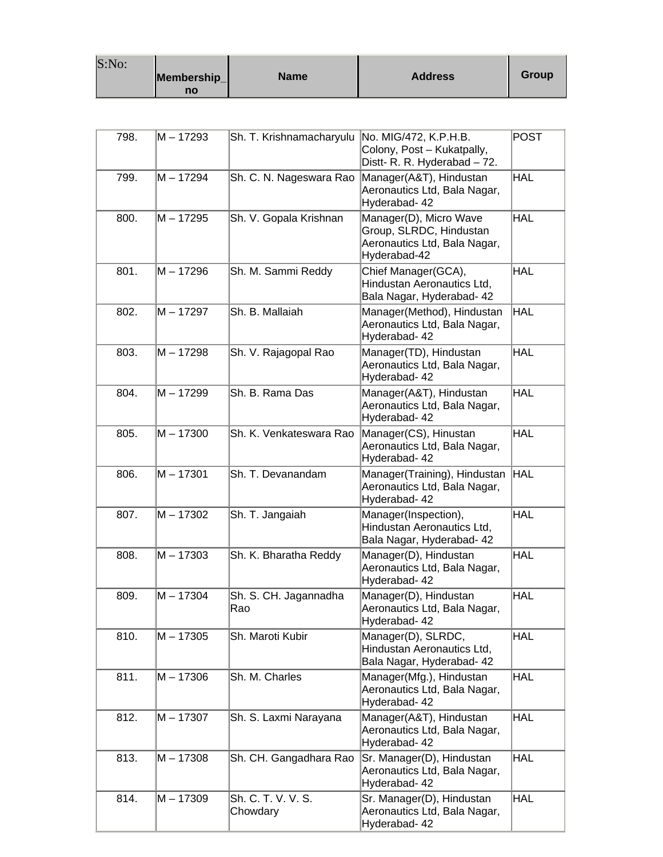| S:No: | Membership_<br>no | <b>Name</b> | <b>Address</b> | Group |
|-------|-------------------|-------------|----------------|-------|
|-------|-------------------|-------------|----------------|-------|

| 798. | M - 17293   | Sh. T. Krishnamacharyulu       | No. MIG/472, K.P.H.B.<br>Colony, Post - Kukatpally,<br>Distt- R. R. Hyderabad - 72.               | <b>POST</b> |
|------|-------------|--------------------------------|---------------------------------------------------------------------------------------------------|-------------|
| 799. | $M - 17294$ | Sh. C. N. Nageswara Rao        | Manager(A&T), Hindustan<br>Aeronautics Ltd, Bala Nagar,<br>Hyderabad- 42                          | <b>HAL</b>  |
| 800. | M - 17295   | Sh. V. Gopala Krishnan         | Manager(D), Micro Wave<br>Group, SLRDC, Hindustan<br>Aeronautics Ltd, Bala Nagar,<br>Hyderabad-42 | <b>HAL</b>  |
| 801. | $M - 17296$ | Sh. M. Sammi Reddy             | Chief Manager(GCA),<br>Hindustan Aeronautics Ltd.<br>Bala Nagar, Hyderabad- 42                    | <b>HAL</b>  |
| 802. | $M - 17297$ | Sh. B. Mallaiah                | Manager(Method), Hindustan<br>Aeronautics Ltd, Bala Nagar,<br>Hyderabad- 42                       | HAL         |
| 803. | $M - 17298$ | Sh. V. Rajagopal Rao           | Manager(TD), Hindustan<br>Aeronautics Ltd, Bala Nagar,<br>Hyderabad- 42                           | <b>HAL</b>  |
| 804. | $M - 17299$ | Sh. B. Rama Das                | Manager(A&T), Hindustan<br>Aeronautics Ltd, Bala Nagar,<br>Hyderabad- 42                          | <b>HAL</b>  |
| 805. | $M - 17300$ | Sh. K. Venkateswara Rao        | Manager(CS), Hinustan<br>Aeronautics Ltd, Bala Nagar,<br>Hyderabad- 42                            | <b>HAL</b>  |
| 806. | $M - 17301$ | Sh. T. Devanandam              | Manager(Training), Hindustan<br>Aeronautics Ltd, Bala Nagar,<br>Hyderabad- 42                     | <b>HAL</b>  |
| 807. | $M - 17302$ | Sh. T. Jangaiah                | Manager(Inspection),<br>Hindustan Aeronautics Ltd,<br>Bala Nagar, Hyderabad- 42                   | <b>HAL</b>  |
| 808. | M-17303     | Sh. K. Bharatha Reddy          | Manager(D), Hindustan<br>Aeronautics Ltd, Bala Nagar,<br>Hyderabad- 42                            | <b>HAL</b>  |
| 809. | $M - 17304$ | Sh. S. CH. Jagannadha<br>Rao   | Manager(D), Hindustan<br>Aeronautics Ltd, Bala Nagar,<br>Hyderabad- 42                            | <b>HAL</b>  |
| 810. | $M - 17305$ | Sh. Maroti Kubir               | Manager(D), SLRDC,<br>Hindustan Aeronautics Ltd,<br>Bala Nagar, Hyderabad- 42                     | <b>HAL</b>  |
| 811. | $M - 17306$ | Sh. M. Charles                 | Manager(Mfg.), Hindustan<br>Aeronautics Ltd, Bala Nagar,<br>Hyderabad- 42                         | <b>HAL</b>  |
| 812. | M - 17307   | Sh. S. Laxmi Narayana          | Manager(A&T), Hindustan<br>Aeronautics Ltd, Bala Nagar,<br>Hyderabad- 42                          | <b>HAL</b>  |
| 813. | $M - 17308$ | Sh. CH. Gangadhara Rao         | Sr. Manager(D), Hindustan<br>Aeronautics Ltd, Bala Nagar,<br>Hyderabad- 42                        | <b>HAL</b>  |
| 814. | $M - 17309$ | Sh. C. T. V. V. S.<br>Chowdary | Sr. Manager(D), Hindustan<br>Aeronautics Ltd, Bala Nagar,<br>Hyderabad- 42                        | <b>HAL</b>  |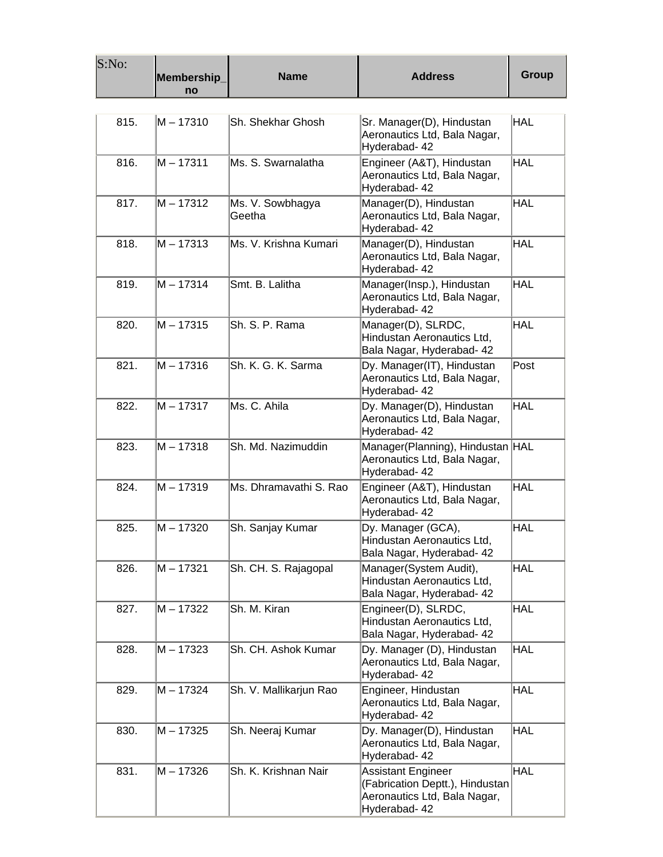| S:No: | Membership_<br>no | <b>Name</b>                | <b>Address</b>                                                                                                | <b>Group</b> |
|-------|-------------------|----------------------------|---------------------------------------------------------------------------------------------------------------|--------------|
|       |                   |                            |                                                                                                               |              |
| 815.  | M - 17310         | Sh. Shekhar Ghosh          | Sr. Manager(D), Hindustan<br>Aeronautics Ltd, Bala Nagar,<br>Hyderabad- 42                                    | HAL          |
| 816.  | $M - 17311$       | Ms. S. Swarnalatha         | Engineer (A&T), Hindustan<br>Aeronautics Ltd, Bala Nagar,<br>Hyderabad- 42                                    | <b>HAL</b>   |
| 817.  | M - 17312         | Ms. V. Sowbhagya<br>Geetha | Manager(D), Hindustan<br>Aeronautics Ltd, Bala Nagar,<br>Hyderabad- 42                                        | <b>HAL</b>   |
| 818.  | M – 17313         | Ms. V. Krishna Kumari      | Manager(D), Hindustan<br>Aeronautics Ltd, Bala Nagar,<br>Hyderabad- 42                                        | <b>HAL</b>   |
| 819.  | M – 17314         | Smt. B. Lalitha            | Manager(Insp.), Hindustan<br>Aeronautics Ltd, Bala Nagar,<br>Hyderabad- 42                                    | HAL          |
| 820.  | M - 17315         | Sh. S. P. Rama             | Manager(D), SLRDC,<br>Hindustan Aeronautics Ltd,<br>Bala Nagar, Hyderabad- 42                                 | HAL          |
| 821.  | $M - 17316$       | Sh. K. G. K. Sarma         | Dy. Manager(IT), Hindustan<br>Aeronautics Ltd, Bala Nagar,<br>Hyderabad- 42                                   | Post         |
| 822.  | M - 17317         | Ms. C. Ahila               | Dy. Manager(D), Hindustan<br>Aeronautics Ltd, Bala Nagar,<br>Hyderabad- 42                                    | <b>HAL</b>   |
| 823.  | $M - 17318$       | Sh. Md. Nazimuddin         | Manager(Planning), Hindustan HAL<br>Aeronautics Ltd, Bala Nagar,<br>Hyderabad- 42                             |              |
| 824.  | M-17319           | Ms. Dhramavathi S. Rao     | Engineer (A&T), Hindustan<br>Aeronautics Ltd, Bala Nagar,<br>Hyderabad- 42                                    | HAL          |
| 825.  | M - 17320         | Sh. Sanjay Kumar           | Dy. Manager (GCA),<br>Hindustan Aeronautics Ltd,<br>Bala Nagar, Hyderabad- 42                                 | HAL          |
| 826.  | M – 17321         | Sh. CH. S. Rajagopal       | Manager(System Audit),<br>Hindustan Aeronautics Ltd,<br>Bala Nagar, Hyderabad- 42                             | <b>HAL</b>   |
| 827.  | M - 17322         | Sh. M. Kiran               | Engineer(D), SLRDC,<br>Hindustan Aeronautics Ltd,<br>Bala Nagar, Hyderabad- 42                                | HAL          |
| 828.  | $M - 17323$       | Sh. CH. Ashok Kumar        | Dy. Manager (D), Hindustan<br>Aeronautics Ltd, Bala Nagar,<br>Hyderabad- 42                                   | <b>HAL</b>   |
| 829.  | M – 17324         | Sh. V. Mallikarjun Rao     | Engineer, Hindustan<br>Aeronautics Ltd, Bala Nagar,<br>Hyderabad- 42                                          | <b>HAL</b>   |
| 830.  | M – 17325         | Sh. Neeraj Kumar           | Dy. Manager(D), Hindustan<br>Aeronautics Ltd, Bala Nagar,<br>Hyderabad- 42                                    | <b>HAL</b>   |
| 831.  | M – 17326         | Sh. K. Krishnan Nair       | <b>Assistant Engineer</b><br>(Fabrication Deptt.), Hindustan<br>Aeronautics Ltd, Bala Nagar,<br>Hyderabad- 42 | HAL          |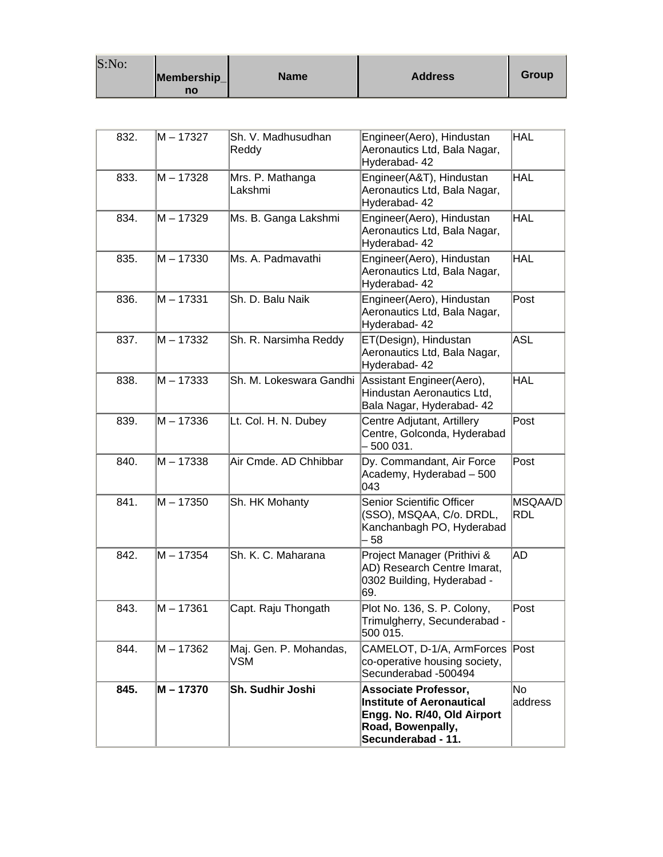| S:No: |                   |             |                |       |
|-------|-------------------|-------------|----------------|-------|
|       | Membership_<br>no | <b>Name</b> | <b>Address</b> | Group |

| 832. | M – 17327   | Sh. V. Madhusudhan<br>Reddy   | Engineer(Aero), Hindustan<br>Aeronautics Ltd, Bala Nagar,<br>Hyderabad- 42                                                                | <b>HAL</b>            |
|------|-------------|-------------------------------|-------------------------------------------------------------------------------------------------------------------------------------------|-----------------------|
| 833. | $M - 17328$ | Mrs. P. Mathanga<br>Lakshmi   | Engineer(A&T), Hindustan<br>Aeronautics Ltd, Bala Nagar,<br>Hyderabad- 42                                                                 | <b>HAL</b>            |
| 834. | M-17329     | Ms. B. Ganga Lakshmi          | Engineer(Aero), Hindustan<br>Aeronautics Ltd, Bala Nagar,<br>Hyderabad- 42                                                                | <b>HAL</b>            |
| 835. | M-17330     | Ms. A. Padmavathi             | Engineer(Aero), Hindustan<br>Aeronautics Ltd, Bala Nagar,<br>Hyderabad- 42                                                                | <b>HAL</b>            |
| 836. | $M - 17331$ | Sh. D. Balu Naik              | Engineer(Aero), Hindustan<br>Aeronautics Ltd, Bala Nagar,<br>Hyderabad- 42                                                                | Post                  |
| 837. | M-17332     | Sh. R. Narsimha Reddy         | ET(Design), Hindustan<br>Aeronautics Ltd, Bala Nagar,<br>Hyderabad- 42                                                                    | <b>ASL</b>            |
| 838. | $M - 17333$ | Sh. M. Lokeswara Gandhi       | Assistant Engineer(Aero),<br>Hindustan Aeronautics Ltd,<br>Bala Nagar, Hyderabad- 42                                                      | <b>HAL</b>            |
| 839. | M-17336     | Lt. Col. H. N. Dubey          | Centre Adjutant, Artillery<br>Centre, Golconda, Hyderabad<br>500 031.                                                                     | Post                  |
| 840. | $M - 17338$ | Air Cmde. AD Chhibbar         | Dy. Commandant, Air Force<br>Academy, Hyderabad - 500<br>043                                                                              | Post                  |
| 841. | $M - 17350$ | Sh. HK Mohanty                | Senior Scientific Officer<br>(SSO), MSQAA, C/o. DRDL,<br>Kanchanbagh PO, Hyderabad<br>58                                                  | MSQAA/D<br><b>RDL</b> |
| 842. | M - 17354   | Sh. K. C. Maharana            | Project Manager (Prithivi &<br>AD) Research Centre Imarat,<br>0302 Building, Hyderabad -<br>69.                                           | AD                    |
| 843. | $M - 17361$ | Capt. Raju Thongath           | Plot No. 136, S. P. Colony,<br>Trimulgherry, Secunderabad -<br>500 015.                                                                   | Post                  |
| 844. | $M - 17362$ | Maj. Gen. P. Mohandas,<br>VSM | CAMELOT, D-1/A, ArmForces Post<br>co-operative housing society,<br>Secunderabad -500494                                                   |                       |
| 845. | M - 17370   | Sh. Sudhir Joshi              | <b>Associate Professor,</b><br><b>Institute of Aeronautical</b><br>Engg. No. R/40, Old Airport<br>Road, Bowenpally,<br>Secunderabad - 11. | No<br>address         |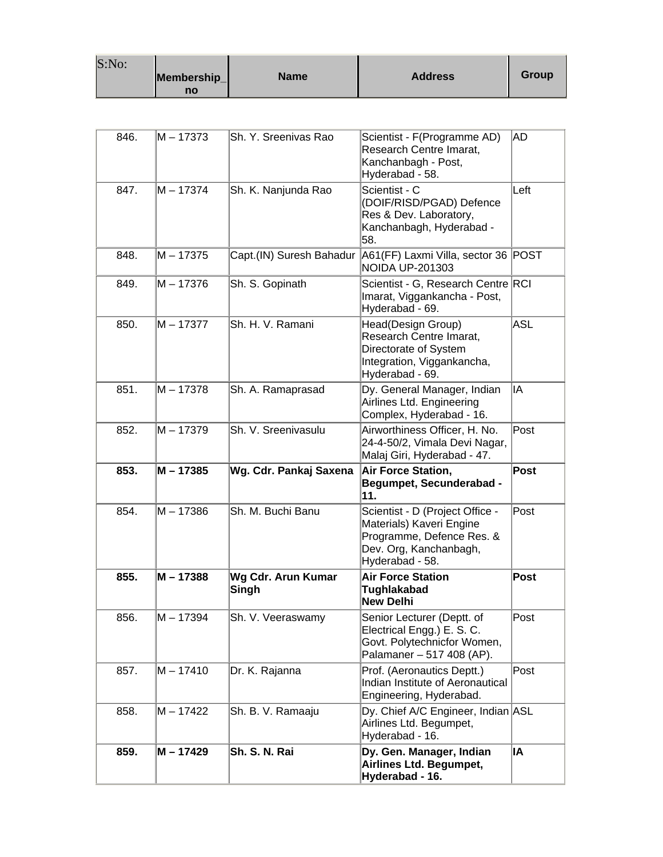| S:No: |             |             |                |       |
|-------|-------------|-------------|----------------|-------|
|       | Membership_ | <b>Name</b> | <b>Address</b> | Group |
|       | no          |             |                |       |

| 846. | M – 17373   | Sh. Y. Sreenivas Rao        | Scientist - F(Programme AD)<br>Research Centre Imarat,<br>Kanchanbagh - Post,<br>Hyderabad - 58.                        | AD                         |
|------|-------------|-----------------------------|-------------------------------------------------------------------------------------------------------------------------|----------------------------|
| 847. | $M - 17374$ | Sh. K. Nanjunda Rao         | Scientist - C<br>(DOIF/RISD/PGAD) Defence<br>Res & Dev. Laboratory,<br>Kanchanbagh, Hyderabad -<br>58.                  | Left                       |
| 848. | M-17375     | Capt.(IN) Suresh Bahadur    | A61(FF) Laxmi Villa, sector 36  POST<br><b>NOIDA UP-201303</b>                                                          |                            |
| 849. | M - 17376   | Sh. S. Gopinath             | Scientist - G, Research Centre RCI<br>Imarat, Viggankancha - Post,<br>Hyderabad - 69.                                   |                            |
| 850. | M – 17377   | Sh. H. V. Ramani            | Head(Design Group)<br>Research Centre Imarat,<br>Directorate of System<br>Integration, Viggankancha,<br>Hyderabad - 69. | <b>ASL</b>                 |
| 851. | M – 17378   | Sh. A. Ramaprasad           | Dy. General Manager, Indian<br>Airlines Ltd. Engineering<br>Complex, Hyderabad - 16.                                    | IA                         |
| 852. | M-17379     | Sh. V. Sreenivasulu         | Airworthiness Officer, H. No.<br>24-4-50/2, Vimala Devi Nagar,<br>Malaj Giri, Hyderabad - 47.                           | Post                       |
| 853. | M - 17385   | Wg. Cdr. Pankaj Saxena      | Air Force Station,<br><b>Begumpet, Secunderabad -</b><br>11.                                                            | <b>Post</b>                |
| 854. | $M - 17386$ | Sh. M. Buchi Banu           | Scientist - D (Project Office -<br>Materials) Kaveri Engine<br>Programme, Defence Res. &<br>Dev. Org, Kanchanbagh,      | Post                       |
|      |             |                             | Hyderabad - 58.                                                                                                         |                            |
| 855. | $M - 17388$ | Wg Cdr. Arun Kumar<br>Singh | <b>Air Force Station</b><br>Tughlakabad<br><b>New Delhi</b>                                                             | <b>Post</b>                |
| 856. | M - 17394   | Sh. V. Veeraswamy           | Senior Lecturer (Deptt. of<br>Electrical Engg.) E. S. C.<br>Govt. Polytechnicfor Women,<br>Palamaner – 517 408 (AP).    | $\overline{\mathsf{Post}}$ |
| 857. | $M - 17410$ | Dr. K. Rajanna              | Prof. (Aeronautics Deptt.)<br>Indian Institute of Aeronautical<br>Engineering, Hyderabad.                               | Post                       |
| 858. | M – 17422   | Sh. B. V. Ramaaju           | Dy. Chief A/C Engineer, Indian ASL<br>Airlines Ltd. Begumpet,<br>Hyderabad - 16.                                        |                            |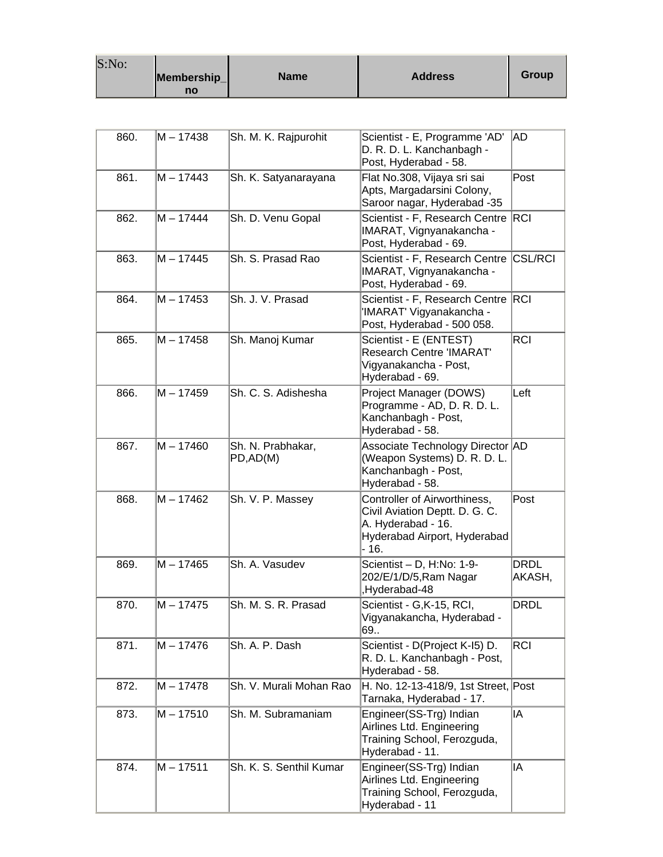| S:No: |             |             |                |       |
|-------|-------------|-------------|----------------|-------|
|       | Membership_ | <b>Name</b> | <b>Address</b> | Group |
|       | no          |             |                |       |

| 860. | M – 17438   | Sh. M. K. Rajpurohit          | Scientist - E, Programme 'AD'<br>D. R. D. L. Kanchanbagh -<br>Post, Hyderabad - 58.                                           | AD                    |
|------|-------------|-------------------------------|-------------------------------------------------------------------------------------------------------------------------------|-----------------------|
| 861. | $M - 17443$ | Sh. K. Satyanarayana          | Flat No.308, Vijaya sri sai<br>Apts, Margadarsini Colony,<br>Saroor nagar, Hyderabad -35                                      | Post                  |
| 862. | M - 17444   | Sh. D. Venu Gopal             | Scientist - F, Research Centre<br>IMARAT, Vignyanakancha -<br>Post, Hyderabad - 69.                                           | RCI                   |
| 863. | M – 17445   | Sh. S. Prasad Rao             | Scientist - F, Research Centre<br>IMARAT, Vignyanakancha -<br>Post, Hyderabad - 69.                                           | <b>CSL/RCI</b>        |
| 864. | $M - 17453$ | Sh. J. V. Prasad              | Scientist - F, Research Centre<br>'IMARAT' Vigyanakancha -<br>Post, Hyderabad - 500 058.                                      | RC                    |
| 865. | M - 17458   | Sh. Manoj Kumar               | Scientist - E (ENTEST)<br><b>Research Centre 'IMARAT'</b><br>Vigyanakancha - Post,<br>Hyderabad - 69.                         | <b>RCI</b>            |
| 866. | M – 17459   | Sh. C. S. Adishesha           | Project Manager (DOWS)<br>Programme - AD, D. R. D. L.<br>Kanchanbagh - Post,<br>Hyderabad - 58.                               | Left                  |
| 867. | M – 17460   | Sh. N. Prabhakar,<br>PD,AD(M) | Associate Technology Director AD<br>(Weapon Systems) D. R. D. L.<br>Kanchanbagh - Post,<br>Hyderabad - 58.                    |                       |
| 868. | M - 17462   | Sh. V. P. Massey              | Controller of Airworthiness,<br>Civil Aviation Deptt. D. G. C.<br>A. Hyderabad - 16.<br>Hyderabad Airport, Hyderabad<br>- 16. | Post                  |
| 869. | M - 17465   | Sh. A. Vasudev                | Scientist - D, H:No: 1-9-<br>202/E/1/D/5, Ram Nagar<br>Hyderabad-48,                                                          | <b>DRDL</b><br>AKASH, |
| 870. | M – 17475   | Sh. M. S. R. Prasad           | Scientist - G,K-15, RCI,<br>Vigyanakancha, Hyderabad -<br>69                                                                  | <b>DRDL</b>           |
| 871. | M - 17476   | Sh. A. P. Dash                | Scientist - D(Project K-I5) D.<br>R. D. L. Kanchanbagh - Post,<br>Hyderabad - 58.                                             | <b>RCI</b>            |
| 872. | M – 17478   | Sh. V. Murali Mohan Rao       | H. No. 12-13-418/9, 1st Street, Post<br>Tarnaka, Hyderabad - 17.                                                              |                       |
| 873. | M – 17510   | Sh. M. Subramaniam            | Engineer(SS-Trg) Indian<br>Airlines Ltd. Engineering<br>Training School, Ferozguda,<br>Hyderabad - 11.                        | IA                    |
| 874. | M – 17511   | Sh. K. S. Senthil Kumar       | Engineer(SS-Trg) Indian<br>Airlines Ltd. Engineering<br>Training School, Ferozguda,<br>Hyderabad - 11                         | lIA                   |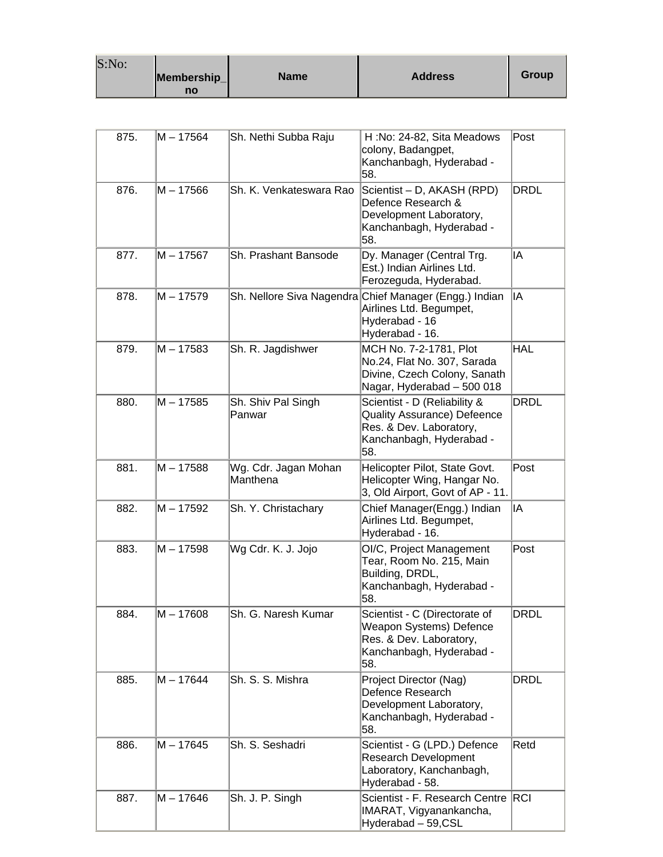| S:No: | Membership_<br>no | <b>Name</b> | <b>Address</b> | Group |
|-------|-------------------|-------------|----------------|-------|
|-------|-------------------|-------------|----------------|-------|

| 875. | M – 17564   | Sh. Nethi Subba Raju             | H:No: 24-82, Sita Meadows<br>colony, Badangpet,<br>Kanchanbagh, Hyderabad -<br>58.                                            | Post        |
|------|-------------|----------------------------------|-------------------------------------------------------------------------------------------------------------------------------|-------------|
| 876. | M - 17566   | Sh. K. Venkateswara Rao          | Scientist - D, AKASH (RPD)<br>Defence Research &<br>Development Laboratory,<br>Kanchanbagh, Hyderabad -<br>58.                | <b>DRDL</b> |
| 877. | $M - 17567$ | Sh. Prashant Bansode             | Dy. Manager (Central Trg.<br>Est.) Indian Airlines Ltd.<br>Ferozeguda, Hyderabad.                                             | ΙA          |
| 878. | M - 17579   |                                  | Sh. Nellore Siva Nagendra Chief Manager (Engg.) Indian<br>Airlines Ltd. Begumpet,<br>Hyderabad - 16<br>Hyderabad - 16.        | lIA         |
| 879. | M – 17583   | Sh. R. Jagdishwer                | MCH No. 7-2-1781, Plot<br>No.24, Flat No. 307, Sarada<br>Divine, Czech Colony, Sanath<br>Nagar, Hyderabad - 500 018           | <b>HAL</b>  |
| 880. | M – 17585   | Sh. Shiv Pal Singh<br>Panwar     | Scientist - D (Reliability &<br>Quality Assurance) Defeence<br>Res. & Dev. Laboratory,<br>Kanchanbagh, Hyderabad -<br>58.     | <b>DRDL</b> |
| 881. | M – 17588   | Wg. Cdr. Jagan Mohan<br>Manthena | Helicopter Pilot, State Govt.<br>Helicopter Wing, Hangar No.<br>3, Old Airport, Govt of AP - 11.                              | Post        |
| 882. | M-17592     | Sh. Y. Christachary              | Chief Manager(Engg.) Indian<br>Airlines Ltd. Begumpet,<br>Hyderabad - 16.                                                     | IA          |
| 883. | M – 17598   | Wg Cdr. K. J. Jojo               | OI/C, Project Management<br>Tear, Room No. 215, Main<br>Building, DRDL,<br>Kanchanbagh, Hyderabad -<br>58.                    | Post        |
| 884. | M – 17608   | Sh. G. Naresh Kumar .            | Scientist - C (Directorate of<br><b>Weapon Systems) Defence</b><br>Res. & Dev. Laboratory,<br>Kanchanbagh, Hyderabad -<br>58. | DRDL        |
| 885. | M - 17644   | Sh. S. S. Mishra                 | Project Director (Nag)<br>Defence Research<br>Development Laboratory,<br>Kanchanbagh, Hyderabad -<br>58.                      | <b>DRDL</b> |
| 886. | M – 17645   | Sh. S. Seshadri                  | Scientist - G (LPD.) Defence<br><b>Research Development</b><br>Laboratory, Kanchanbagh,<br>Hyderabad - 58.                    | Retd        |
| 887. | M – 17646   | Sh. J. P. Singh                  | Scientist - F. Research Centre RCI<br>IMARAT, Vigyanankancha,<br>Hyderabad - 59, CSL                                          |             |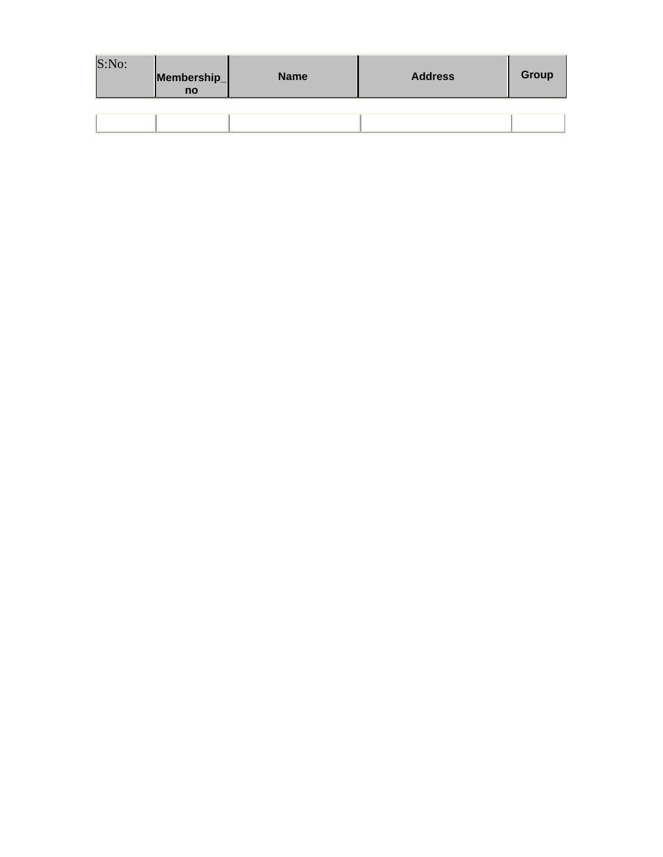| S:No: | Membership_<br>no | <b>Name</b> | <b>Address</b> | Group |
|-------|-------------------|-------------|----------------|-------|
|       |                   |             |                |       |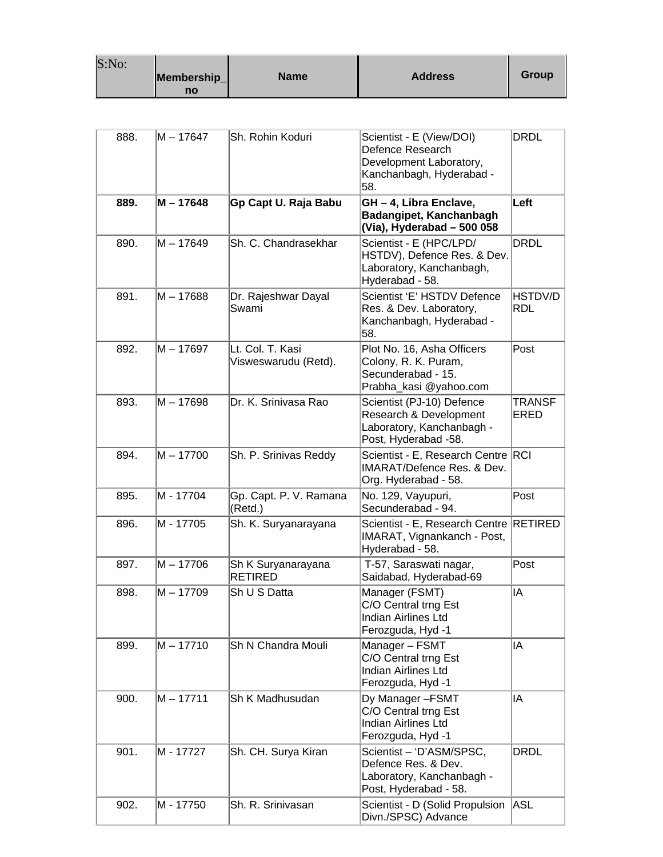| S:No: |                   |             |                |       |
|-------|-------------------|-------------|----------------|-------|
|       | Membership_<br>no | <b>Name</b> | <b>Address</b> | Group |

| 888. | M – 17647 | Sh. Rohin Koduri                         | Scientist - E (View/DOI)<br>Defence Research<br>Development Laboratory,<br>Kanchanbagh, Hyderabad -<br>58. | <b>DRDL</b>           |
|------|-----------|------------------------------------------|------------------------------------------------------------------------------------------------------------|-----------------------|
| 889. | M - 17648 | Gp Capt U. Raja Babu                     | GH - 4, Libra Enclave,<br>Badangipet, Kanchanbagh<br>(Via), Hyderabad - 500 058                            | Left                  |
| 890. | M – 17649 | Sh. C. Chandrasekhar                     | Scientist - E (HPC/LPD/<br>HSTDV), Defence Res. & Dev.<br>Laboratory, Kanchanbagh,<br>Hyderabad - 58.      | DRDL                  |
| 891. | M - 17688 | Dr. Rajeshwar Dayal<br>Swami             | Scientist 'E' HSTDV Defence<br>Res. & Dev. Laboratory,<br>Kanchanbagh, Hyderabad -<br>58.                  | HSTDV/D<br><b>RDL</b> |
| 892. | M – 17697 | Lt. Col. T. Kasi<br>Visweswarudu (Retd). | Plot No. 16, Asha Officers<br>Colony, R. K. Puram,<br>Secunderabad - 15.<br>Prabha_kasi @yahoo.com         | Post                  |
| 893. | M – 17698 | Dr. K. Srinivasa Rao                     | Scientist (PJ-10) Defence<br>Research & Development<br>Laboratory, Kanchanbagh -<br>Post, Hyderabad -58.   | TRANSF<br><b>ERED</b> |
| 894. | M - 17700 | Sh. P. Srinivas Reddy                    | Scientist - E, Research Centre RCI<br><b>IMARAT/Defence Res. &amp; Dev.</b><br>Org. Hyderabad - 58.        |                       |
| 895. | M - 17704 | Gp. Capt. P. V. Ramana<br>(Retd.)        | No. 129, Vayupuri,<br>Secunderabad - 94.                                                                   | Post                  |
| 896. | M - 17705 | Sh. K. Suryanarayana                     | Scientist - E, Research Centre RETIRED<br>IMARAT, Vignankanch - Post,<br>Hyderabad - 58.                   |                       |
| 897. | M - 17706 | Sh K Suryanarayana<br><b>RETIRED</b>     | T-57, Saraswati nagar,<br>Saidabad, Hyderabad-69                                                           | Post                  |
| 898. | M – 17709 | Sh U S Datta                             | Manager (FSMT)<br>C/O Central trng Est<br><b>Indian Airlines Ltd</b><br>Ferozguda, Hyd -1                  | IA                    |
| 899. | M - 17710 | Sh N Chandra Mouli                       | Manager - FSMT<br>C/O Central trng Est<br><b>Indian Airlines Ltd</b><br>Ferozguda, Hyd -1                  | IA                    |
| 900. | M – 17711 | Sh K Madhusudan                          | Dy Manager-FSMT<br>C/O Central trng Est<br><b>Indian Airlines Ltd</b><br>Ferozguda, Hyd -1                 | IA                    |
| 901. | M - 17727 | Sh. CH. Surya Kiran                      | Scientist - 'D'ASM/SPSC,<br>Defence Res. & Dev.<br>Laboratory, Kanchanbagh -<br>Post, Hyderabad - 58.      | <b>DRDL</b>           |
| 902. | M - 17750 | Sh. R. Srinivasan                        | Scientist - D (Solid Propulsion<br>Divn./SPSC) Advance                                                     | ASL                   |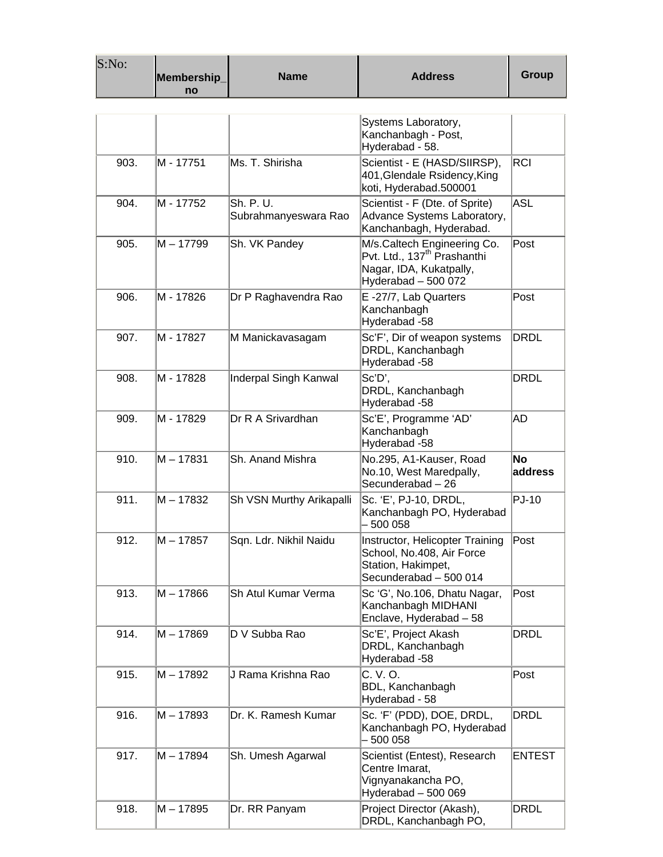| S:No: | Membership_<br>no | <b>Name</b>                       | <b>Address</b>                                                                                                           | <b>Group</b>         |
|-------|-------------------|-----------------------------------|--------------------------------------------------------------------------------------------------------------------------|----------------------|
|       |                   |                                   |                                                                                                                          |                      |
|       |                   |                                   | Systems Laboratory,<br>Kanchanbagh - Post,<br>Hyderabad - 58.                                                            |                      |
| 903.  | M - 17751         | Ms. T. Shirisha                   | Scientist - E (HASD/SIIRSP),<br>401, Glendale Rsidency, King<br>koti, Hyderabad.500001                                   | <b>RCI</b>           |
| 904.  | M - 17752         | Sh. P. U.<br>Subrahmanyeswara Rao | Scientist - F (Dte. of Sprite)<br>Advance Systems Laboratory,<br>Kanchanbagh, Hyderabad.                                 | ASL                  |
| 905.  | M - 17799         | Sh. VK Pandey                     | M/s.Caltech Engineering Co.<br>Pvt. Ltd., 137 <sup>th</sup> Prashanthi<br>Nagar, IDA, Kukatpally,<br>Hyderabad - 500 072 | Post                 |
| 906.  | lM - 17826        | Dr P Raghavendra Rao              | E-27/7, Lab Quarters<br>Kanchanbagh<br>Hyderabad -58                                                                     | Post                 |
| 907.  | M - 17827         | M Manickavasagam                  | Sc'F', Dir of weapon systems<br>DRDL, Kanchanbagh<br>Hyderabad -58                                                       | DRDL                 |
| 908.  | M - 17828         | Inderpal Singh Kanwal             | Sc'D',<br>DRDL, Kanchanbagh<br>Hyderabad -58                                                                             | DRDL                 |
| 909.  | M - 17829         | Dr R A Srivardhan                 | Sc'E', Programme 'AD'<br>Kanchanbagh<br>Hyderabad -58                                                                    | AD                   |
| 910.  | M - 17831         | Sh. Anand Mishra                  | No.295, A1-Kauser, Road<br>No.10, West Maredpally,<br>Secunderabad - 26                                                  | <b>No</b><br>address |
| 911.  | M – 17832         | Sh VSN Murthy Arikapalli          | Sc. 'E', PJ-10, DRDL,<br>Kanchanbagh PO, Hyderabad<br>500 058                                                            | $PJ-10$              |
| 912.  | M - 17857         | Sqn. Ldr. Nikhil Naidu            | Instructor, Helicopter Training<br>School, No.408, Air Force<br>Station, Hakimpet,<br>Secunderabad - 500 014             | Post                 |
| 913.  | M – 17866         | Sh Atul Kumar Verma               | Sc 'G', No.106, Dhatu Nagar,<br>Kanchanbagh MIDHANI<br>Enclave, Hyderabad - 58                                           | Post                 |
| 914.  | M – 17869         | D V Subba Rao                     | Sc'E', Project Akash<br>DRDL, Kanchanbagh<br>Hyderabad -58                                                               | DRDL                 |
| 915.  | M – 17892         | J Rama Krishna Rao                | C. V. O.<br>BDL, Kanchanbagh<br>Hyderabad - 58                                                                           | Post                 |
| 916.  | M – 17893         | Dr. K. Ramesh Kumar               | Sc. 'F' (PDD), DOE, DRDL,<br>Kanchanbagh PO, Hyderabad<br>500 058                                                        | DRDL                 |
| 917.  | M - 17894         | Sh. Umesh Agarwal                 | Scientist (Entest), Research<br>Centre Imarat,<br>Vignyanakancha PO,<br>Hyderabad - 500 069                              | <b>ENTEST</b>        |
| 918.  | M - 17895         | Dr. RR Panyam                     | Project Director (Akash),<br>DRDL, Kanchanbagh PO,                                                                       | DRDL                 |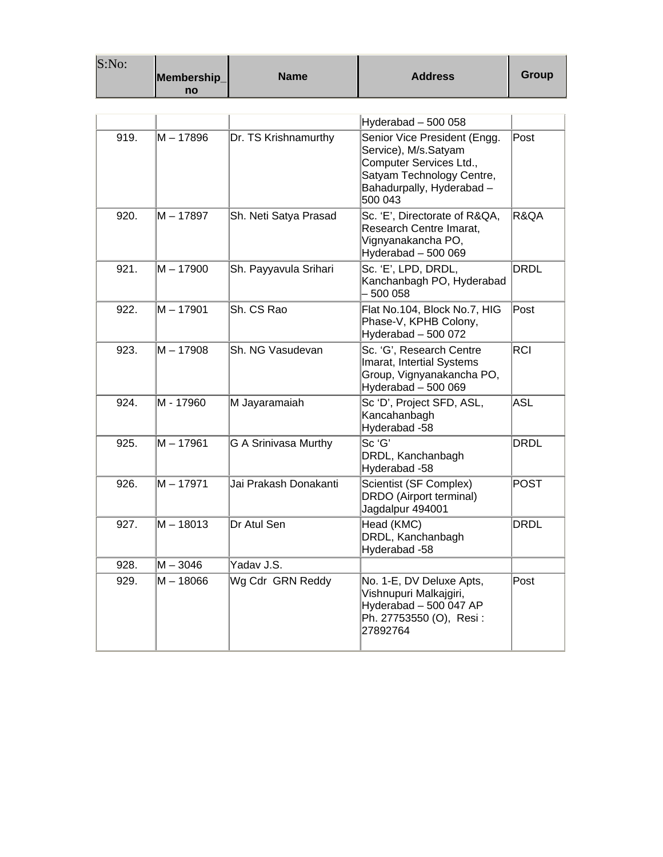| S:No: | Membership_<br>no | <b>Name</b>           | <b>Address</b>                                                                                                                                       | Group       |
|-------|-------------------|-----------------------|------------------------------------------------------------------------------------------------------------------------------------------------------|-------------|
|       |                   |                       |                                                                                                                                                      |             |
|       |                   |                       | Hyderabad - 500 058                                                                                                                                  |             |
| 919.  | $M - 17896$       | Dr. TS Krishnamurthy  | Senior Vice President (Engg.<br>Service), M/s.Satyam<br>Computer Services Ltd.,<br>Satyam Technology Centre,<br>Bahadurpally, Hyderabad -<br>500 043 | Post        |
| 920.  | $M - 17897$       | Sh. Neti Satya Prasad | Sc. 'E', Directorate of R&QA,<br>Research Centre Imarat,<br>Vignyanakancha PO,<br>Hyderabad - 500 069                                                | R&QA        |
| 921.  | M – 17900         | Sh. Payyavula Srihari | Sc. 'E', LPD, DRDL,<br>Kanchanbagh PO, Hyderabad<br>500 058                                                                                          | DRDL        |
| 922.  | M-17901           | Sh. CS Rao            | Flat No.104, Block No.7, HIG<br>Phase-V, KPHB Colony,<br>Hyderabad - 500 072                                                                         | Post        |
| 923.  | M - 17908         | Sh. NG Vasudevan      | Sc. 'G', Research Centre<br>Imarat, Intertial Systems<br>Group, Vignyanakancha PO,<br>Hyderabad - 500 069                                            | <b>RCI</b>  |
| 924.  | M - 17960         | M Jayaramaiah         | Sc 'D', Project SFD, ASL,<br>Kancahanbagh<br>Hyderabad -58                                                                                           | <b>ASL</b>  |
| 925.  | $M - 17961$       | G A Srinivasa Murthy  | Sc 'G'<br>DRDL, Kanchanbagh<br>Hyderabad -58                                                                                                         | <b>DRDL</b> |
| 926.  | $M - 17971$       | Jai Prakash Donakanti | Scientist (SF Complex)<br>DRDO (Airport terminal)<br>Jagdalpur 494001                                                                                | <b>POST</b> |
| 927.  | $M - 18013$       | Dr Atul Sen           | Head (KMC)<br>DRDL, Kanchanbagh<br>Hyderabad -58                                                                                                     | <b>DRDL</b> |
| 928.  | $M - 3046$        | Yadav J.S.            |                                                                                                                                                      |             |
| 929.  | $M - 18066$       | Wg Cdr GRN Reddy      | No. 1-E, DV Deluxe Apts,<br>Vishnupuri Malkajgiri,<br>Hyderabad - 500 047 AP<br>Ph. 27753550 (O), Resi:<br>27892764                                  | Post        |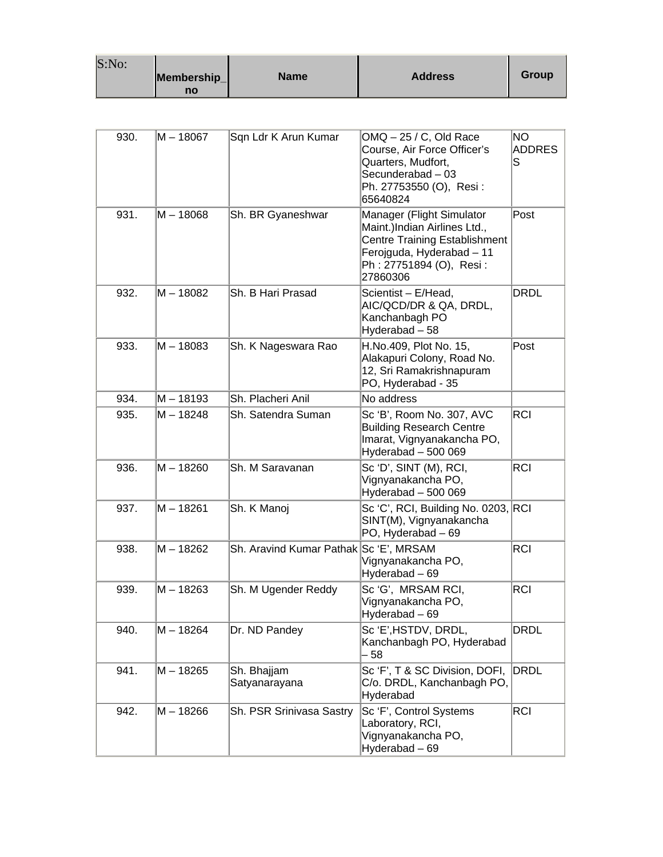| S:No: |             |      |                |       |
|-------|-------------|------|----------------|-------|
|       | Membership_ | Name | <b>Address</b> | Group |
|       | no          |      |                |       |

| 930. | M – 18067   | Sqn Ldr K Arun Kumar                   | OMQ - 25 / C, Old Race<br>Course, Air Force Officer's<br>Quarters, Mudfort,<br>Secunderabad - 03<br>Ph. 27753550 (O), Resi:<br>65640824                               | ΝO<br><b>ADDRES</b><br>S |
|------|-------------|----------------------------------------|-----------------------------------------------------------------------------------------------------------------------------------------------------------------------|--------------------------|
| 931. | M – 18068   | Sh. BR Gyaneshwar                      | Manager (Flight Simulator<br>Maint.)Indian Airlines Ltd.,<br><b>Centre Training Establishment</b><br>Ferojguda, Hyderabad - 11<br>Ph: 27751894 (O), Resi:<br>27860306 | Post                     |
| 932. | M – 18082   | Sh. B Hari Prasad                      | Scientist - E/Head,<br>AIC/QCD/DR & QA, DRDL,<br>Kanchanbagh PO<br>Hyderabad-58                                                                                       | <b>DRDL</b>              |
| 933. | $M - 18083$ | Sh. K Nageswara Rao                    | H.No.409, Plot No. 15,<br>Alakapuri Colony, Road No.<br>12, Sri Ramakrishnapuram<br>PO, Hyderabad - 35                                                                | Post                     |
| 934. | M-18193     | Sh. Placheri Anil                      | No address                                                                                                                                                            |                          |
| 935. | M-18248     | Sh. Satendra Suman                     | Sc 'B', Room No. 307, AVC<br><b>Building Research Centre</b><br>Imarat, Vignyanakancha PO,<br>Hyderabad - 500 069                                                     | <b>RCI</b>               |
| 936. | M-18260     | Sh. M Saravanan                        | Sc 'D', SINT (M), RCI,<br>Vignyanakancha PO,<br>Hyderabad - 500 069                                                                                                   | RCI                      |
| 937. | M-18261     | Sh. K Manoj                            | Sc 'C', RCI, Building No. 0203, RCI<br>SINT(M), Vignyanakancha<br>PO, Hyderabad - 69                                                                                  |                          |
| 938. | M-18262     | Sh. Aravind Kumar Pathak Sc 'E', MRSAM | Vignyanakancha PO,<br>Hyderabad - 69                                                                                                                                  | <b>RCI</b>               |
| 939. | $M - 18263$ | Sh. M Ugender Reddy                    | Sc 'G', MRSAM RCI,<br>Vignyanakancha PO,<br>Hyderabad - 69                                                                                                            | <b>RCI</b>               |
| 940. | M - 18264   | Dr. ND Pandey                          | Sc 'E',HSTDV, DRDL,<br>Kanchanbagh PO, Hyderabad<br>- 58                                                                                                              | <b>DRDL</b>              |
| 941. | $M - 18265$ | Sh. Bhajjam<br>Satyanarayana           | Sc 'F', T & SC Division, DOFI,<br>C/o. DRDL, Kanchanbagh PO,<br>Hyderabad                                                                                             | <b>DRDL</b>              |
| 942. | M - 18266   | Sh. PSR Srinivasa Sastry               | Sc'F', Control Systems<br>Laboratory, RCI,<br>Vignyanakancha PO,<br>Hyderabad - 69                                                                                    | RCI                      |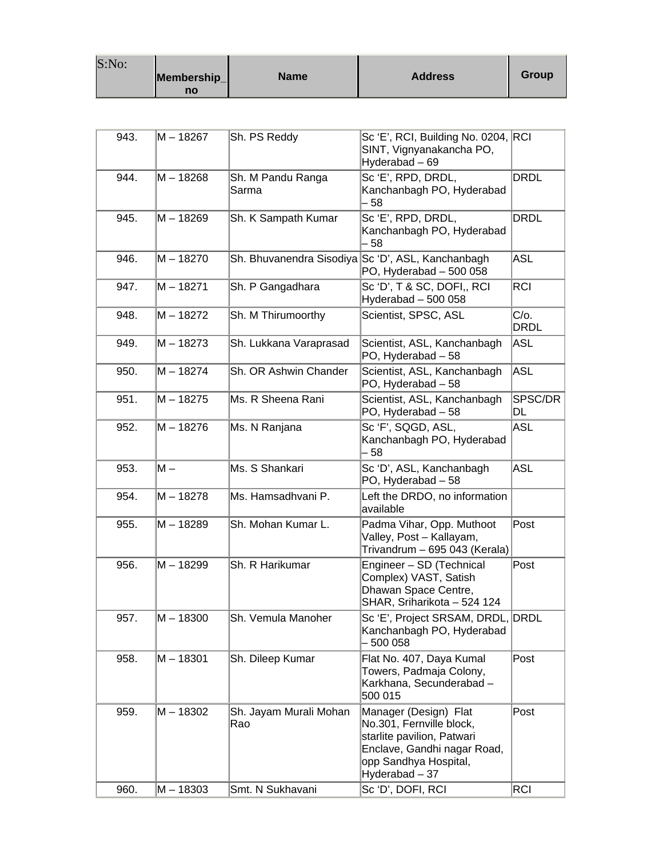| S:No: |                   |             |                |       |
|-------|-------------------|-------------|----------------|-------|
|       | Membership_<br>no | <b>Name</b> | <b>Address</b> | Group |

| 943. | M – 18267   | Sh. PS Reddy                  | Sc 'E', RCI, Building No. 0204, RCI<br>SINT, Vignyanakancha PO,<br>Hyderabad - 69                                                                         |                     |
|------|-------------|-------------------------------|-----------------------------------------------------------------------------------------------------------------------------------------------------------|---------------------|
| 944. | $M - 18268$ | Sh. M Pandu Ranga<br>Sarma    | Sc'E', RPD, DRDL,<br>Kanchanbagh PO, Hyderabad<br>- 58                                                                                                    | <b>DRDL</b>         |
| 945. | M-18269     | Sh. K Sampath Kumar           | Sc'E', RPD, DRDL,<br>Kanchanbagh PO, Hyderabad<br>- 58                                                                                                    | <b>DRDL</b>         |
| 946. | $M - 18270$ |                               | Sh. Bhuvanendra Sisodiya Sc 'D', ASL, Kanchanbagh<br>PO, Hyderabad - 500 058                                                                              | <b>ASL</b>          |
| 947. | $M - 18271$ | Sh. P Gangadhara              | Sc 'D', T & SC, DOFI,, RCI<br>Hyderabad - 500 058                                                                                                         | <b>RCI</b>          |
| 948. | M-18272     | Sh. M Thirumoorthy            | Scientist, SPSC, ASL                                                                                                                                      | C/o.<br><b>DRDL</b> |
| 949. | $M - 18273$ | Sh. Lukkana Varaprasad        | Scientist, ASL, Kanchanbagh<br>PO, Hyderabad - 58                                                                                                         | ASL                 |
| 950. | $M - 18274$ | Sh. OR Ashwin Chander         | Scientist, ASL, Kanchanbagh<br>PO, Hyderabad - 58                                                                                                         | ASL                 |
| 951. | $M - 18275$ | Ms. R Sheena Rani             | Scientist, ASL, Kanchanbagh<br>PO, Hyderabad - 58                                                                                                         | SPSC/DR<br>DL       |
| 952. | $M - 18276$ | Ms. N Ranjana                 | Sc'F', SQGD, ASL,<br>Kanchanbagh PO, Hyderabad<br>- 58                                                                                                    | <b>ASL</b>          |
| 953. | $M -$       | Ms. S Shankari                | Sc 'D', ASL, Kanchanbagh<br>PO, Hyderabad - 58                                                                                                            | <b>ASL</b>          |
| 954. | $M - 18278$ | Ms. Hamsadhvani P.            | Left the DRDO, no information<br>available                                                                                                                |                     |
| 955. | M-18289     | Sh. Mohan Kumar L.            | Padma Vihar, Opp. Muthoot<br>Valley, Post - Kallayam,<br>Trivandrum - 695 043 (Kerala)                                                                    | Post                |
| 956. | M-18299     | Sh. R Harikumar               | Engineer - SD (Technical<br>Complex) VAST, Satish<br>Dhawan Space Centre,<br>SHAR, Sriharikota - 524 124                                                  | Post                |
| 957. | $M - 18300$ | Sh. Vemula Manoher            | Sc 'E', Project SRSAM, DRDL, DRDL<br>Kanchanbagh PO, Hyderabad<br>500 058                                                                                 |                     |
| 958. | $M - 18301$ | Sh. Dileep Kumar              | Flat No. 407, Daya Kumal<br>Towers, Padmaja Colony,<br>Karkhana, Secunderabad -<br>500 015                                                                | Post                |
| 959. | M - 18302   | Sh. Jayam Murali Mohan<br>Rao | Manager (Design) Flat<br>No.301, Fernville block,<br>starlite pavilion, Patwari<br>Enclave, Gandhi nagar Road,<br>opp Sandhya Hospital,<br>Hyderabad - 37 | Post                |
| 960. | $M - 18303$ | Smt. N Sukhavani              | Sc 'D', DOFI, RCI                                                                                                                                         | <b>RCI</b>          |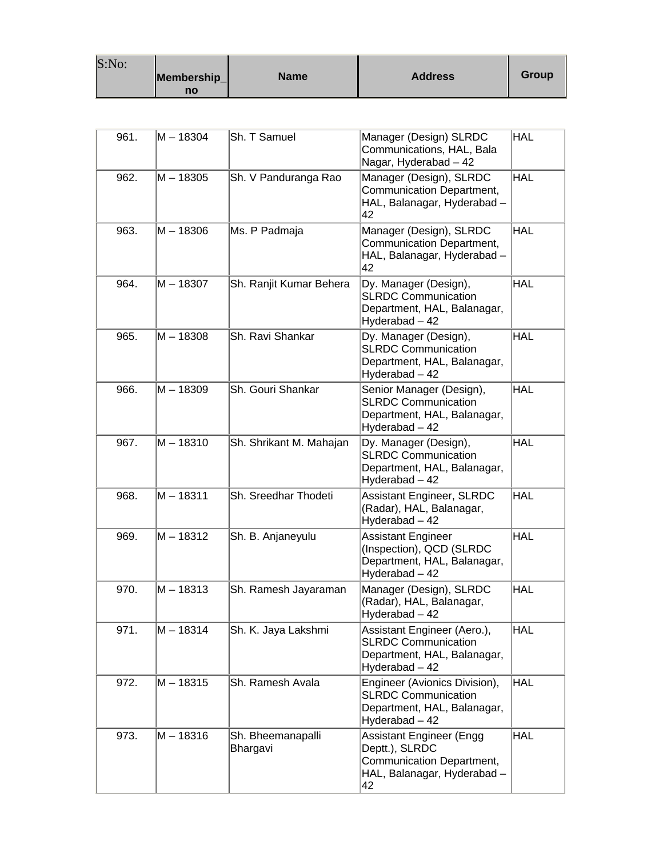| S:No: | Membership_ | <b>Name</b> | <b>Address</b> | Group |
|-------|-------------|-------------|----------------|-------|
|       | no          |             |                |       |

| 961. | M – 18304   | Sh. T Samuel                  | Manager (Design) SLRDC<br>Communications, HAL, Bala<br>Nagar, Hyderabad - 42                                 | <b>HAL</b> |
|------|-------------|-------------------------------|--------------------------------------------------------------------------------------------------------------|------------|
| 962. | $M - 18305$ | Sh. V Panduranga Rao          | Manager (Design), SLRDC<br><b>Communication Department,</b><br>HAL, Balanagar, Hyderabad -<br>42             | <b>HAL</b> |
| 963. | M-18306     | Ms. P Padmaja                 | Manager (Design), SLRDC<br>Communication Department,<br>HAL, Balanagar, Hyderabad -<br>42                    | <b>HAL</b> |
| 964. | M – 18307   | Sh. Ranjit Kumar Behera       | Dy. Manager (Design),<br><b>SLRDC Communication</b><br>Department, HAL, Balanagar,<br>Hyderabad - 42         | <b>HAL</b> |
| 965. | M-18308     | Sh. Ravi Shankar              | Dy. Manager (Design),<br><b>SLRDC Communication</b><br>Department, HAL, Balanagar,<br>Hyderabad - 42         | <b>HAL</b> |
| 966. | M-18309     | Sh. Gouri Shankar             | Senior Manager (Design),<br><b>SLRDC Communication</b><br>Department, HAL, Balanagar,<br>Hyderabad - 42      | <b>HAL</b> |
| 967. | M-18310     | Sh. Shrikant M. Mahajan       | Dy. Manager (Design),<br><b>SLRDC Communication</b><br>Department, HAL, Balanagar,<br>Hyderabad - 42         | <b>HAL</b> |
| 968. | $M - 18311$ | Sh. Sreedhar Thodeti          | Assistant Engineer, SLRDC<br>(Radar), HAL, Balanagar,<br>Hyderabad - 42                                      | <b>HAL</b> |
| 969. | M – 18312   | Sh. B. Anjaneyulu             | Assistant Engineer<br>(Inspection), QCD (SLRDC)<br>Department, HAL, Balanagar,<br>Hyderabad - 42             | <b>HAL</b> |
| 970. | M-18313     | Sh. Ramesh Jayaraman          | Manager (Design), SLRDC<br>(Radar), HAL, Balanagar,<br>Hyderabad - 42                                        | <b>HAL</b> |
| 971. | M - 18314   | Sh. K. Jaya Lakshmi           | Assistant Engineer (Aero.),<br><b>SLRDC Communication</b><br>Department, HAL, Balanagar,<br>Hyderabad - 42   | <b>HAL</b> |
| 972. | M-18315     | Sh. Ramesh Avala              | Engineer (Avionics Division),<br><b>SLRDC Communication</b><br>Department, HAL, Balanagar,<br>Hyderabad - 42 | <b>HAL</b> |
| 973. | M-18316     | Sh. Bheemanapalli<br>Bhargavi | Assistant Engineer (Engg<br>Deptt.), SLRDC<br>Communication Department,<br>HAL, Balanagar, Hyderabad -<br>42 | <b>HAL</b> |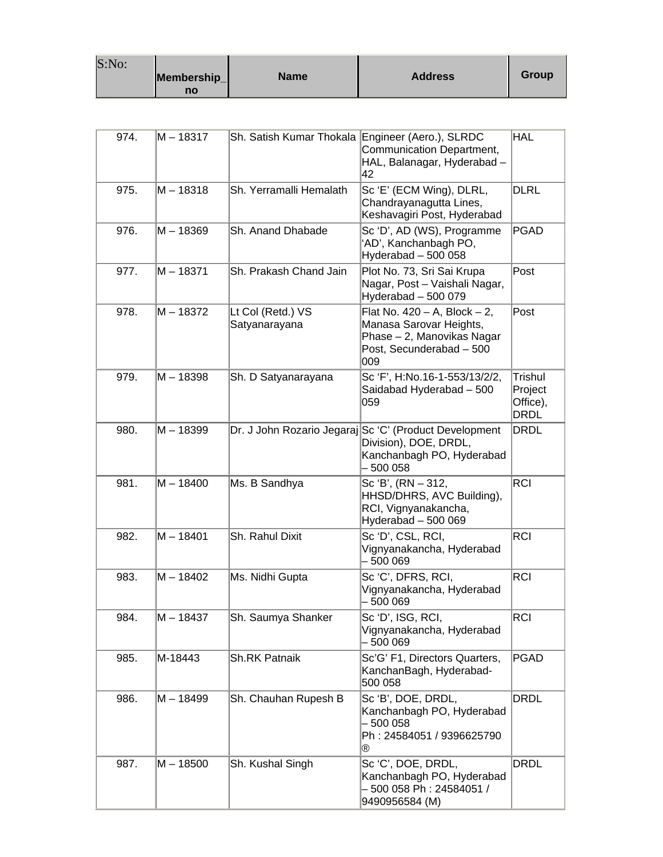| S:No: |             |             |                |       |
|-------|-------------|-------------|----------------|-------|
|       | Membership_ | <b>Name</b> | <b>Address</b> | Group |
|       | no          |             |                |       |

| 974. | M - 18317   | Sh. Satish Kumar Thokala Engineer (Aero.), SLRDC | Communication Department,<br>HAL, Balanagar, Hyderabad -<br>42                                                                 | <b>HAL</b>                                           |
|------|-------------|--------------------------------------------------|--------------------------------------------------------------------------------------------------------------------------------|------------------------------------------------------|
| 975. | M-18318     | Sh. Yerramalli Hemalath                          | Sc 'E' (ECM Wing), DLRL,<br>Chandrayanagutta Lines,<br>Keshavagiri Post, Hyderabad                                             | <b>DLRL</b>                                          |
| 976. | M – 18369   | Sh. Anand Dhabade                                | Sc 'D', AD (WS), Programme<br>'AD', Kanchanbagh PO,<br>Hyderabad - 500 058                                                     | <b>PGAD</b>                                          |
| 977. | M-18371     | Sh. Prakash Chand Jain                           | Plot No. 73, Sri Sai Krupa<br>Nagar, Post - Vaishali Nagar,<br>Hyderabad - 500 079                                             | Post                                                 |
| 978. | M – 18372   | Lt Col (Retd.) VS<br>Satyanarayana               | Flat No. $420 - A$ , Block $- 2$ ,<br>Manasa Sarovar Heights,<br>Phase - 2, Manovikas Nagar<br>Post, Secunderabad - 500<br>009 | Post                                                 |
| 979. | M-18398     | Sh. D Satyanarayana                              | Sc 'F', H:No.16-1-553/13/2/2,<br>Saidabad Hyderabad - 500<br>059                                                               | <b>Trishul</b><br>Project<br>Office),<br><b>DRDL</b> |
| 980. | $M - 18399$ |                                                  | Dr. J John Rozario Jegaraj Sc 'C' (Product Development<br>Division), DOE, DRDL,<br>Kanchanbagh PO, Hyderabad<br>- 500 058      | <b>DRDL</b>                                          |
| 981. | $M - 18400$ | Ms. B Sandhya                                    | Sc 'B', (RN – 312,<br>HHSD/DHRS, AVC Building),<br>RCI, Vignyanakancha,<br>Hyderabad - 500 069                                 | <b>RCI</b>                                           |
| 982. | $M - 18401$ | Sh. Rahul Dixit                                  | Sc 'D', CSL, RCI,<br>Vignyanakancha, Hyderabad<br>- 500 069                                                                    | <b>RCI</b>                                           |
| 983. | M-18402     | Ms. Nidhi Gupta                                  | Sc 'C', DFRS, RCI,<br>Vignyanakancha, Hyderabad<br>- 500 069                                                                   | <b>RCI</b>                                           |
| 984. | M - 18437   | Sh. Saumya Shanker                               | Sc 'D', ISG, RCI,<br>Vignyanakancha, Hyderabad<br>- 500 069                                                                    | <b>RCI</b>                                           |
| 985. | M-18443     | <b>Sh.RK Patnaik</b>                             | Sc'G' F1, Directors Quarters,<br>KanchanBagh, Hyderabad-<br>500 058                                                            | PGAD                                                 |
| 986. | M – 18499   | Sh. Chauhan Rupesh B                             | Sc'B', DOE, DRDL,<br>Kanchanbagh PO, Hyderabad<br>- 500 058<br>Ph: 24584051 / 9396625790<br>®                                  | <b>DRDL</b>                                          |
| 987. | $M - 18500$ | Sh. Kushal Singh                                 | Sc 'C', DOE, DRDL,<br>Kanchanbagh PO, Hyderabad<br>- 500 058 Ph : 24584051 /<br>9490956584 (M)                                 | <b>DRDL</b>                                          |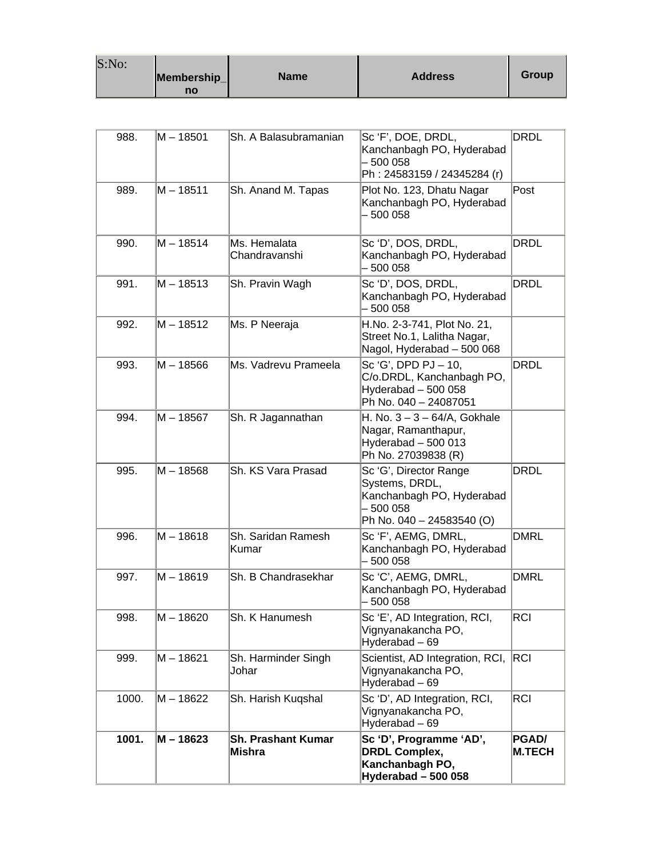| S:No: |             |             |                |       |
|-------|-------------|-------------|----------------|-------|
|       | Membership_ | <b>Name</b> | <b>Address</b> | Group |
|       | no          |             |                |       |

| 988.  | M – 18501   | Sh. A Balasubramanian                      | Sc'F', DOE, DRDL,<br>Kanchanbagh PO, Hyderabad<br>$-500058$<br>Ph: 24583159 / 24345284 (r)                      | DRDL                   |
|-------|-------------|--------------------------------------------|-----------------------------------------------------------------------------------------------------------------|------------------------|
| 989.  | $M - 18511$ | Sh. Anand M. Tapas                         | Plot No. 123, Dhatu Nagar<br>Kanchanbagh PO, Hyderabad<br>- 500 058                                             | Post                   |
| 990.  | M - 18514   | Ms. Hemalata<br>Chandravanshi              | Sc 'D', DOS, DRDL,<br>Kanchanbagh PO, Hyderabad<br>$-500058$                                                    | DRDL                   |
| 991.  | M – 18513   | Sh. Pravin Wagh                            | Sc 'D', DOS, DRDL,<br>Kanchanbagh PO, Hyderabad<br>$-500058$                                                    | <b>DRDL</b>            |
| 992.  | M – 18512   | Ms. P Neeraja                              | H.No. 2-3-741, Plot No. 21,<br>Street No.1, Lalitha Nagar,<br>Nagol, Hyderabad - 500 068                        |                        |
| 993.  | M – 18566   | Ms. Vadrevu Prameela                       | Sc 'G', DPD PJ - 10,<br>C/o.DRDL, Kanchanbagh PO,<br>Hyderabad - 500 058<br>Ph No. 040 - 24087051               | DRDL                   |
| 994.  | $M - 18567$ | Sh. R Jagannathan                          | H. No. $3 - 3 - 64/A$ , Gokhale<br>Nagar, Ramanthapur,<br>Hyderabad - 500 013<br>Ph No. 27039838 (R)            |                        |
| 995.  | M – 18568   | Sh. KS Vara Prasad                         | Sc 'G', Director Range<br>Systems, DRDL,<br>Kanchanbagh PO, Hyderabad<br>$-500058$<br>Ph No. 040 - 24583540 (O) | <b>DRDL</b>            |
| 996.  | $M - 18618$ | Sh. Saridan Ramesh<br>Kumar                | Sc 'F', AEMG, DMRL,<br>Kanchanbagh PO, Hyderabad<br>- 500 058                                                   | <b>DMRL</b>            |
| 997.  | M - 18619   | Sh. B Chandrasekhar                        | Sc 'C', AEMG, DMRL,<br>Kanchanbagh PO, Hyderabad<br>500 058                                                     | <b>DMRL</b>            |
| 998.  | M - 18620   | Sh. K Hanumesh                             | Sc 'E', AD Integration, RCI,<br>Vignyanakancha PO,<br>Hyderabad - 69                                            | <b>RCI</b>             |
| 999.  | M – 18621   | Sh. Harminder Singh<br>Johar               | Scientist, AD Integration, RCI,<br>Vignyanakancha PO,<br>Hyderabad - 69                                         | RCI.                   |
| 1000. | M – 18622   | Sh. Harish Kuqshal                         | Sc 'D', AD Integration, RCI,<br>Vignyanakancha PO,<br>Hyderabad - 69                                            | <b>RCI</b>             |
| 1001. | M - 18623   | <b>Sh. Prashant Kumar</b><br><b>Mishra</b> | Sc 'D', Programme 'AD',<br><b>DRDL Complex,</b><br>Kanchanbagh PO,<br>Hyderabad - 500 058                       | PGAD/<br><b>M.TECH</b> |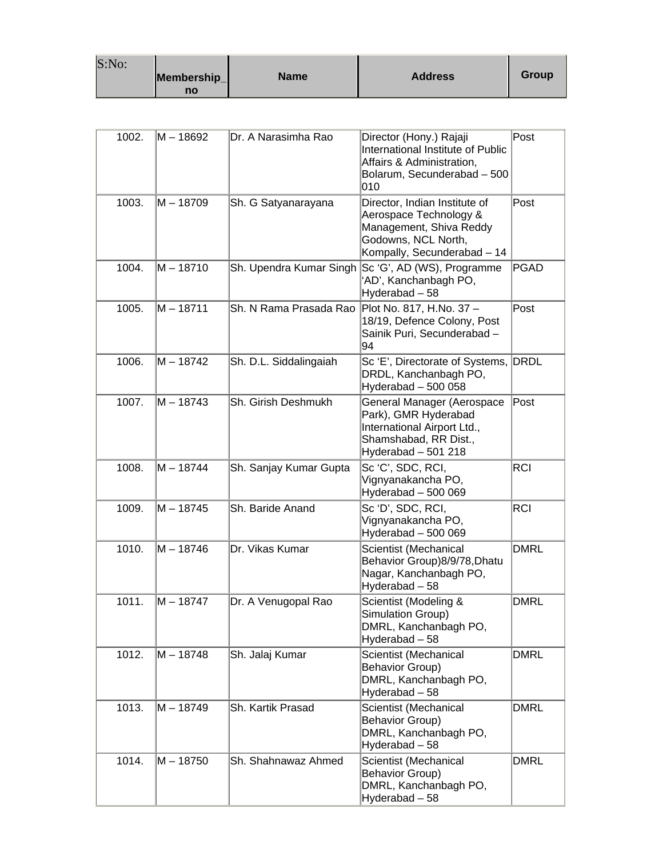| S:No: | Membership_<br>no | <b>Name</b> | <b>Address</b> | Group |
|-------|-------------------|-------------|----------------|-------|
|-------|-------------------|-------------|----------------|-------|

| 1002. | M – 18692   | Dr. A Narasimha Rao     | Director (Hony.) Rajaji<br>International Institute of Public<br>Affairs & Administration,<br>Bolarum, Secunderabad - 500<br>010          | Post        |
|-------|-------------|-------------------------|------------------------------------------------------------------------------------------------------------------------------------------|-------------|
| 1003. | M – 18709   | Sh. G Satyanarayana     | Director, Indian Institute of<br>Aerospace Technology &<br>Management, Shiva Reddy<br>Godowns, NCL North,<br>Kompally, Secunderabad - 14 | Post        |
| 1004. | $M - 18710$ | Sh. Upendra Kumar Singh | Sc 'G', AD (WS), Programme<br>'AD', Kanchanbagh PO,<br>Hyderabad - 58                                                                    | <b>PGAD</b> |
| 1005. | M – 18711   | Sh. N Rama Prasada Rao  | Plot No. 817, H.No. 37 -<br>18/19, Defence Colony, Post<br>Sainik Puri, Secunderabad -<br>94                                             | Post        |
| 1006. | M – 18742   | Sh. D.L. Siddalingaiah  | Sc 'E', Directorate of Systems,<br>DRDL, Kanchanbagh PO,<br>Hyderabad - 500 058                                                          | DRDL        |
| 1007. | M - 18743   | Sh. Girish Deshmukh     | General Manager (Aerospace<br>Park), GMR Hyderabad<br>International Airport Ltd.,<br>Shamshabad, RR Dist.,<br>Hyderabad - 501 218        | Post        |
| 1008. | M – 18744   | Sh. Sanjay Kumar Gupta  | Sc 'C', SDC, RCI,<br>Vignyanakancha PO,<br>Hyderabad - 500 069                                                                           | <b>RCI</b>  |
| 1009. | M-18745     | Sh. Baride Anand        | Sc 'D', SDC, RCI,<br>Vignyanakancha PO,<br>Hyderabad - 500 069                                                                           | <b>RCI</b>  |
| 1010. | M – 18746   | Dr. Vikas Kumar         | Scientist (Mechanical<br>Behavior Group)8/9/78, Dhatu<br>Nagar, Kanchanbagh PO,<br>Hyderabad - 58                                        | <b>DMRL</b> |
| 1011. | M - 18747   | Dr. A Venugopal Rao     | Scientist (Modeling &<br>Simulation Group)<br>DMRL, Kanchanbagh PO,<br>Hyderabad - 58                                                    | <b>DMRL</b> |
| 1012. | M – 18748   | Sh. Jalaj Kumar         | Scientist (Mechanical<br><b>Behavior Group)</b><br>DMRL, Kanchanbagh PO,<br>Hyderabad - 58                                               | <b>DMRL</b> |
| 1013. | M – 18749   | Sh. Kartik Prasad       | Scientist (Mechanical<br><b>Behavior Group)</b><br>DMRL, Kanchanbagh PO,<br>Hyderabad - 58                                               | DMRL        |
| 1014. | M – 18750   | Sh. Shahnawaz Ahmed     | Scientist (Mechanical<br><b>Behavior Group)</b><br>DMRL, Kanchanbagh PO,<br>Hyderabad - 58                                               | DMRL        |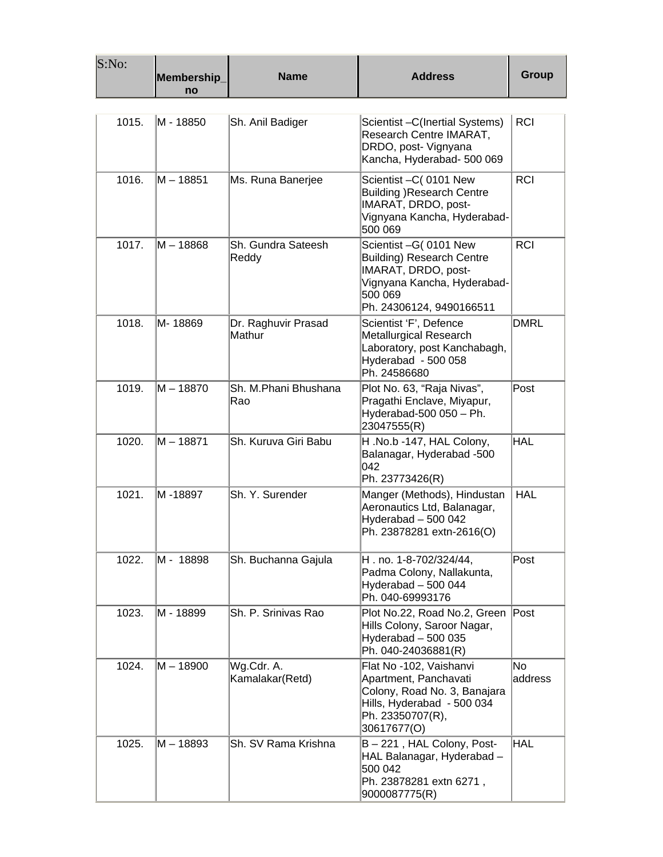| S:No: | Membership_<br>no | <b>Name</b>                   | <b>Address</b>                                                                                                                                          | Group         |
|-------|-------------------|-------------------------------|---------------------------------------------------------------------------------------------------------------------------------------------------------|---------------|
| 1015. | M - 18850         | Sh. Anil Badiger              | Scientist - C(Inertial Systems)<br>Research Centre IMARAT,<br>DRDO, post- Vignyana<br>Kancha, Hyderabad- 500 069                                        | <b>RCI</b>    |
| 1016. | M – 18851         | Ms. Runa Banerjee             | Scientist - C (0101 New<br><b>Building )Research Centre</b><br>IMARAT, DRDO, post-<br>Vignyana Kancha, Hyderabad-<br>500 069                            | <b>RCI</b>    |
| 1017. | M – 18868         | Sh. Gundra Sateesh<br>Reddy   | Scientist -G( 0101 New<br><b>Building) Research Centre</b><br>IMARAT, DRDO, post-<br>Vignyana Kancha, Hyderabad-<br>500 069<br>Ph. 24306124, 9490166511 | <b>RCI</b>    |
| 1018. | M-18869           | Dr. Raghuvir Prasad<br>Mathur | Scientist 'F', Defence<br><b>Metallurgical Research</b><br>Laboratory, post Kanchabagh,<br>Hyderabad - 500 058<br>Ph. 24586680                          | DMRL          |
| 1019. | M - 18870         | Sh. M.Phani Bhushana<br>Rao   | Plot No. 63, "Raja Nivas",<br>Pragathi Enclave, Miyapur,<br>Hyderabad-500 $050 - Ph$ .<br>23047555(R)                                                   | Post          |
| 1020. | M – 18871         | Sh. Kuruva Giri Babu          | H.No.b-147, HAL Colony,<br>Balanagar, Hyderabad -500<br>042<br>Ph. 23773426(R)                                                                          | HAL           |
| 1021. | M -18897          | Sh. Y. Surender               | Manger (Methods), Hindustan<br>Aeronautics Ltd, Balanagar,<br>Hyderabad - 500 042<br>Ph. 23878281 extn-2616(O)                                          | <b>HAL</b>    |
| 1022. | M - 18898         | Sh. Buchanna Gajula           | H. no. 1-8-702/324/44,<br>Padma Colony, Nallakunta,<br>Hyderabad - 500 044<br>Ph. 040-69993176                                                          | Post          |
| 1023. | M - 18899         | Sh. P. Srinivas Rao           | Plot No.22, Road No.2, Green Post<br>Hills Colony, Saroor Nagar,<br>Hyderabad $-500$ 035<br>Ph. 040-24036881(R)                                         |               |
| 1024. | M – 18900         | Wg.Cdr. A.<br>Kamalakar(Retd) | Flat No -102, Vaishanvi<br>Apartment, Panchavati<br>Colony, Road No. 3, Banajara<br>Hills, Hyderabad - 500 034<br>Ph. 23350707(R),<br>30617677(O)       | No<br>address |
| 1025. | M – 18893         | Sh. SV Rama Krishna           | B-221, HAL Colony, Post-<br>HAL Balanagar, Hyderabad -<br>500 042<br>Ph. 23878281 extn 6271,<br>9000087775(R)                                           | <b>HAL</b>    |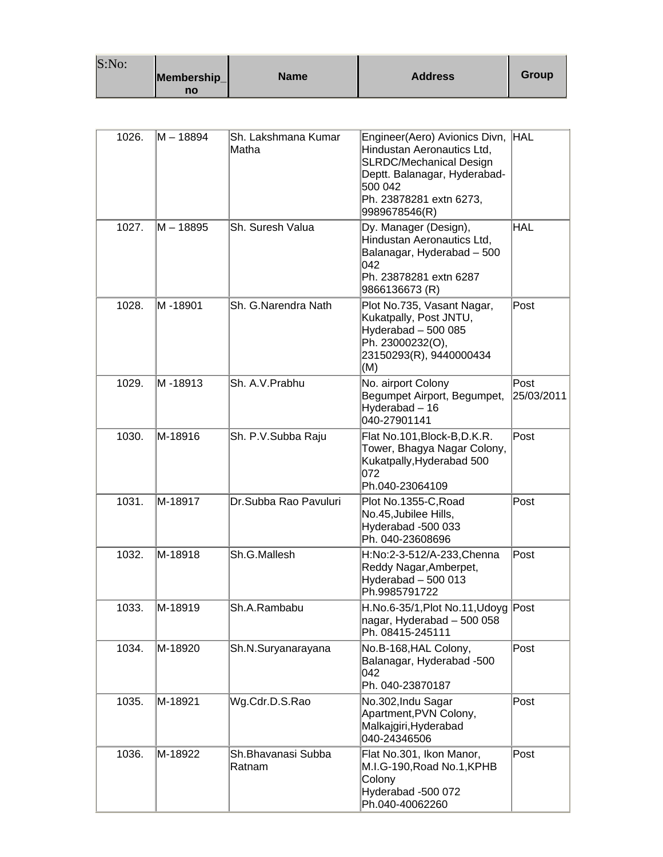| S:No: |             |      |                |       |
|-------|-------------|------|----------------|-------|
|       | Membership_ | Name | <b>Address</b> | Group |
|       | no          |      |                |       |

| 1026. | M - 18894 | Sh. Lakshmana Kumar<br>Matha | Engineer(Aero) Avionics Divn, HAL<br>Hindustan Aeronautics Ltd,<br><b>SLRDC/Mechanical Design</b><br>Deptt. Balanagar, Hyderabad-<br>500 042<br>Ph. 23878281 extn 6273,<br>9989678546(R) |                    |
|-------|-----------|------------------------------|------------------------------------------------------------------------------------------------------------------------------------------------------------------------------------------|--------------------|
| 1027. | M - 18895 | Sh. Suresh Valua             | Dy. Manager (Design),<br>Hindustan Aeronautics Ltd,<br>Balanagar, Hyderabad - 500<br>042<br>Ph. 23878281 extn 6287<br>9866136673 (R)                                                     | <b>HAL</b>         |
| 1028. | M -18901  | Sh. G.Narendra Nath          | Plot No.735, Vasant Nagar,<br>Kukatpally, Post JNTU,<br>Hyderabad - 500 085<br>Ph. 23000232(O),<br>23150293(R), 9440000434<br>(M)                                                        | Post               |
| 1029. | M-18913   | Sh. A.V. Prabhu              | No. airport Colony<br>Begumpet Airport, Begumpet,<br>Hyderabad - 16<br>040-27901141                                                                                                      | Post<br>25/03/2011 |
| 1030. | M-18916   | Sh. P.V.Subba Raju           | Flat No.101, Block-B, D.K.R.<br>Tower, Bhagya Nagar Colony,<br>Kukatpally, Hyderabad 500<br>072<br>Ph.040-23064109                                                                       | Post               |
| 1031. | M-18917   | Dr.Subba Rao Pavuluri        | Plot No.1355-C, Road<br>No.45, Jubilee Hills,<br>Hyderabad -500 033<br>Ph. 040-23608696                                                                                                  | Post               |
| 1032. | M-18918   | Sh.G.Mallesh                 | H:No:2-3-512/A-233, Chenna<br>Reddy Nagar, Amberpet,<br>Hyderabad $-500013$<br>Ph.9985791722                                                                                             | Post               |
| 1033. | M-18919   | Sh.A.Rambabu                 | H.No.6-35/1, Plot No.11, Udoyg Post<br> nagar, Hyderabad – 500 058<br>Ph. 08415-245111                                                                                                   |                    |
| 1034. | M-18920   | Sh.N.Suryanarayana           | No.B-168, HAL Colony,<br>Balanagar, Hyderabad -500<br>042<br>Ph. 040-23870187                                                                                                            | Post               |
| 1035. | M-18921   | Wg.Cdr.D.S.Rao               | No.302, Indu Sagar<br>Apartment, PVN Colony,<br>Malkajgiri, Hyderabad<br>040-24346506                                                                                                    | Post               |
| 1036. | M-18922   | Sh.Bhavanasi Subba<br>Ratnam | Flat No.301, Ikon Manor,<br>M.I.G-190, Road No.1, KPHB<br>Colony<br>Hyderabad -500 072<br>Ph.040-40062260                                                                                | Post               |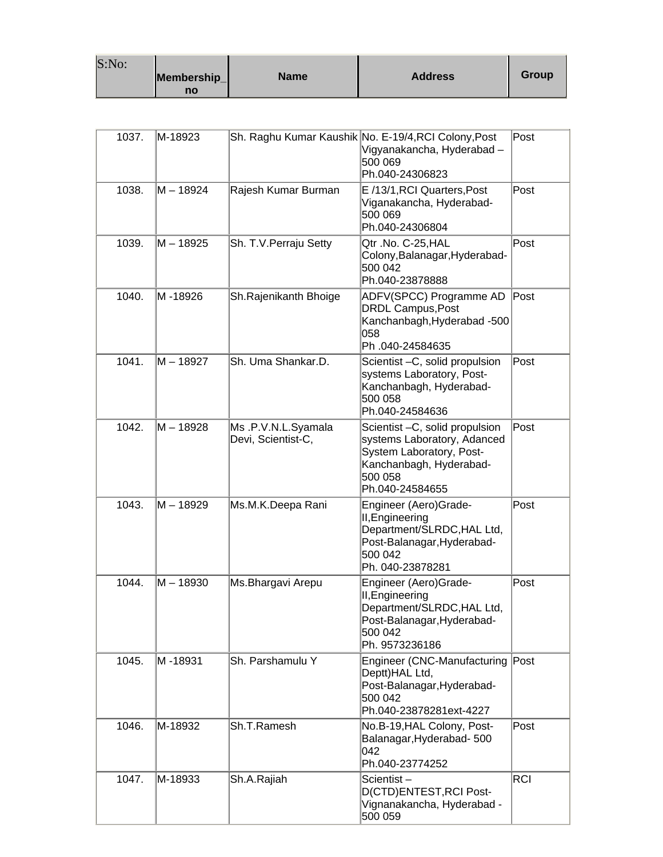| S:No: |                   |             |                |       |
|-------|-------------------|-------------|----------------|-------|
|       | Membership_<br>no | <b>Name</b> | <b>Address</b> | Group |

| 1037. | M-18923   |                                          | Sh. Raghu Kumar Kaushik No. E-19/4, RCI Colony, Post<br>Vigyanakancha, Hyderabad -<br>500 069<br>Ph.040-24306823                                    | Post       |
|-------|-----------|------------------------------------------|-----------------------------------------------------------------------------------------------------------------------------------------------------|------------|
| 1038. | M - 18924 | Rajesh Kumar Burman                      | E /13/1, RCI Quarters, Post<br>Viganakancha, Hyderabad-<br>500 069<br>Ph.040-24306804                                                               | Post       |
| 1039. | M – 18925 | Sh. T.V. Perraju Setty                   | Qtr.No. C-25, HAL<br>Colony, Balanagar, Hyderabad-<br>500 042<br>Ph.040-23878888                                                                    | Post       |
| 1040. | M-18926   | Sh.Rajenikanth Bhoige                    | ADFV(SPCC) Programme AD<br><b>DRDL Campus, Post</b><br>Kanchanbagh, Hyderabad -500<br>058<br>Ph.040-24584635                                        | Post       |
| 1041. | M - 18927 | Sh. Uma Shankar.D.                       | Scientist - C, solid propulsion<br>systems Laboratory, Post-<br>Kanchanbagh, Hyderabad-<br>500 058<br>Ph.040-24584636                               | Post       |
| 1042. | M – 18928 | Ms.P.V.N.L.Syamala<br>Devi, Scientist-C, | Scientist - C, solid propulsion<br>systems Laboratory, Adanced<br>System Laboratory, Post-<br>Kanchanbagh, Hyderabad-<br>500 058<br>Ph.040-24584655 | Post       |
| 1043. | M – 18929 | Ms.M.K.Deepa Rani                        | Engineer (Aero)Grade-<br>II, Engineering<br>Department/SLRDC, HAL Ltd,<br>Post-Balanagar, Hyderabad-<br>500 042<br>Ph. 040-23878281                 | Post       |
| 1044. | M – 18930 | Ms. Bhargavi Arepu                       | Engineer (Aero)Grade-<br>II, Engineering<br>Department/SLRDC, HAL Ltd,<br>Post-Balanagar,Hyderabad-<br>500 042<br>Ph. 9573236186                    | Post       |
| 1045. | M -18931  | Sh. Parshamulu Y                         | Engineer (CNC-Manufacturing Post<br>Deptt)HAL Ltd,<br>Post-Balanagar, Hyderabad-<br>500 042<br>Ph.040-23878281ext-4227                              |            |
| 1046. | M-18932   | Sh.T.Ramesh                              | No.B-19, HAL Colony, Post-<br>Balanagar, Hyderabad-500<br>042<br>Ph.040-23774252                                                                    | Post       |
| 1047. | M-18933   | Sh.A.Rajiah                              | Scientist-<br>D(CTD)ENTEST, RCI Post-<br>Vignanakancha, Hyderabad -<br>500 059                                                                      | <b>RCI</b> |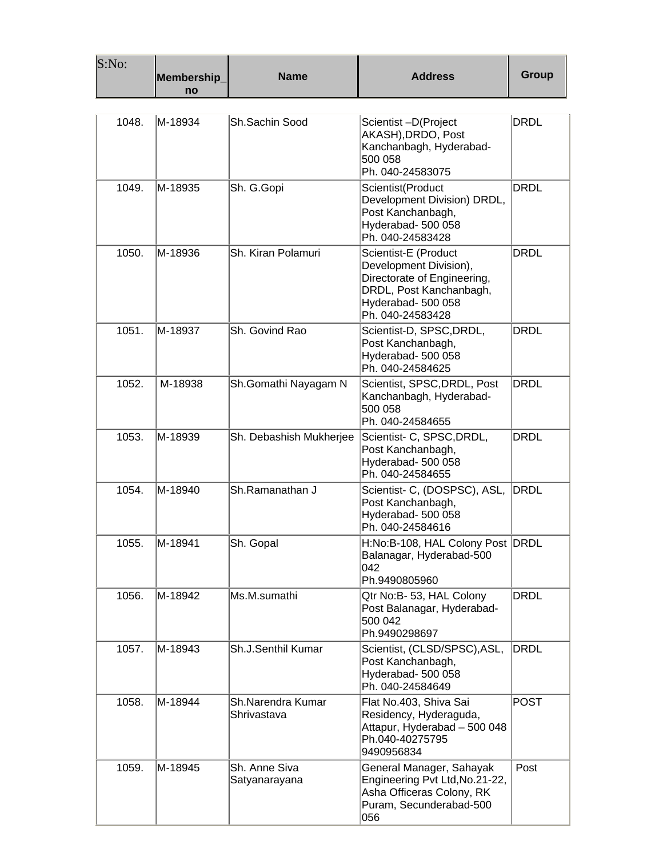| S:No: | Membership_<br>no | <b>Name</b>                      | <b>Address</b>                                                                                                                                     | Group       |
|-------|-------------------|----------------------------------|----------------------------------------------------------------------------------------------------------------------------------------------------|-------------|
| 1048. | M-18934           | Sh.Sachin Sood                   | Scientist-D(Project<br>AKASH), DRDO, Post<br>Kanchanbagh, Hyderabad-<br>500 058<br>Ph. 040-24583075                                                | <b>DRDL</b> |
| 1049. | M-18935           | Sh. G.Gopi                       | Scientist(Product<br>Development Division) DRDL,<br>Post Kanchanbagh,<br>Hyderabad- 500 058<br>Ph. 040-24583428                                    | <b>DRDL</b> |
| 1050. | M-18936           | Sh. Kiran Polamuri               | Scientist-E (Product<br>Development Division),<br>Directorate of Engineering,<br>DRDL, Post Kanchanbagh,<br>Hyderabad- 500 058<br>Ph. 040-24583428 | <b>DRDL</b> |
| 1051. | M-18937           | Sh. Govind Rao                   | Scientist-D, SPSC, DRDL,<br>Post Kanchanbagh,<br>Hyderabad- 500 058<br>Ph. 040-24584625                                                            | <b>DRDL</b> |
| 1052. | M-18938           | Sh.Gomathi Nayagam N             | Scientist, SPSC, DRDL, Post<br>Kanchanbagh, Hyderabad-<br>500 058<br>Ph. 040-24584655                                                              | <b>DRDL</b> |
| 1053. | M-18939           | Sh. Debashish Mukherjee          | Scientist- C, SPSC, DRDL,<br>Post Kanchanbagh,<br>Hyderabad- 500 058<br>Ph. 040-24584655                                                           | <b>DRDL</b> |
| 1054. | M-18940           | Sh.Ramanathan J                  | Scientist- C, (DOSPSC), ASL,<br>Post Kanchanbagh,<br>Hyderabad- 500 058<br>Ph. 040-24584616                                                        | <b>DRDL</b> |
| 1055. | M-18941           | Sh. Gopal                        | H:No:B-108, HAL Colony Post DRDL<br>Balanagar, Hyderabad-500<br>042<br>Ph.9490805960                                                               |             |
| 1056. | M-18942           | Ms.M.sumathi                     | Qtr No:B- 53, HAL Colony<br>Post Balanagar, Hyderabad-<br>500 042<br>Ph.9490298697                                                                 | <b>DRDL</b> |
| 1057. | M-18943           | Sh.J.Senthil Kumar               | Scientist, (CLSD/SPSC), ASL,<br>Post Kanchanbagh,<br>Hyderabad- 500 058<br>Ph. 040-24584649                                                        | <b>DRDL</b> |
| 1058. | M-18944           | Sh.Narendra Kumar<br>Shrivastava | Flat No.403, Shiva Sai<br>Residency, Hyderaguda,<br>Attapur, Hyderabad - 500 048<br>Ph.040-40275795<br>9490956834                                  | <b>POST</b> |
| 1059. | M-18945           | Sh. Anne Siva<br>Satyanarayana   | General Manager, Sahayak<br>Engineering Pvt Ltd, No.21-22,<br>Asha Officeras Colony, RK<br>Puram, Secunderabad-500<br>056                          | Post        |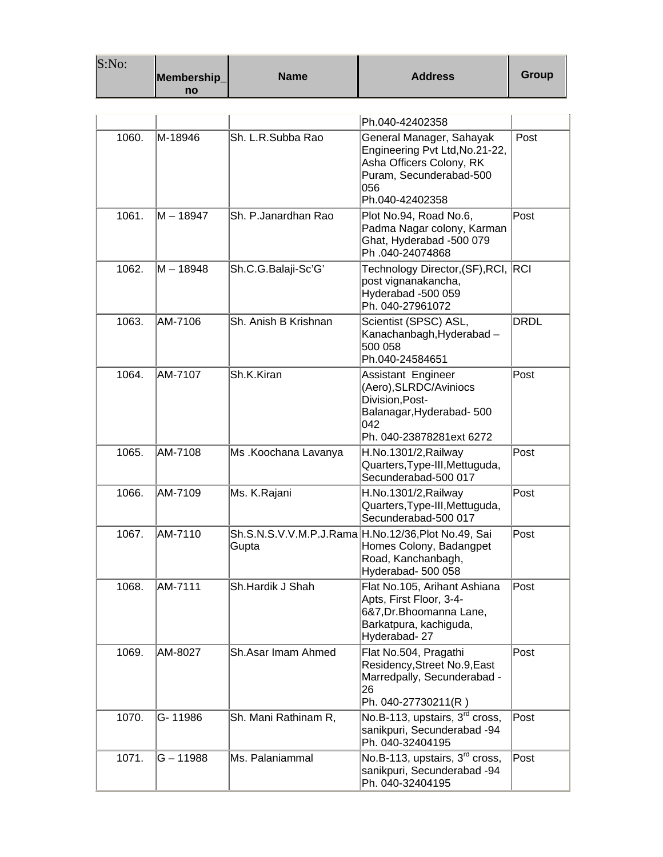| S:No: | Membership<br>no | <b>Name</b>          | <b>Address</b>                                                                                                                               | Group       |
|-------|------------------|----------------------|----------------------------------------------------------------------------------------------------------------------------------------------|-------------|
|       |                  |                      |                                                                                                                                              |             |
|       |                  |                      | Ph.040-42402358                                                                                                                              |             |
| 1060. | M-18946          | Sh. L.R.Subba Rao    | General Manager, Sahayak<br>Engineering Pvt Ltd, No. 21-22,<br>Asha Officers Colony, RK<br>Puram, Secunderabad-500<br>056<br>Ph.040-42402358 | Post        |
| 1061. | M – 18947        | Sh. P.Janardhan Rao  | Plot No.94, Road No.6,<br>Padma Nagar colony, Karman<br>Ghat, Hyderabad -500 079<br>Ph.040-24074868                                          | Post        |
| 1062. | M – 18948        | Sh.C.G.Balaji-Sc'G'  | Technology Director, (SF), RCI,<br>post vignanakancha,<br>Hyderabad -500 059<br>Ph. 040-27961072                                             | RCI         |
| 1063. | AM-7106          | Sh. Anish B Krishnan | Scientist (SPSC) ASL,<br>Kanachanbagh, Hyderabad -<br>500 058<br>Ph.040-24584651                                                             | <b>DRDL</b> |
| 1064. | AM-7107          | Sh.K.Kiran           | Assistant Engineer<br>(Aero), SLRDC/Aviniocs<br>Division, Post-<br>Balanagar, Hyderabad- 500<br>042<br>Ph. 040-23878281ext 6272              | Post        |
| 1065. | AM-7108          | Ms .Koochana Lavanya | H.No.1301/2, Railway<br>Quarters, Type-III, Mettuguda,<br>Secunderabad-500 017                                                               | Post        |
| 1066. | AM-7109          | Ms. K.Rajani         | H.No.1301/2, Railway<br>Quarters, Type-III, Mettuguda,<br>Secunderabad-500 017                                                               | Post        |
| 1067. | AM-7110          | Gupta                | Sh.S.N.S.V.V.M.P.J.Rama H.No.12/36, Plot No.49, Sai<br>Homes Colony, Badangpet<br>Road, Kanchanbagh,<br>Hyderabad- 500 058                   | Post        |
| 1068. | AM-7111          | Sh.Hardik J Shah     | Flat No.105, Arihant Ashiana<br>Apts, First Floor, 3-4-<br>6&7, Dr. Bhoomanna Lane,<br>Barkatpura, kachiguda,<br>Hyderabad-27                | Post        |
| 1069. | AM-8027          | Sh.Asar Imam Ahmed   | Flat No.504, Pragathi<br>Residency, Street No.9, East<br>Marredpally, Secunderabad -<br>26<br>Ph. 040-27730211(R)                            | Post        |
| 1070. | G-11986          | Sh. Mani Rathinam R, | No.B-113, upstairs, 3 <sup>rd</sup> cross,<br>sanikpuri, Secunderabad -94<br>Ph. 040-32404195                                                | Post        |
| 1071. | $G - 11988$      | Ms. Palaniammal      | No.B-113, upstairs, 3 <sup>rd</sup> cross,<br>sanikpuri, Secunderabad -94<br>Ph. 040-32404195                                                | Post        |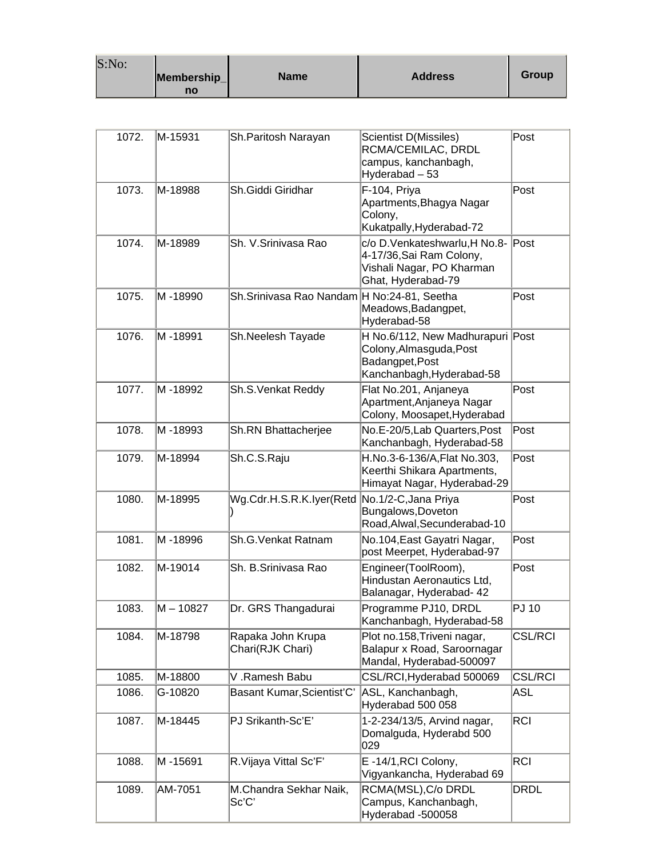| S:No: |             |             |                |       |
|-------|-------------|-------------|----------------|-------|
|       | Membership_ | <b>Name</b> | <b>Address</b> | Group |
|       | no          |             |                |       |

 $\sim$ 

| 1072. | M-15931     | Sh.Paritosh Narayan                          | Scientist D(Missiles)<br>RCMA/CEMILAC, DRDL<br>campus, kanchanbagh,<br>Hyderabad - 53                        | Post           |
|-------|-------------|----------------------------------------------|--------------------------------------------------------------------------------------------------------------|----------------|
| 1073. | M-18988     | Sh.Giddi Giridhar                            | F-104, Priya<br>Apartments, Bhagya Nagar<br>Colony,<br>Kukatpally, Hyderabad-72                              | Post           |
| 1074. | M-18989     | Sh. V.Srinivasa Rao                          | c/o D.Venkateshwarlu, H No.8-<br>4-17/36, Sai Ram Colony,<br>Vishali Nagar, PO Kharman<br>Ghat, Hyderabad-79 | Post           |
| 1075. | M -18990    | Sh.Srinivasa Rao Nandam H No:24-81, Seetha   | Meadows, Badangpet,<br>Hyderabad-58                                                                          | Post           |
| 1076. | M -18991    | Sh.Neelesh Tayade                            | H No.6/112, New Madhurapuri Post<br>Colony, Almasguda, Post<br>Badangpet, Post<br>Kanchanbagh, Hyderabad-58  |                |
| 1077. | M -18992    | Sh.S.Venkat Reddy                            | Flat No.201, Anjaneya<br>Apartment, Anjaneya Nagar<br>Colony, Moosapet, Hyderabad                            | Post           |
| 1078. | M-18993     | Sh.RN Bhattacherjee                          | No.E-20/5, Lab Quarters, Post<br>Kanchanbagh, Hyderabad-58                                                   | Post           |
| 1079. | M-18994     | Sh.C.S.Raju                                  | H.No.3-6-136/A, Flat No.303,<br>Keerthi Shikara Apartments,<br>Himayat Nagar, Hyderabad-29                   | Post           |
| 1080. | M-18995     | Wg.Cdr.H.S.R.K.Iyer(Retd No.1/2-C,Jana Priya | Bungalows, Doveton<br>Road, Alwal, Secunderabad-10                                                           | Post           |
| 1081. | M-18996     | Sh.G. Venkat Ratnam                          | No.104, East Gayatri Nagar,<br>post Meerpet, Hyderabad-97                                                    | Post           |
| 1082. | M-19014     | Sh. B.Srinivasa Rao                          | Engineer(ToolRoom),<br>Hindustan Aeronautics Ltd,<br>Balanagar, Hyderabad- 42                                | Post           |
| 1083. | $M - 10827$ | Dr. GRS Thangadurai                          | Programme PJ10, DRDL<br>Kanchanbagh, Hyderabad-58                                                            | <b>PJ 10</b>   |
| 1084. | M-18798     | Rapaka John Krupa<br>Chari(RJK Chari)        | Plot no.158, Triveni nagar,<br>Balapur x Road, Saroornagar<br>Mandal, Hyderabad-500097                       | <b>CSL/RCI</b> |
| 1085. | M-18800     | V.Ramesh Babu                                | CSL/RCI, Hyderabad 500069                                                                                    | <b>CSL/RCI</b> |
| 1086. | G-10820     | Basant Kumar, Scientist'C'                   | ASL, Kanchanbagh,<br>Hyderabad 500 058                                                                       | ASL            |
| 1087. | M-18445     | PJ Srikanth-Sc'E'                            | 1-2-234/13/5, Arvind nagar,<br>Domalguda, Hyderabd 500<br>029                                                | <b>RCI</b>     |
| 1088. | M-15691     | R.Vijaya Vittal Sc'F'                        | E-14/1, RCI Colony,<br>Vigyankancha, Hyderabad 69                                                            | <b>RCI</b>     |
| 1089. | AM-7051     | M.Chandra Sekhar Naik,<br>Sc'C'              | RCMA(MSL), C/o DRDL<br>Campus, Kanchanbagh,<br>Hyderabad -500058                                             | <b>DRDL</b>    |